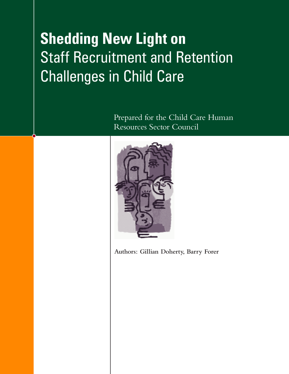# **Shedding New Light on Staff Recruitment and Retention** Challenges in Child Care

Prepared for the Child Care Human Resources Sector Council



**Authors: Gillian Doherty, Barry Forer**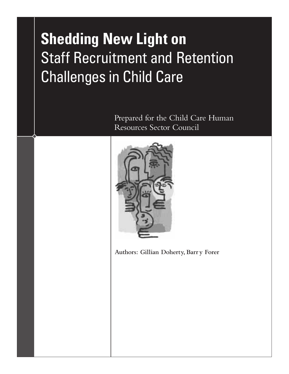# **Shedding New Light on** Staff Recruitment and Retention Challenges in Child Care

Prepared for the Child Care Human Resources Sector Council



**Authors: Gillian Doherty, Barr y Forer**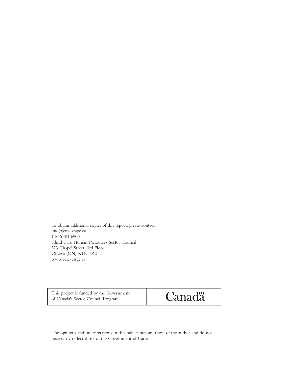To obtain additional copies of this report, please contact: info@ccsc-cssge.ca 1-866-411-6960 Child Care Human Resources Sector Council 323 Chapel Street, 3rd Floor Ottawa (ON) K1N 7Z2 www.ccsc-cssge.ca

This project is funded by the Government of Canada's Sector Council Program.



The opinions and interpretations in this publication are those of the author and do not necessarily reflect those of the Government of Canada.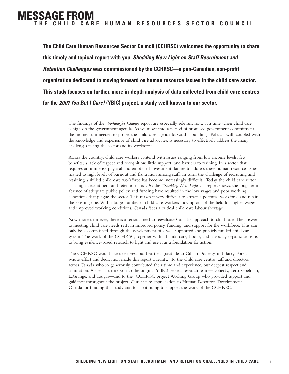**The Child Care Human Resources Sector Council (CCHRSC) welcomes the opportunity to share this timely and topical report with you.** *Shedding New Light on Staff Recruitment and Retention Challenges* **was commissioned by the CCHRSC—a pan-Canadian, non-profit organization dedicated to moving forward on human resource issues in the child care sector. This study focuses on further, more in-depth analysis of data collected from child care centres for the** *2001 You Bet I Care!* **(YBIC) project, a study well known to our sector.**

> The findings of the *Working for Change* report are especially relevant now, at a time when child care is high on the government agenda. As we move into a period of promised government commitment, the momentum needed to propel the child care agenda forward is building. Political will, coupled with the knowledge and experience of child care advocates, is necessary to effectively address the many challenges facing the sector and its workforce.

> Across the country, child care workers contend with issues ranging from low income levels; few benefits; a lack of respect and recognition; little support; and barriers to training. In a sector that requires an immense physical and emotional investment, failure to address these human resource issues has led to high levels of burnout and frustration among staff. In turn, the challenge of recruiting and retaining a skilled child care workforce has become increasingly difficult. Today, the child care sector is facing a recruitment and retention crisis. As the *"Shedding New Light…"* report shows, the long-term absence of adequate public policy and funding have resulted in the low wages and poor working conditions that plague the sector. This makes it very difficult to attract a potential workforce and retain the existing one. With a large number of child care workers moving out of the field for higher wages and improved working conditions, Canada faces a critical child care labour shortage.

> Now more than ever, there is a serious need to reevaluate Canada's approach to child care. The answer to meeting child care needs rests in improved policy, funding, and support for the workforce. This can only be accomplished through the development of a well supported and publicly funded child care system. The work of the CCHRSC, together with all child care, labour, and advocacy organizations, is to bring evidence-based research to light and use it as a foundation for action.

> The CCHRSC would like to express our heartfelt gratitude to Gillian Doherty and Barry Forer, whose effort and dedication made this report a reality. To the child care centre staff and directors across Canada who so generously contributed their time and experience, our deepest respect and admiration. A special thank you to the original YBIC! project research team—Doherty, Lero, Goelman, LaGrange, and Tougas—and to the CCHRSC project Working Group who provided support and guidance throughout the project. Our sincere appreciation to Human Resources Development Canada for funding this study and for continuing to support the work of the CCHRSC.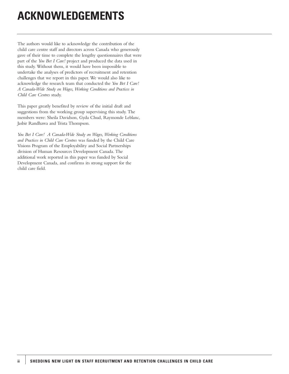# **ACKNOWLEDGEMENTS**

The authors would like to acknowledge the contribution of the child care centre staff and directors across Canada who generously gave of their time to complete the lengthy questionnaires that were part of the *You Bet I Care!* project and produced the data used in this study. Without them, it would have been impossible to undertake the analyses of predictors of recruitment and retention challenges that we report in this paper. We would also like to acknowledge the research team that conducted the *You Bet I Care! A Canada-Wide Study on Wages, Working Conditions and Practices in Child Care Centres* study.

This paper greatly benefited by review of the initial draft and suggestions from the working group supervising this study. The members were: Sheila Davidson, Gyda Chud, Raymonde Leblanc, Jasbir Randhawa and Trista Thompson.

*You Bet I Care! A Canada-Wide Study on Wages, Working Conditions and Practices in Child Care Centres* was funded by the Child Care Visions Program of the Employability and Social Partnerships division of Human Resources Development Canada. The additional work reported in this paper was funded by Social Development Canada, and confirms its strong support for the child care field.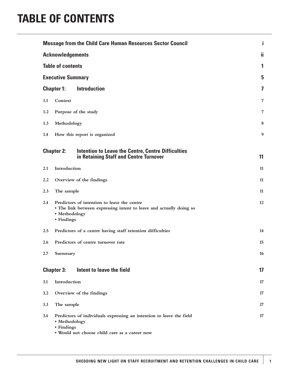# **TABLE OF CONTENTS**

|     |                             | <b>Message from the Child Care Human Resources Sector Council</b>                                                     | i  |
|-----|-----------------------------|-----------------------------------------------------------------------------------------------------------------------|----|
|     | <b>Acknowledgements</b>     |                                                                                                                       | ji |
|     | <b>Table of contents</b>    |                                                                                                                       | 1  |
|     | <b>Executive Summary</b>    |                                                                                                                       | 5  |
|     | <b>Chapter 1:</b>           | <b>Introduction</b>                                                                                                   | 7  |
| 1.1 | Context                     |                                                                                                                       | 7  |
| 1.2 |                             | Purpose of the study                                                                                                  | 7  |
| 1.3 | Methodology                 |                                                                                                                       | 8  |
| 1.4 |                             | How this report is organized                                                                                          | 9  |
|     | <b>Chapter 2:</b>           | Intention to Leave the Centre, Centre Difficulties<br>in Retaining Staff and Centre Turnover                          | 11 |
| 2.1 | Introduction                |                                                                                                                       | 11 |
| 2.2 |                             | Overview of the findings                                                                                              | 11 |
| 2.3 | The sample                  |                                                                                                                       | 11 |
| 2.4 | • Methodology<br>• Findings | Predictors of intention to leave the centre<br>• The link between expressing intent to leave and actually doing so    | 12 |
| 2.5 |                             | Predictors of a centre having staff retention difficulties                                                            | 14 |
| 2.6 |                             | Predictors of centre turnover rate                                                                                    | 15 |
| 2.7 | <b>Summary</b>              |                                                                                                                       | 16 |
|     | <b>Chapter 3:</b>           | Intent to leave the field                                                                                             | 17 |
| 3.1 | Introduction                |                                                                                                                       | 17 |
| 3.2 |                             | Overview of the findings                                                                                              | 17 |
| 3.3 | The sample                  |                                                                                                                       | 17 |
| 3.4 | • Methodology<br>• Findings | Predictors of individuals expressing an intention to leave the field<br>· Would not choose child care as a career now | 17 |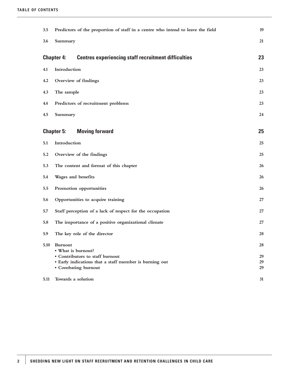| 3.5  | Predictors of the proportion of staff in a centre who intend to leave the field | 19       |
|------|---------------------------------------------------------------------------------|----------|
| 3.6  | Summary                                                                         | 21       |
|      | <b>Centres experiencing staff recruitment difficulties</b><br><b>Chapter 4:</b> | 23       |
| 4.1  | Introduction                                                                    | 23       |
| 4.2  | Overview of findings                                                            | 23       |
| 4.3  | The sample                                                                      | 23       |
| 4.4  | Predictors of recruitment problems                                              | 23       |
| 4.5  | Summary                                                                         | 24       |
|      |                                                                                 |          |
|      | <b>Chapter 5:</b><br><b>Moving forward</b>                                      | 25       |
| 5.1  | Introduction                                                                    | 25       |
| 5.2  | Overview of the findings                                                        | 25       |
| 5.3  | The content and format of this chapter                                          | 26       |
| 5.4  | Wages and benefits                                                              | 26       |
| 5.5  | Promotion opportunities                                                         | 26       |
| 5.6  | Opportunities to acquire training                                               | 27       |
| 5.7  | Staff perception of a lack of respect for the occupation                        | 27       |
| 5.8  | The importance of a positive organizational climate                             | 27       |
| 5.9  | The key role of the director                                                    | 28       |
| 5.10 | <b>Burnout</b><br>• What is burnout?<br>• Contributors to staff burnout         | 28<br>29 |
|      | • Early indications that a staff member is burning out                          | 29       |
|      | • Combating burnout                                                             | 29       |
| 5.11 | Towards a solution                                                              | 31       |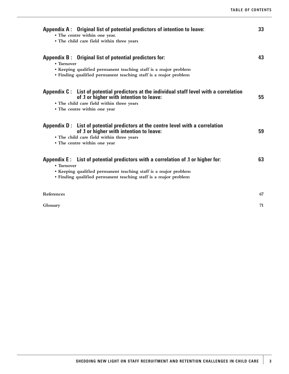| Appendix A: Original list of potential predictors of intention to leave:<br>• The centre within one year.<br>• The child care field within three years                                                                              | 33 |
|-------------------------------------------------------------------------------------------------------------------------------------------------------------------------------------------------------------------------------------|----|
| Appendix B: Original list of potential predictors for:<br>• Turnover<br>• Keeping qualified permanent teaching staff is a major problem<br>• Finding qualified permanent teaching staff is a major problem                          | 43 |
| Appendix C: List of potential predictors at the individual staff level with a correlation<br>of .1 or higher with intention to leave:<br>• The child care field within three years<br>• The centre within one year                  | 55 |
| Appendix D: List of potential predictors at the centre level with a correlation<br>of .1 or higher with intention to leave:<br>• The child care field within three years<br>• The centre within one year                            | 59 |
| Appendix E: List of potential predictors with a correlation of 1 or higher for:<br>• Turnover<br>• Keeping qualified permanent teaching staff is a major problem<br>• Finding qualified permanent teaching staff is a major problem | 63 |
| References                                                                                                                                                                                                                          | 67 |
| Glossary                                                                                                                                                                                                                            | 71 |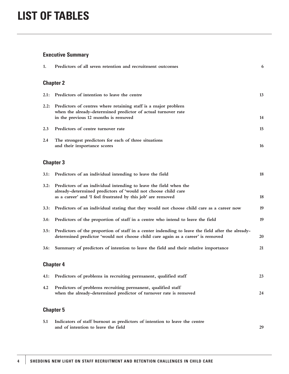# **Executive Summary**

| 1.   | Predictors of all seven retention and recruitment outcomes                                                                                                                                         | 6         |
|------|----------------------------------------------------------------------------------------------------------------------------------------------------------------------------------------------------|-----------|
|      | <b>Chapter 2</b>                                                                                                                                                                                   |           |
| 2.1: | Predictors of intention to leave the centre                                                                                                                                                        | 13        |
| 2.2: | Predictors of centres where retaining staff is a major problem<br>when the already-determined predictor of actual turnover rate<br>in the previous 12 months is removed                            | 14        |
| 2.3  | Predictors of centre turnover rate                                                                                                                                                                 | 15        |
| 2.4  | The strongest predictors for each of three situations<br>and their importance scores                                                                                                               | <b>16</b> |
|      | <b>Chapter 3</b>                                                                                                                                                                                   |           |
| 3.1: | Predictors of an individual intending to leave the field                                                                                                                                           | 18        |
| 3.2: | Predictors of an individual intending to leave the field when the<br>already-determined predictors of 'would not choose child care<br>as a career' and 'I feel frustrated by this job' are removed | 18        |
| 3.3: | Predictors of an individual stating that they would not choose child care as a career now                                                                                                          | 19        |
| 3.4: | Predictors of the proportion of staff in a centre who intend to leave the field                                                                                                                    | 19        |
| 3.5: | Predictors of the proportion of staff in a center indending to leave the field after the already-<br>determined predictor 'would not choose child care again as a career' is removed               | <b>20</b> |
| 3.6: | Summary of predictors of intention to leave the field and their relative importance                                                                                                                | 21        |
|      | <b>Chapter 4</b>                                                                                                                                                                                   |           |
|      | 4.1: Predictors of problems in recruiting permanent, qualified staff                                                                                                                               | 23        |
| 4.2  | Predictors of problems recruiting permanent, qualified staff<br>when the already-determined predictor of turnover rate is removed                                                                  | 24        |
|      | <b>Chapter 5</b>                                                                                                                                                                                   |           |
| 5.1  | Indicators of staff burnout as predictors of intention to leave the centre                                                                                                                         |           |

**and of intention to leave the field 29**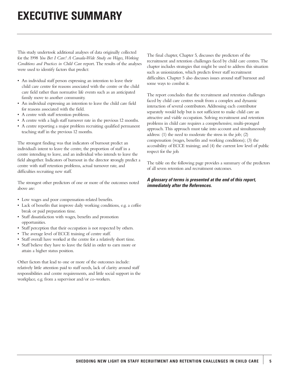# **EXECUTIVE SUMMARY**

This study undertook additional analyses of data originally collected for the 1998 *You Bet I Care! A Canada-Wide Study on Wages, Working Conditions and Practices in Child Care* report. The results of the analyses were used to identify factors that predict:

- An individual staff person expressing an intention to leave their child care centre for reasons associated with the centre or the child care field rather than normative life events such as an anticipated family move to another community.
- An individual expressing an intention to leave the child care field for reasons associated with the field.
- A centre with staff retention problems.
- A centre with a high staff turnover rate in the previous 12 months.
- A centre reporting a major problem recruiting qualified permanent teaching staff in the previous 12 months.

The strongest finding was that indicators of burnout predict an individual's intent to leave the centre, the proportion of staff in a centre intending to leave, and an individual who intends to leave the field altogether. Indicators of burnout in the director strongly predict a centre with staff retention problems, actual turnover rate, and difficulties recruiting new staff.

The strongest other predictors of one or more of the outcomes noted above are:

- Low wages and poor compensation-related benefits.
- Lack of benefits that improve daily working conditions, e.g. a coffee break or paid preparation time.
- Staff dissatisfaction with wages, benefits and promotion opportunities.
- Staff perception that their occupation is not respected by others.
- The average level of ECCE training of centre staff.
- Staff overall have worked at the centre for a relatively short time.
- Staff believe they have to leave the field in order to earn more or attain a higher status position.

Other factors that lead to one or more of the outcomes include: relatively little attention paid to staff needs, lack of clarity around staff responsibilities and centre requirements, and little social support in the workplace, e.g. from a supervisor and/or co-workers.

The final chapter, Chapter 5, discusses the predictors of the recruitment and retention challenges faced by child care centres. The chapter includes strategies that might be used to address this situation such as unionization, which predicts fewer staff recruitment difficulties. Chapter 5 also discusses issues around staff burnout and some ways to combat it.

The report concludes that the recruitment and retention challenges faced by child care centres result from a complex and dynamic interaction of several contributors. Addressing each contributor separately would help but is not sufficient to make child care an attractive and viable occupation. Solving recruitment and retention problems in child care requires a comprehensive, multi-pronged approach. This approach must take into account and simultaneously address: (1) the need to moderate the stress in the job; (2) compensation (wages, benefits and working conditions); (3) the accessibility of ECCE training; and (4) the current low level of public respect for the job.

The table on the following page provides a summary of the predictors of all seven retention and recruitment outcomes.

#### *A glossary of terms is presented at the end of this report, immediately after the References.*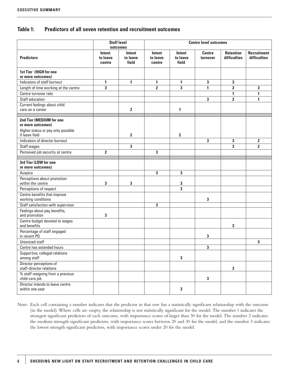# **Table 1: Predictors of all seven retention and recruitment outcomes**

|                                                                                     |                              | <b>Staff level</b><br>outcomes     | <b>Centre level outcomes</b> |                             |                           |                                  |                                           |
|-------------------------------------------------------------------------------------|------------------------------|------------------------------------|------------------------------|-----------------------------|---------------------------|----------------------------------|-------------------------------------------|
| <b>Predictors</b>                                                                   | Intent<br>to leave<br>centre | <b>Intent</b><br>to leave<br>field | Intent<br>to leave<br>centre | Intent<br>to leave<br>field | <b>Centre</b><br>turnover | <b>Retention</b><br>difficulties | <b>Recruitment</b><br><b>difficulties</b> |
| <b>1st Tier (HIGH for one</b><br>or more outcomes)                                  |                              |                                    |                              |                             |                           |                                  |                                           |
| Indicators of staff burnout                                                         | 1                            | 1                                  | $\mathbf{1}$                 | 1                           | 3                         | 3                                |                                           |
| Length of time working at the centre                                                | 3                            |                                    | $\overline{2}$               | 3                           | 1                         | $\overline{2}$                   | 3                                         |
| Centre turnover rate                                                                |                              |                                    |                              |                             |                           | 1                                | $\mathbf{1}$                              |
| Staff education                                                                     |                              |                                    |                              |                             | 3                         | $\overline{2}$                   | 1                                         |
| Current feelings about child                                                        |                              |                                    |                              |                             |                           |                                  |                                           |
| care as a career                                                                    |                              | $\mathbf 2$                        |                              | 1                           |                           |                                  |                                           |
| 2nd Tier (MEDIUM for one<br>or more outcomes)<br>Higher status or pay only possible |                              |                                    |                              |                             |                           |                                  |                                           |
| if leave field                                                                      |                              | $\mathbf{2}$                       |                              | $\overline{\mathbf{2}}$     |                           |                                  |                                           |
| Indicators of director burnout                                                      |                              |                                    |                              |                             | 3                         | 3                                | 2                                         |
| Staff wages                                                                         |                              | 3                                  |                              |                             |                           | 3                                | $\overline{2}$                            |
| Perceived job security at centre                                                    | $\overline{2}$               |                                    | 3                            |                             |                           |                                  |                                           |
| 3rd Tier (LOW for one<br>or more outcomes)                                          |                              |                                    |                              |                             |                           |                                  |                                           |
| Auspice                                                                             |                              |                                    | 3                            | 3                           |                           |                                  |                                           |
| Perceptions about promotion<br>within the centre                                    | 3                            | 3                                  |                              | 3                           |                           |                                  |                                           |
| Perceptions of respect                                                              |                              |                                    |                              | 3                           |                           |                                  |                                           |
| Centre benefits that improve<br>working conditions                                  |                              |                                    |                              |                             | 3                         |                                  |                                           |
| Staff satisfaction with supervisor                                                  |                              |                                    | 3                            |                             |                           |                                  |                                           |
| Feelings about pay, benefits,<br>and promotion                                      | 3                            |                                    |                              |                             |                           |                                  |                                           |
| Centre budget devoted to wages<br>and benefits                                      |                              |                                    |                              |                             |                           | 3                                |                                           |
| Percentage of staff engaged<br>in recent PD                                         |                              |                                    |                              |                             | 3                         |                                  |                                           |
| Unionized staff                                                                     |                              |                                    |                              |                             |                           |                                  | 3                                         |
| Centre has extended hours                                                           |                              |                                    |                              |                             | 3                         |                                  |                                           |
| Supportive, collegial relations<br>among staff                                      |                              |                                    |                              | 3                           |                           |                                  |                                           |
| Director perceptions of<br>staff-director relations                                 |                              |                                    |                              |                             |                           | $\mathbf{3}$                     |                                           |
| % staff resigning from a previous<br>child care job                                 |                              |                                    |                              |                             | 3                         |                                  |                                           |
| Director intends to leave centre<br>within one year                                 |                              |                                    |                              | 3                           |                           |                                  |                                           |

Note: Each cell containing a number indicates that the predictor in that row has a statistically significant relationship with the outcome (in the model). Where cells are empty, the relationship is not statistically significant for the model. The number 1 indicates the strongest significant predictors of each outcome, with importance scores of larger than 30 for the model. The number 2 indicates the medium strength significant predictors, with importance scores between 20 and 30 for the model, and the number 3 indicates the lowest strength significant predictors, with importance scores under 20 for the model.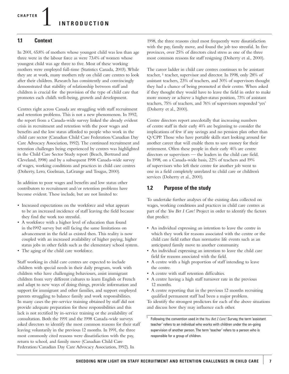1 **CHAPTER INTRODUCTION**

## **1.1 Context**

In 2001, 65.8% of mothers whose youngest child was less than age three were in the labour force as were 73.4% of women whose youngest child was age three to five. Most of these working mothers were employed full-time (Statistics Canada, 2003). While they are at work, many mothers rely on child care centres to look after their children. Research has consistently and convincingly demonstrated that stability of relationship between staff and children is crucial for the provision of the type of child care that promotes each child's well-being, growth and development.

Centres right across Canada are struggling with staff recruitment and retention problems. This is not a new phenomenon. In 1992, the report from a Canada-wide survey linked the already evident crisis in recruitment and retention with the poor wages and benefits and the low status afforded to people who work in the child care sector (Canadian Child Care Federation/Canadian Day Care Advocacy Association, 1992). The continued recruitment and retention challenges being experienced by centres was highlighted in the Child Care Sector Study report (Beach, Bertrand and Cleveland, 1998) and by a subsequent 1998 Canada-wide survey of wages, working conditions and practices in child care centres (Doherty, Lero, Goelman, LaGrange and Tougas, 2000).

In addition to poor wages and benefits and low status other contributors to recruitment and/or retention problems have become evident. These include, but are not limited to:

- Increased expectations on the workforce and what appears to be an increased incidence of staff leaving the field because they find the work too stressful.
- A workforce with a higher level of education than found in the1992 survey but still facing the same limitations on advancement in the field as existed then. This reality is now coupled with an increased availability of higher paying, higher status jobs in other fields such as the elementary school system.
- The aging of the child care workforce.

Staff working in child care centres are expected to include children with special needs in their daily program, work with children who have challenging behaviours, assist immigrant children from very different cultures to learn English or French and adapt to new ways of doing things, provide information and support for immigrant and other families, and support employed parents struggling to balance family and work responsibilities. In many cases the pre-service training obtained by staff did not provide adequate preparation for these responsibilities and this lack is not rectified by in-service training or the availability of consultation. Both the 1991 and the 1998 Canada-wide surveys asked directors to identify the most common reasons for their staff leaving voluntarily in the previous 12 months. In 1991, the three most commonly cited reasons were dissatisfaction with the pay, return to school, and family move (Canadian Child Care Federation/Canadian Day Care Advocacy Association, 1992). In

1998, the three reasons cited most frequently were dissatisfaction with the pay, family move, and found the job too stressful. In five provinces, over 25% of directors cited stress as one of the three most common reasons for staff resigning (Doherty et al., 2000).

The career ladder in child care centres continues to be assistant teacher, <sup>1</sup> teacher, supervisor and director. In 1998, only 28% of assistant teachers, 23% of teachers, and 30% of supervisors thought they had a chance of being promoted at their centre. When asked if they thought they would have to leave the field in order to make more money or achieve a higher-status position, 73% of assistant teachers, 75% of teachers, and 76% of supervisors responded 'yes' (Doherty et al., 2000).

Centre directors report anecdotally that increasing numbers of centre staff in their early 40's are beginning to consider the implications of few if any savings and no pension plan other than Q/CPP. Those who have portable skills start looking around for another career that will enable them to save money for their retirement. Often these people in their early 40's are centre directors or supervisors — the leaders in the child care field. In 1998, on a Canada-wide basis, 22% of teachers and 19% of supervisors who left their centre for another job went to one in a field completely unrelated to child care or children's services (Doherty et al., 2000).

### **1.2 Purpose of the study**

To undertake further analyses of the existing data collected on wages, working conditions and practices in child care centres as part of the *You Bet I Care!* Project in order to identify the factors that predict:

- An individual expressing an intention to leave the centre in which they work for reasons associated with the centre or the child care field rather than normative life events such as an anticipated family move to another community.
- An individual expressing an intention to leave the child care field for reasons associated with the field.
- A centre with a high proportion of staff intending to leave the centre.
- A centre with staff retention difficulties.
- A centre having a high staff turnover rate in the previous 12 months.
- A centre reporting that in the previous 12 months recruiting qualified permanent staff had been a major problem.

To identify the strongest predictors for each of the above situations and discuss how they may influence each other.

<sup>1</sup> Following the convention used in the *You Bet I Care!* Survey, the term 'assistant teacher' refers to an individual who works with children under the on-going supervision of another person. The term 'teacher' refers to a person who is responsible for a group of children.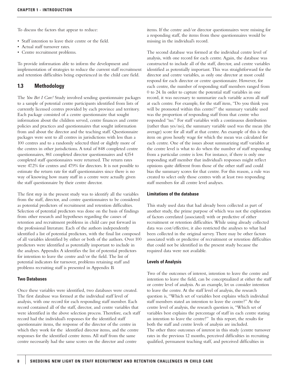To discuss the factors that appear to reduce:

- Staff intention to leave their centre or the field.
- Actual staff turnover rates.
- Centre recruitment problems.

To provide information able to inform the development and implementation of strategies to reduce the current staff recruitment and retention difficulties being experienced in the child care field.

#### **1.3 Methodology**

The *You Bet I Care!* Study involved sending questionnaire packages to a sample of potential centre participants identified from lists of currently licensed centres provided by each province and territory. Each package consisted of a centre questionnaire that sought information about the children served, centre finances and centre policies and practices and questionnaires that sought information from and about the director and the teaching staff. Questionnaire packages were sent to all centres in jurisdictions with less than a 100 centres and to a randomly selected third or slightly more of the centres in other jurisdictions. A total of 848 completed centre questionnaires, 861 completed director questionnaires and 4,154 completed staff questionnaires were returned. The return rates were 47.2% for centres and 47.9% for directors. It is not possible to estimate the return rate for staff questionnaires since there is no way of knowing how many staff in a centre were actually given the staff questionnaire by their centre director.

The first step in the present study was to identify all the variables from the staff, director, and centre questionnaires to be considered as potential predictors of recruitment and retention difficulties. Selection of potential predictors was done on the basis of findings from other research and hypotheses regarding the causes of retention and recruitment problems in child care put forward in the professional literature. Each of the authors independently identified a list of potential predictors, with the final list composed of all variables identified by either or both of the authors. Over 100 predictors were identified as potentially important to include in the analyses. Appendix A identifies the list of potential predictors for intention to leave the centre and/or the field. The list of potential indicators for turnover, problems retaining staff and problems recruiting staff is presented in Appendix B.

#### **Two Databases**

Once these variables were identified, two databases were created. The first database was formed at the individual staff level of analysis, with one record for each responding staff member. Each record contained all of the staff, director, and centre variables that were identified in the above selection process. Therefore, each staff record had the individual's responses for the identified staff questionnaire items, the response of the director of the centre in which they work for the identified director items, and the centre responses for the identified centre items. All staff from the same centre necessarily had the same scores on the director and centre

items. If the centre and/or director questionnaires were missing for a responding staff, the items from these questionnaires would be missing in the individual's record.

The second database was formed at the individual centre level of analysis, with one record for each centre. Again, the database was constructed to include all of the staff, director, and centre variables identified as potentially important. This was straightforward for the director and centre variables, as only one director at most could respond for each director or centre questionnaire. However, for each centre, the number of responding staff members ranged from 0 to 24. In order to capture the potential staff variables in one record, it was necessary to summarize each variable across all staff at each centre. For example, for the staff item, "Do you think you will be promoted within this centre?" the summary variable used was the proportion of responding staff from that centre who responded "no." For staff variables with a continuous distribution (rather than yes/no), the summary variable used was the mean (the average) score for all staff at that centre. An example of this is the item on gross hourly wage for which the mean was calculated for each centre. One of the issues about summarizing staff variables at the centre level is what to do when the number of staff responding from a particular centre is low. For instance, if there is only one responding staff member that individual's responses might reflect opinions quite different from those of the other staff and could bias the summary scores for that centre. For this reason, a rule was created to select only those centres with at least two responding staff members for all centre level analyses.

#### **Limitations of the database**

This study used data that had already been collected as part of another study, the prime purpose of which was not the exploration of factors correlated (associated) with or predictive of either recruitment or retention difficulties. While using already collected data was cost/effective, it also restricted the analyses to what had been collected in the original survey. There may be other factors associated with or predictive of recruitment or retention difficulties that could not be identified in the present study because the required data were not available.

#### **Levels of Analysis**

Two of the outcomes of interest, intention to leave the centre and intention to leave the field, can be conceptualized at either the staff or centre level of analysis. As an example, let us consider intention to leave the centre. At the staff level of analysis, the research question is, "Which set of variables best explains which individual staff members stated an intention to leave the centre?" At the centre level of analysis, the research question is, "Which set of variables best explains the percentage of staff in each centre stating an intention to leave the centre?" In this report, the results for both the staff and centre levels of analysis are included. The other three outcomes of interest in this study (centre turnover rates in the previous 12 months, perceived difficulties in recruiting qualified, permanent teaching staff, and perceived difficulties in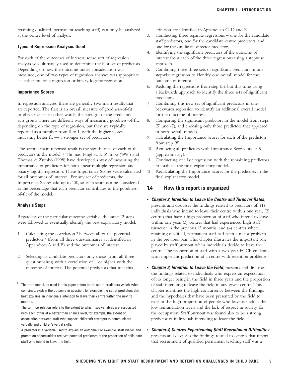retaining qualified, permanent teaching staff) can only be analyzed at the centre level of analysis.

#### **Types of Regression Analyses Used**

For each of the outcomes of interest, some sort of regression analysis was ultimately used to determine the best set of predictors. Depending on how the outcome under consideration was measured, one of two types of regression analyses was appropriate — either multiple regression or binary logistic regression.

#### **Importance Scores**

In regression analyses, there are generally two main results that are reported. The first is an overall measure of goodness-of-fit or effect size — in other words, the strength of the predictors as a group. There are different ways of measuring goodness-of-fit, depending on the type of regression, but they are typically reported as a number from 0 to 1, with the higher scores indicating better fit — a stronger set of predictors.

The second main reported result is the significance of each of the predictors in the model. <sup>2</sup> Thomas, Hughes, & Zumbo (1996) and Thomas & Zumbo (1998) have developed a way of measuring the importance of predictors for both linear multiple regression and binary logistic regression. These Importance Scores were calculated for all outcomes of interest. For any set of predictors, the Importance Scores add up to 100, so each score can be considered as the percentage that each predictor contributes to the goodnessof-fit of the model.

#### **Analysis Steps**

Regardless of the particular outcome variable, the same 12 steps were followed to eventually identify the best explanatory model.

- 1. Calculating the correlation <sup>3</sup> between all of the potential predictors <sup>4</sup> (from all three questionnaires as identified in Appendices A and B) and the outcomes of interest.
- 2. Selecting as candidate predictors only those (from all three questionnaires) with a correlation of .1 or higher with the outcome of interest. The potential predictors that met this
- $2$  The term model, as used in this paper, refers to the set of predictors which, when combined, explain the outcome in question, for example, the set of predictors that best explains an individual's intention to leave their centre within the next 12 months.
- The term correlation refers to the extent to which two variables are associated with each other at a better than chance level, for example, the extent of association between staff who support children's attempts to communicate verbally and children's verbal skills.
- <sup>4</sup> A predictor is a variable used to explain an outcome. For example, staff wages and promotion opportunities are two potential predictors of the proportion of child care staff who intend to leave the field.

criterion are identified in Appendices C, D and E.

- 3. Conducting three separate regressions one for the candidate staff predictors, one for the candidate centre predictors, and one for the candidate director predictors.
- 4. Identifying the significant predictors of the outcome of interest from each of the three regressions using a stepwise approach.
- 5. Combining these three sets of significant predictors in one stepwise regression to identify one overall model for the outcome of interest.
- 6. Redoing the regressions from step (3), but this time using a backwards approach to identify the three sets of significant predictors.
- 7. Combining this new set of significant predictors in one backwards regression to identify an additional overall model for the outcome of interest.
- 8. Comparing the significant predictors in the model from steps (5) and (7), and choosing only those predictors that appeared in both overall models.
- 9. Calculating the Importance Scores for each of the predictors from step (8).
- 10. Removing all predictors with Importance Scores under 5 (approximately).
- 11. Conducting one last regression with the remaining predictors to establish the final explanatory model.
- 11. Recalculating the Importance Scores for the predictors in the final explanatory model.

# **1.4 How this report is organized**

- *Chapter 2, Intention to Leave the Centre and Turnover Rates*,
- presents and discusses the findings related to predictors of: (1) individuals who intend to leave their centre within one year, (2) centres that have a high proportion of staff who intend to leave within one year, (3) centres that had experienced high staff turnover in the previous 12 months, and (4) centres where retaining qualified, permanent staff had been a major problem in the previous year. This chapter illustrates the important role played by staff burnout when individuals decide to leave the centre. The proportion of staff with a two-year ECCE credential is an important prediction of a centre with retention problems.
- *Chapter 3, Intention to Leave the Field*, presents and discusses the findings related to individuals who express an expectation of no longer being in the field in three years and the proportion of staff intending to leave the field in any given centre. This chapter identifies the high concurrence between the findings and the hypotheses that have been presented by the field to explain the high proportion of people who leave it such as the low remuneration levels and the lack of respect in society for the occupation. Staff burnout was found also to be a strong predictor of individuals intending to leave the field.
- *Chapter 4, Centres Experiencing Staff Recruitment Difficulties*, presents and discusses the findings related to centres that report that recruitment of qualified permanent teaching staff was a

**9**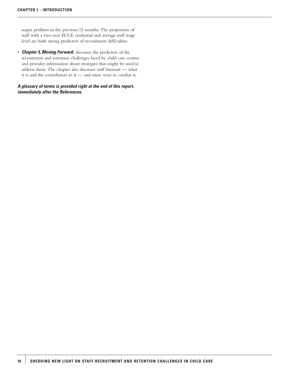major problem in the previous 12 months. The proportion of staff with a two-year ECCE credential and average staff wage level are both strong predictors of recruitment difficulties.

• *Chapter 5, Moving Forward*, discusses the predictors of the recruitment and retention challenges faced by child care centres and provides information about strategies that might be used to address them. The chapter also discusses staff burnout — what it is and the contributors to it — and some ways to combat it.

#### *A glossary of terms is provided right at the end of this report, immediately after the References.*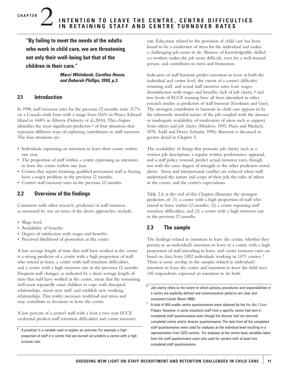**"By failing to meet the needs of the adults who work in child care, we are threatening not only their well-being but that of the children in their care."**

> *Marci Whitebook, Carollee House, and Deborah Phillips, 1990, p.3.*

# **2.1 Introduction**

2 **CHAPTER**

In 1998, staff turnover rates for the previous 12 months were 21.7% on a Canada-wide basis with a range from 15.0% in Prince Edward Island to 44.8% in Alberta (Doherty et al.,2000). This chapter identifies the most significant predictors <sup>5</sup> of four situations that represent different ways of exploring contributors to staff turnover. The four situations are:

- Individuals expressing an intention to leave their centre within one year.
- The proportion of staff within a centre expressing an intention to leave the centre within one year.
- Centres that report retaining qualified permanent staff as having been a major problem in the previous 12 months.
- Centre's staff turnover rates in the previous 12 months.

# **2.2 Overview of the findings**

Consistent with other research, predictors of staff turnover, as measured by one or more of the above approaches, include:

- Wage level.
- Availability of benefits
- Degree of satisfaction with wages and benefits.
- Perceived likelihood of promotion at the centre.

A low average length of time that staff have worked at the centre is a strong predictor of a centre with a high proportion of staff who intend to leave, a centre with staff retention difficulties, and a centre with a high turnover rate in the previous 12 months. Frequent staff changes, as indicated by a short average length of time that staff have worked at the centre, mean that the remaining staff must repeatedly assist children to cope with disrupted relationships, orient new staff, and establish new working relationships. This reality increases workload and stress and may contribute to decisions to leave the centre.

A low percent of a centre's staff with a least a two-year ECCE credential predicts staff retention difficulties and centre turnover rate. Education related to the provision of child care has been found to be a moderator of stress for the individual and makes a challenging job easier to do. Absence of knowledgeable, skilled co-workers makes the job more difficult, even for a well-trained person, and contributes to stress and frustration.

Indicators of staff burnout predict intention to leave at both the individual and centre level, the extent of a centre's difficulty retaining staff, and actual staff turnover rates. Low wages, dissatisfaction with wages and benefits, lack of job clarity, <sup>6</sup> and low levels of ECCE training have all been identified in other research studies as predictors of staff burnout (Goelman and Guo). The strongest contributor to burnout in child care appears to be the inherently stressful nature of the job coupled with the absence or inadequate availability of moderators of stress such as support from others and job clarity (Manlove, 1993; Pines and Maslach, 1978; Todd and Deery-Schmitt, 1996). Burnout is discussed in greater detail in Chapter 5.

The availability of things that promote job clarity, such as a written job description, a regular written performance appraisal, and a staff policy manual, predict actual turnover rates, though not with the same degree of strength as the other predictors noted above. Stress and interpersonal conflict are reduced when staff understand the nature and scope of their job, the roles of others in the centre, and the centre's expectations.

Table 2.4, at the end of this Chapter, illustrates the strongest predictors of: (1) a centre with a high proportion of staff who intend to leave within 12 months; (2) a centre reporting staff retention difficulties; and (3) a centre with a high turnover rate in the previous 12 months.

# **2.3 The sample**

The findings related to intention to leave the centre, whether they pertain to an individual's intention to leave or a centre with a high proportion of staff intending to leave, and centre turnover rates are based on data from 3,852 individuals working in 1,073 centres. <sup>7</sup> There is some overlap in the samples related to individuals' intention to leave the centre and intention to leave the field since 345 respondents expressed an intention to do both.

<sup>5</sup> A predictor is a variable used to explain an outcome. For example, a high proportion of staff in a centre that are burned out predicts a centre with a high turnover rate.

 $6$  Job clarity refers to the extent to which policies, procedures and responsibilities in a centre are explicitly defined and communication patterns are clear and consistent (Jorde-Bloom 1988).

<sup>7</sup> A total of 848 usable centre questionnaires were obtained by the *You Bet I Care!* Project. However, in some situations staff from a specific centre had sent in completed staff questionnaires even though the director had not returned completed centre and/or director questionnaires. The data from all the completed staff questionnaires were used for analyses at the individual level resulting in a representation from 1,073 centres. For analyses at the centre level, variables taken from the staff questionnaire were only used for centers with at least two completed staff questionnaires.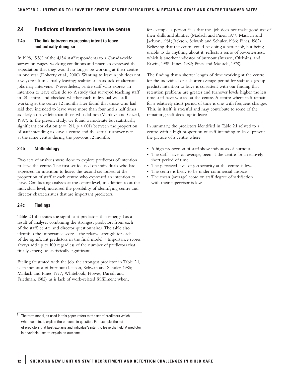# **2.4 Predictors of intention to leave the centre**

#### **2.4a The link between expressing intent to leave and actually doing so**

In 1998, 15.5% of the 4,154 staff respondents to a Canada-wide survey on wages, working conditions and practices expressed the expectation that they would no longer be working at their centre in one year (Doherty et al., 2000). Wanting to leave a job does not always result in actually leaving; realities such as lack of alternate jobs may intervene. Nevertheless, centre staff who express an intention to leave often do so. A study that surveyed teaching staff in 28 centres and checked whether each individual was still working at the centre 12 months later found that those who had said they intended to leave were more than four and a half times as likely to have left than those who did not (Manlove and Guzell, 1997). In the present study, we found a moderate but statistically significant correlation ( $r = .211$ ,  $p < .001$ ) between the proportion of staff intending to leave a centre and the actual turnover rate at the same centre during the previous 12 months.

#### **2.4b Methodology**

Two sets of analyses were done to explore predictors of intention to leave the centre. The first set focused on individuals who had expressed an intention to leave; the second set looked at the proportion of staff at each centre who expressed an intention to leave. Conducting analyses at the centre level, in addition to at the individual level, increased the possibility of identifying centre and director characteristics that are important predictors.

#### **2.4c Findings**

Table 2.1 illustrates the significant predictors that emerged as a result of analyses combining the strongest predictors from each of the staff, centre and director questionnaires. The table also identifies the importance score – the relative strength for each of the significant predictors in the final model. <sup>8</sup> Importance scores always add up to 100 regardless of the number of predictors that finally emerge as statistically significant.

Feeling frustrated with the job, the strongest predictor in Table 2.1, is an indicator of burnout (Jackson, Schwab and Schuler, 1986; Maslach and Pines, 1977; Whitebook, Howes, Darrah and Friedman, 1982), as is lack of work-related fulfillment when,

for example, a person feels that the job does not make good use of their skills and abilities (Maslach and Pines, 1977; Maslach and Jackson, 1981; Jackson, Schwab and Schuler, 1986; Pines, 1982). Believing that the centre could be doing a better job, but being unable to do anything about it, reflects a sense of powerlessness, which is another indicator of burnout (Iverson, Olekains, and Erwin, 1998; Pines, 1982; Pines and Maslach, 1978).

The finding that a shorter length of time working at the centre for the individual or a shorter average period for staff as a group predicts intention to leave is consistent with our finding that retention problems are greater and turnover levels higher the less time staff have worked at the centre. A centre where staff remain for a relatively short period of time is one with frequent changes. This, in itself, is stressful and may contribute to some of the remaining staff deciding to leave.

In summary, the predictors identified in Table 2.1 related to a centre with a high proportion of staff intending to leave present the picture of a centre where:

- A high proportion of staff show indicators of burnout.
- The staff have, on average, been at the centre for a relatively short period of time.
- The perceived level of job security at the centre is low.
- The centre is likely to be under commercial auspice.
- The mean (average) score on staff degree of satisfaction with their supervisor is low.

 $8$  The term model, as used in this paper, refers to the set of predictors which, when combined, explain the outcome in question. For example, the set of predictors that best explains and individual's intent to leave the field. A predictor is a variable used to explain an outcome.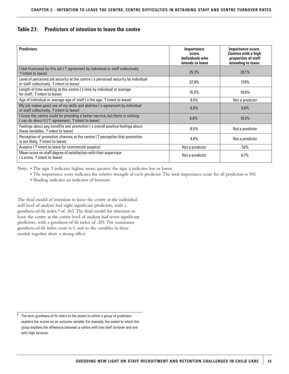# **Table 2.1: Predictors of intention to leave the centre**

| <b>Predictors</b>                                                                                                                                    | <b>Importance</b><br>score.<br><i>Individuals</i> who<br>intends to leave | Importance score.<br><b>Centres with a high</b><br>proportion of staff<br>intending to leave |
|------------------------------------------------------------------------------------------------------------------------------------------------------|---------------------------------------------------------------------------|----------------------------------------------------------------------------------------------|
| I feel frustrated by this job ( $\uparrow$ agreement by individual or staff collectively,<br>$\uparrow$ intent to leave)                             | 25.3%                                                                     | 28.1%                                                                                        |
| Level of perceived job security at the centre $\downarrow$ perceived security by individual<br>or staff collectively, $\uparrow$ intent to leave)    | 22.8%                                                                     | $17.9\%$                                                                                     |
| Length of time working at the centre $(\downarrow$ time by individual or average<br>for staff, $\uparrow$ intent to leave)                           | 15.2%                                                                     | 19.9%                                                                                        |
| Age of individual or average age of staff ( $\downarrow$ the age, $\uparrow$ intent to leave)                                                        | 9.5%                                                                      | Not a predictor                                                                              |
| My job makes good use of my skills and abilities ( $\downarrow$ agreement by individual<br>or staff collectively, $\uparrow$ intent to leave)        | 8.9%                                                                      | 9.8%                                                                                         |
| I know the centre could be providing a better service, but there is nothing<br>I can do about it ( $\uparrow$ agreement, $\uparrow$ intent to leave) | 6.8%                                                                      | 10.5%                                                                                        |
| Feelings about pay, benefits and promotion ( $\downarrow$ overall positive feelings about<br>these variables, $\uparrow$ intent to leave)            | 6.5%                                                                      | Not a predictor                                                                              |
| Perception of promotion chances at the centre ( $\uparrow$ perception that promotion<br>is not likely, $\uparrow$ intent to leave)                   | 4.8%                                                                      | Not a predictor                                                                              |
| Auspice ( $\uparrow$ intent to leave for commercial auspice)                                                                                         | Not a predictor                                                           | $7.6\%$                                                                                      |
| Mean score on staff degree of satisfaction with their supervisor<br>$(\downarrow$ score, $\uparrow$ intent to leave)                                 | Not a predictor                                                           | 6.1%                                                                                         |

Note: • The sign ↑ indicates higher, more, greater; the sign ↓ indicates less or lower.

- The importance score indicates the relative strength of each predictor. The total importance score for all predictors is 100.
- Shading indicates an indicator of burnout.

The final model of intention to leave the centre at the individual staff level of analysis had eight significant predictors, with a goodness-of-fit index <sup>9</sup> of .363. The final model for intention to leave the centre at the centre level of analysis had seven significant predictors, with a goodness-of-fit index of .325. The maximum goodness-of-fit index score is 1, and so the variables in these models together show a strong effect.

 $9$  The term goodness-of-fit refers to the extent to which a group of predictors explains the scores on an outcome variable. For example, the extent to which the group explains the difference between a centre with low staff turnover and one with high turnover.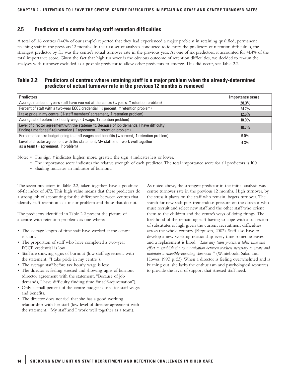# **2.5 Predictors of a centre having staff retention difficulties**

A total of 116 centres (14.6% of our sample) reported that they had experienced a major problem in retaining qualified, permanent teaching staff in the previous 12 months. In the first set of analyses conducted to identify the predictors of retention difficulties, the strongest predictor by far was the centre's actual turnover rate in the previous year. As one of six predictors, it accounted for 41.4% of the total importance score. Given the fact that high turnover is the obvious outcome of retention difficulties, we decided to re-run the analyses with turnover excluded as a possible predictor to allow other predictors to emerge. This did occur, see Table 2.2.

### **Table 2.2: Predictors of centres where retaining staff is a major problem when the already-determined predictor of actual turnover rate in the previous 12 months is removed**

| <b>Predictors</b>                                                                                                                                                                     | <b>Importance score</b> |
|---------------------------------------------------------------------------------------------------------------------------------------------------------------------------------------|-------------------------|
| Average number of years staff have worked at the centre ( $\downarrow$ years, $\uparrow$ retention problem)                                                                           | 28.3%                   |
| Percent of staff with a two-year ECCE credential ( $\downarrow$ percent, $\uparrow$ retention problem)                                                                                | 24.7%                   |
| I take pride in my centre $(\downarrow$ staff members' agreement, $\uparrow$ retention problem)                                                                                       | $12.6\%$                |
| Average staff before tax hourly wage ( $\downarrow$ wage, $\uparrow$ retention problem)                                                                                               | $10.9\%$                |
| Level of director agreement with the statement, Because of job demands, I have difficulty<br>finding time for self-rejuvenation ( $\uparrow$ agreement, $\uparrow$ retention problem) | $10.7\%$                |
| Percent of centre budget going to staff wages and benefits ( $\downarrow$ percent, $\uparrow$ retention problem)                                                                      | $9.0\%$                 |
| Level of director agreement with the statement, My staff and I work well together<br>as a team ( $\downarrow$ agreement, $\uparrow$ problem)                                          | 4.3%                    |

Note: • The sign ↑ indicates higher, more, greater; the sign ↓ indicates less or lower.

- The importance score indicates the relative strength of each predictor. The total importance score for all predictors is 100.
- Shading indicates an indicator of burnout.

The seven predictors in Table 2.2, taken together, have a goodnessof-fit index of .472. This high value means that these predictors do a strong job of accounting for the difference between centres that identify staff retention as a major problem and those that do not.

The predictors identified in Table 2.2 present the picture of a centre with retention problems as one where:

- The average length of time staff have worked at the centre is short.
- The proportion of staff who have completed a two-year ECCE credential is low.
- Staff are showing signs of burnout (low staff agreement with the statement, "I take pride in my centre").
- The average staff before tax hourly wage is low.
- The director is feeling stressed and showing signs of burnout (director agreement with the statement, "Because of job demands, I have difficulty finding time for self-rejuvenation").
- Only a small percent of the centre budget is used for staff wages and benefits.
- The director does not feel that she has a good working relationship with her staff (low level of director agreement with the statement, "My staff and I work well together as a team).

As noted above, the strongest predictor in the initial analysis was centre turnover rate in the previous 12 months. High turnover, by the stress it places on the staff who remain, begets turnover. The search for new staff puts tremendous pressure on the director who must recruit and select new staff and the other staff who orient them to the children and the centre's ways of doing things. The likelihood of the remaining staff having to cope with a succession of substitutes is high given the current recruitment difficulties across the whole country (Ferguson, 2002). Staff also have to develop a new working relationship every time someone leaves and a replacement is hired. *"Like any team process, it takes time and effort to establish the communication between teachers necessary to create and maintain a smoothly-operating classroom* " (Whitebook, Sakai and Howes, 1997, p. 53). When a director is feeling overwhelmed and is burning out, she lacks the enthusiasm and psychological resources to provide the level of support that stressed staff need.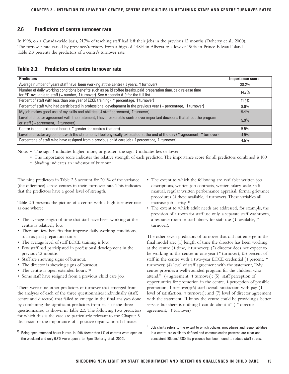# **2.6 Predictors of centre turnover rate**

In 1998, on a Canada-wide basis, 21.7% of teaching staff had left their jobs in the previous 12 months (Doherty et al., 2000). The turnover rate varied by province/territory from a high of 44.8% in Alberta to a low of 15.0% in Prince Edward Island. Table 2.3 presents the predictors of a centre's turnover rate.

# **Table 2.3: Predictors of centre turnover rate**

| <b>Predictors</b>                                                                                                                                                                                            | Importance score |
|--------------------------------------------------------------------------------------------------------------------------------------------------------------------------------------------------------------|------------------|
| Average number of years staff have been working at the centre ( $\downarrow$ years, $\uparrow$ turnover)                                                                                                     | 38.2%            |
| Number of daily working conditions benefits such as pa id coffee breaks, paid preparation time, paid release time<br>for P.D. available to staff (↓ number, ↑ turnover). See Appendix A-9 for the full list. | 14.7%            |
| Percent of staff with less than one year of ECCE training ( $\uparrow$ percentage, $\uparrow$ turnover)                                                                                                      | $11.9\%$         |
| Percent of staff who had participated in professional development in the previous year ( $\downarrow$ percentage, $\uparrow$<br>`turnover)                                                                   | $8.0\%$          |
| My job makes good use of my skills and abilities ( $\downarrow$ staff agreement, $\uparrow$ turnover)                                                                                                        | $6.4\%$          |
| Level of director agreement with the statement, I have reasonable control over important decisions that affect the program<br>or staff ( $\downarrow$ agreement, $\uparrow$ turnover)                        | 5.9%             |
| Centre is open extended hours ( $\uparrow$ greater for centres that are)                                                                                                                                     | 5.5%             |
| Level of director agreement with the statement, I feel physically exhausted at the end of the day ( $\uparrow$ agreement, $\uparrow$ turnover)                                                               | $4.9\%$          |
| Percentage of staff who have resigned from a previous child care job ( $\uparrow$ percentage, $\uparrow$ turnover)                                                                                           | 4.5%             |

Note: • The sign ↑ indicates higher, more, or greater; the sign ↓ indicates less or lower.

- The importance score indicates the relative strength of each predictor. The importance score for all predictors combined is 100.
- Shading indicates an indicator of burnout.

The nine predictors in Table 2.3 account for 20.1% of the variance (the difference) across centres in their turnover rate. This indicates that the predictors have a good level of strength.

Table 2.3 presents the picture of a centre with a high turnover rate as one where:

- The average length of time that staff have been working at the centre is relatively low.
- There are few benefits that improve daily working conditions, such as paid preparation time.
- The average level of staff ECCE training is low.
- Few staff had participated in professional development in the previous 12 months.
- Staff are showing signs of burnout.
- The director is showing signs of burnout.
- The centre is open extended hours. <sup>10</sup>
- Some staff have resigned from a previous child care job.

There were nine other predictors of turnover that emerged from the analyses of each of the three questionnaires individually (staff, centre and director) that failed to emerge in the final analyses done by combining the significant predictors from each of the three questionnaires, as shown in Table 2.3. The following two predictors for which this is the case are particularly relevant to the Chapter 5 discussion of the importance of a positive organizational climate:

- The extent to which the following are available: written job descriptions, written job contracts, written salary scale, staff manual, regular written performance appraisal, formal grievance procedures (↓ these available, ↑ turnover). These variables all increase job clarity. <sup>11</sup>
- The extent to which adult needs are addressed, for example, the provision of a room for staff use only, a separate staff washroom, a resource room or staff library for staff use (↓ available, ↑ turnover).

The other seven predictors of turnover that did not emerge in the final model are: (1) length of time the director has been working at the centre ( $\downarrow$  time,  $\uparrow$  turnover); (2) director does not expect to be working in the centre in one year (↑ turnover); (3) percent of staff in the centre with a two-year ECCE credential (↓ percent, ↑ turnover); (4) level of staff agreement with the statement, "My centre provides a well-rounded program for the children who attend," (↓ agreement, ↑ turnover); (5) staff perception of opportunities for promotion in the centre,  $\downarrow$  perception of possible promotion,  $\uparrow$  turnover);(6) staff overall satisfaction with pay ( $\downarrow$ level of satisfaction, ↑ turnover); and (7) level of director agreement with the statement, "I know the centre could be providing a better service but there is nothing I can do about it" ( ↑ director agreement, ↑ turnover).

<sup>&</sup>lt;sup>10</sup> Being open extended hours is rare. In 1998, fewer than 1% of centres were open on the weekend and only 0.8% were open after 7pm (Doherty et al., 2000).

 $11$  Job clarity refers to the extent to which policies, procedures and responsibilities in a centre are explicitly defined and communication patterns are clear and consistent (Bloom, 1988). Its presence has been found to reduce staff stress.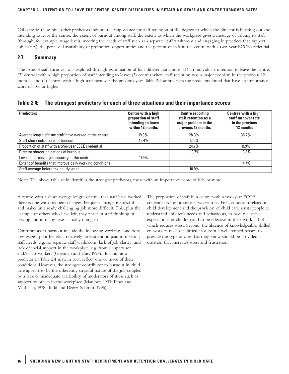Collectively, these nine other predictors indicate the importance for staff retention of the degree to which the director is burning out and intending to leave the centre, the extent of burnout among staff, the extent to which the workplace gives a message of valuing its staff (through, for example, wage levels, meeting the needs of staff such as a separate staff washroom and engaging in practices that support job clarity), the perceived availability of promotion opportunities and the percent of staff in the centre with a two-year ECCE credential.

# **2.7 Summary**

The issue of staff turnover was explored through examination of four different situations: (1) an individual's intention to leave the centre; (2) centres with a high proportion of staff intending to leave; (3) centres where staff retention was a major problem in the previous 12 months; and (4) centres with a high staff turnover the previous year. Table 2.4 summarizes the predictors found that have an importance score of 10% or higher.

| <b>Predictors</b>                                        | Centre with a high<br>proportion of staff<br>intending to leave<br>within 12 months | <b>Centre reporting</b><br>staff retention as a<br>major problem in the<br>previous 12 months | <b>Centres with a high</b><br>staff turnover rate<br>in the previous<br>12 months |
|----------------------------------------------------------|-------------------------------------------------------------------------------------|-----------------------------------------------------------------------------------------------|-----------------------------------------------------------------------------------|
| Average length of time staff have worked at the centre   | $19.9\%$                                                                            | 28.3%                                                                                         | 38.2%                                                                             |
| Staff show indications of burnout                        | 48.4%                                                                               | $12.6\%$                                                                                      |                                                                                   |
| Proportion of staff with a two-year ECCE credential      |                                                                                     | 24.7%                                                                                         | $11.9\%$                                                                          |
| Director shows indications of burnout                    |                                                                                     | $10.7\%$                                                                                      | 10.8%                                                                             |
| Level of perceived job security at the centre            | 17.9%                                                                               |                                                                                               |                                                                                   |
| Extent of benefits that improve daily working conditions |                                                                                     |                                                                                               | 14.7%                                                                             |
| Staff average before tax hourly wage                     |                                                                                     | 10.9%                                                                                         |                                                                                   |

| Table 2.4: | The strongest predictors for each of three situations and their importance scores |  |  |  |  |  |
|------------|-----------------------------------------------------------------------------------|--|--|--|--|--|
|------------|-----------------------------------------------------------------------------------|--|--|--|--|--|

Note: The above table only identifies the strongest predictors, those with an importance score of 10% or more.

A centre with a short average length of time that staff have worked there is one with frequent changes. Frequent change is stressful and makes an already challenging job more difficult. This, plus the example of others who have left, may result in staff thinking of leaving and in many cases actually doing so.

Contributors to burnout include the following working conditions: low wages; poor benefits; relatively little attention paid to meeting staff needs, e.g. no separate staff washroom; lack of job clarity; and lack of social support in the workplace, e.g. from a supervisor and/or co-workers (Goelman and Guo, 1998). Burnout as a predictor in Table 2.4 may, in part, reflect one or more of these conditions. However, the strongest contributor to burnout in child care appears to be the inherently stressful nature of the job coupled by a lack or inadequate availability of moderators of stress such as support by others in the workplace (Manlove, 1993; Pines and Mashlach, 1978; Todd and Deery-Schmitt, 1996).

The proportion of staff in a centre with a two-year ECCE credential is important for two reasons. First, education related to child development and the provision of child care assists people to understand children's needs and behaviours, to have realistic expectations of children and to be effective in their work, all of which reduces stress. Second, the absence of knowledgeable, skilled co-workers makes it difficult for even a well-trained person to provide the type of care that they know should be provided, a situation that increases stress and frustration.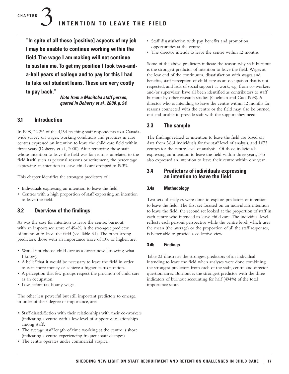**"In spite of all these [positive] aspects of my job I may be unable to continue working within the field. The wage I am making will not continue to sustain me. To get my position I took two-anda-half years of college and to pay for this I had to take out student loans. These are very costly to pay back."**

> *Note from a Manitoba staff person, quoted in Doherty et al., 2000, p. 94.*

# **3.1 Introduction**

In 1998, 22.2% of the 4,154 teaching staff respondents to a Canadawide survey on wages, working conditions and practices in care centres expressed an intention to leave the child care field within three years (Doherty et al., 2000). After removing those staff whose intention to leave the field was for reasons unrelated to the field itself, such as personal reasons or retirement, the percentage expressing an intention to leave child care dropped to 19.3%.

This chapter identifies the strongest predictors of:

- Individuals expressing an intention to leave the field.
- Centres with a high proportion of staff expressing an intention to leave the field.

# **3.2 Overview of the findings**

As was the case for intention to leave the centre, burnout, with an importance score of 49.4%, is the strongest predictor of intention to leave the field (see Table 3.1). The other strong predictors, those with an importance score of 10% or higher, are:

- Would not choose child care as a career now (knowing what I know).
- A belief that it would be necessary to leave the field in order to earn more money or achieve a higher status position.
- A perception that few groups respect the provision of child care as an occupation.
- Low before tax hourly wage.

The other less powerful but still important predictors to emerge, in order of their degree of importance, are:

- Staff dissatisfaction with their relationships with their co-workers (indicating a centre with a low level of supportive relationships among staff).
- The average staff length of time working at the centre is short (indicating a centre experiencing frequent staff changes).
- The centre operates under commercial auspice.
- Staff dissatisfaction with pay, benefits and promotion opportunities at the centre.
- The director intends to leave the centre within 12 months.

Some of the above predictors indicate the reason why staff burnout is the strongest predictor of intention to leave the field. Wages at the low end of the continuum, dissatisfaction with wages and benefits, staff perception of child care as an occupation that is not respected, and lack of social support at work, e.g. from co-workers and/or supervisor, have all been identified as contributors to staff burnout by other research studies (Goelman and Guo, 1998). A director who is intending to leave the centre within 12 months for reasons connected with the centre or the field may also be burned out and unable to provide staff with the support they need.

# **3.3 The sample**

The findings related to intention to leave the field are based on data from 3,861 individuals for the staff level of analysis, and 1,073 centres for the centre level of analysis. Of those individuals expressing an intention to leave the field within three years, 345 also expressed an intention to leave their centre within one year.

# **3.4 Predictors of individuals expressing an intention to leave the field**

### **3.4a Methodology**

Two sets of analyses were done to explore predictors of intention to leave the field. The first set focused on an individual's intention to leave the field, the second set looked at the proportion of staff in each centre who intended to leave child care. The individual level reflects each person's perspective while the centre level, which uses the mean (the average) or the proportion of all the staff responses, is better able to provide a collective view.

### **3.4b Findings**

Table 3.1 illustrates the strongest predictors of an individual intending to leave the field when analyses were done combining the strongest predictors from each of the staff, centre and director questionnaires. Burnout is the strongest predictor with the three indicators of burnout accounting for half (49.4%) of the total importance score.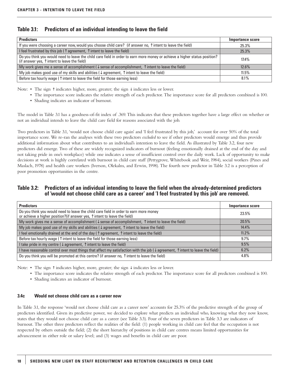# **Table 3.1: Predictors of an individual intending to leave the field**

| <b>Predictors</b>                                                                                                                                                                   | Importance score |
|-------------------------------------------------------------------------------------------------------------------------------------------------------------------------------------|------------------|
| If you were choosing a career now, would you choose child care? (if answer no, $\uparrow$ intent to leave the field)                                                                | 25.3%            |
| I feel frustrated by this job ( $\uparrow$ agreement, $\uparrow$ intent to leave the field)                                                                                         | 25.3%            |
| Do you think you would need to leave the child care field in order to earn more money or achieve a higher status position?<br>(if answer yes, $\uparrow$ intent to leave the field) | $17.4\%$         |
| My work gives me a sense of accomplishment ( $\downarrow$ sense of accomplishment, $\uparrow$ intent to leave the field)                                                            | $12.6\%$         |
| My job makes good use of my skills and abilities ( $\downarrow$ agreement, $\uparrow$ intent to leave the field)                                                                    | $11.5\%$         |
| Before tax hourly wage ( $\uparrow$ intent to leave the field for those earning less)                                                                                               | 8.1%             |

Note: • The sign ↑ indicates higher, more, greater; the sign ↓ indicates less or lower.

- The importance score indicates the relative strength of each predictor. The importance score for all predictors combined is 100.
- Shading indicates an indicator of burnout.

The model in Table 3.1 has a goodness-of-fit index of .369. This indicates that these predictors together have a large effect on whether or not an individual intends to leave the child care field for reasons associated with the job.

Two predictors in Table 3.1, 'would not choose child care again' and 'I feel frustrated by this job,' account for over 50% of the total importance score. We re-ran the analyses with these two predictors *excluded* to see if other predictors would emerge and thus provide additional information about what contributes to an individual's intention to leave the field. As illustrated by Table 3.2, four new predictors did emerge. Two of these are widely recognized indicators of burnout (feeling emotionally drained at the end of the day and not taking pride in one's workplace) while one indicates a sense of insufficient control over the daily work. Lack of opportunity to make decisions at work is highly correlated with burnout in child care staff (Pettygrove, Whitebook and Weir, 1984), social workers (Pines and Maslach, 1978) and health care workers (Iverson, Olekalns, and Erwin, 1998). The fourth new predictor in Table 3.2 is a perception of poor promotion opportunities in the centre.

# **Table 3.2: Predictors of an individual intending to leave the field when the already-determined predictors of 'would not choose child care as a career' and 'I feel frustrated by this job' are removed.**

| <b>Predictors</b>                                                                                                                                                           | Importance score |
|-----------------------------------------------------------------------------------------------------------------------------------------------------------------------------|------------------|
| Do you think you would need to leave the child care field in order to earn more money<br>or achieve a higher position?(if answer yes, $\uparrow$ intent to leave the field) | 23.5%            |
| My work gives me a sense of accomplishment ( $\downarrow$ sense of accomplishment, $\uparrow$ intent to leave the field)                                                    | 20.5%            |
| My job makes good use of my skills and abilities ( $\downarrow$ agreement, $\uparrow$ intent to leave the field)                                                            | $14.4\%$         |
| I feel emotionally drained at the end of the day ( $\uparrow$ agreement, $\uparrow$ intent to leave the field)                                                              | $11.2\%$         |
| Before tax hourly wage ( $\uparrow$ intent to leave the field for those earning less)                                                                                       | $9.7\%$          |
| I take pride in my centre ( $\downarrow$ agreement, $\uparrow$ intent to leave the field)                                                                                   | 9.5%             |
| I have reasonable control over most things that affect my satisfaction with the job $\downarrow$ agreement, $\uparrow$ intent to leave the field)                           | 6.2%             |
| Do you think you will be promoted at this centre? (if answer no, $\uparrow$ intent to leave the field)                                                                      | 4.8%             |

Note: • The sign ↑ indicates higher, more, greater; the sign ↓ indicates less or lower.

- The importance score indicates the relative strength of each predictor. The importance score for all predictors combined is 100.
- Shading indicates an indicator of burnout.

#### **3.4c Would not choose child care as a career now**

In Table 3.1, the response 'would not choose child care as a career now' accounts for 25.3% of the predictive strength of the group of predictors identified. Given its predictive power, we decided to explore what predicts an individual who, knowing what they now know, states that they would not choose child care as a career (see Table 3.3). Four of the seven predictors in Table 3.3 are indicators of burnout. The other three predictors reflect the realities of the field: (1) people working in child care feel that the occupation is not respected by others outside the field; (2) the short hierarchy of positions in child care centres means limited opportunities for advancement in either role or salary level; and (3) wages and benefits in child care are poor.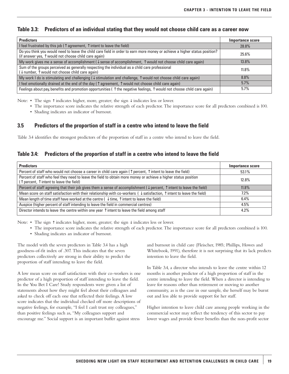# **Table 3.3: Predictors of an individual stating that they would not choose child care as a career now**

| <b>Predictors</b>                                                                                                                                                                           | Importance score |
|---------------------------------------------------------------------------------------------------------------------------------------------------------------------------------------------|------------------|
| I feel frustrated by this job ( $\uparrow$ agreement, $\uparrow$ intent to leave the field)                                                                                                 | 28.8%            |
| Do you think you would need to leave the child care field in order to earn more money or achieve a higher status position?<br>(if answer yes, $\uparrow$ would not choose child care again) | 25.6%            |
| My work gives me a sense of accomplishment ( $\downarrow$ sense of accomplishment, $\uparrow$ would not choose child care again)                                                            | $13.8\%$         |
| Sum of the groups perceived as generally respecting the individual as a child care professional $\downarrow$ number, $\uparrow$ would not choose child care again)                          | $11.8\%$         |
| My work I do is stimulating and challenging $\downarrow$ stimulation and challenge, $\uparrow$ would not choose child care again)                                                           | $8.8\%$          |
| I feel emotionally drained at the end of the day ( $\uparrow$ agreement, $\uparrow$ would not choose child care again)                                                                      | 5.7%             |
| Feelings about pay, benefits and promotion opportunities ( $\uparrow$ the negative feelings, $\uparrow$ would not choose child care again)                                                  | 5.7%             |

Note: • The sign ↑ indicates higher, more, greater; the sign ↓ indicates less or lower.

- The importance score indicates the relative strength of each predictor. The importance score for all predictors combined is 100.
	- Shading indicates an indicator of burnout.

# **3.5 Predictors of the proportion of staff in a centre who intend to leave the field**

Table 3.4 identifies the strongest predictors of the proportion of staff in a centre who intend to leave the field.

# **Table 3.4: Predictors of the proportion of staff in a centre who intend to leave the field**

| <b>Predictors</b>                                                                                                                                                              | <b>Importance score</b> |
|--------------------------------------------------------------------------------------------------------------------------------------------------------------------------------|-------------------------|
| Percent of staff who would not choose a career in child care again ( $\hat{ }$ ) percent, $\hat{ }$ intent to leave the field)                                                 | 53.1%                   |
| Percent of staff who feel they need to leave the field to obtain more money or achieve a higher status position<br>( $\uparrow$ percent, $\uparrow$ intent to leave the field) | 12.8%                   |
| Percent of staff agreeing that their job gives them a sense of accomplishment ( $\downarrow$ percent, $\uparrow$ intent to leave the field)                                    | $11.8\%$                |
| Mean score on staff satisfaction with their relationship with co-workers ( $\downarrow$ satisfaction, $\uparrow$ intent to leave the field)                                    | $7.2\%$                 |
| Mean length of time staff have worked at the centre ( $\downarrow$ time, $\uparrow$ intent to leave the field)                                                                 | $6.4\%$                 |
| Auspice (higher percent of staff intending to leave the field in commercial centres)                                                                                           | 4.5%                    |
| Director intends to leave the centre within one year $\uparrow$ intent to leave the field among staff                                                                          | $4.2\%$                 |

Note: • The sign ↑ indicates higher, more, greater; the sign ↓ indicates less or lower.

- The importance score indicates the relative strength of each predictor. The importance score for all predictors combined is 100.
- Shading indicates an indicator of burnout.

The model with the seven predictors in Table 3.4 has a high goodness-of-fit index of .307. This indicates that the seven predictors collectively are strong in their ability to predict the proportion of staff intending to leave the field.

A low mean score on staff satisfaction with their co-workers is one predictor of a high proportion of staff intending to leave the field. In the You Bet I Care! Study respondents were given a list of statements about how they might feel about their colleagues and asked to check off each one that reflected their feelings. A low score indicates that the individual checked off more descriptions of negative feelings, for example, "I feel I can't trust my colleagues," than positive feelings such as, "My colleagues support and encourage me." Social support is an important buffer against stress

and burnout in child care (Fleischer, 1985; Phillips, Howes and Whitebook, 1991), therefore it is not surprising that its lack predicts intention to leave the field.

In Table 3.4, a director who intends to leave the centre within 12 months is another predictor of a high proportion of staff in the centre intending to leave the field. When a director is intending to leave for reasons other than retirement or moving to another community, as is the case in our sample, she herself may be burnt out and less able to provide support for her staff.

Higher intention to leave child care among people working in the commercial sector may reflect the tendency of this sector to pay lower wages and provide fewer benefits than the non-profit sector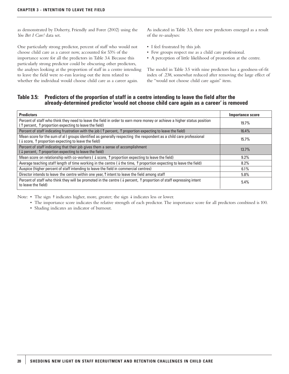as demonstrated by Doherty, Friendly and Forer (2002) using the *You Bet I Care!* data set.

One particularly strong predictor, percent of staff who would not choose child care as a career now, accounted for 53% of the importance score for all the predictors in Table 3.4. Because this particularly strong predictor could be obscuring other predictors, the analyses looking at the proportion of staff in a centre intending to leave the field were re-run leaving out the item related to whether the individual would choose child care as a career again.

As indicated in Table 3.5, three new predictors emerged as a result of the re-analyses:

- I feel frustrated by this job.
- Few groups respect me as a child care professional.
- A perception of little likelihood of promotion at the centre.

The model in Table 3.5 with nine predictors has a goodness-of-fit index of .238, somewhat reduced after removing the large effect of the "would not choose child care again" item.

# **Table 3.5: Predictors of the proportion of staff in a centre intending to leave the field after the already-determined predictor 'would not choose child care again as a career' is removed**

| <b>Predictors</b>                                                                                                                                                                                    | Importance score |
|------------------------------------------------------------------------------------------------------------------------------------------------------------------------------------------------------|------------------|
| Percent of staff who think they need to leave the field in order to earn more money or achieve a higher status position<br>( $\uparrow$ percent, $\uparrow$ proportion expecting to leave the field) | $19.7\%$         |
| Percent of staff indicating frustration with the job ( $\uparrow$ percent, $\uparrow$ proportion expecting to leave the field)                                                                       | 16.4%            |
| Mean score for the sum of all groups identified as generally respecting the respondent as a child care professional<br>$(\downarrow$ score, $\uparrow$ proportion expecting to leave the field)      | $15.7\%$         |
| Percent of staff indicating that their job gives them a sense of accomplishment<br>$(\downarrow$ percent, $\uparrow$ proportion expecting to leave the field)                                        | 13.7%            |
| Mean score on relationship with co-workers ( $\downarrow$ score, $\uparrow$ proportion expecting to leave the field)                                                                                 | $9.2\%$          |
| Average teaching staff length of time working in the centre $(\downarrow$ the time, $\uparrow$ proportion expecting to leave the field)                                                              | 8.2%             |
| Auspice (higher percent of staff intending to leave the field in commercial centres)                                                                                                                 | $6.1\%$          |
| Director intends to leave the centre within one year, ↑ intent to leave the field among staff                                                                                                        | 5.8%             |
| Percent of staff who think they will be promoted in the centre $\downarrow$ percent, $\uparrow$ proportion of staff expressing intent<br>to leave the field)                                         | $5.4\%$          |

Note: • The sign ↑ indicates higher, more, greater; the sign ↓ indicates less or lower.

- The importance score indicates the relative strength of each predictor. The importance score for all predictors combined is 100.
- Shading indicates an indicator of burnout.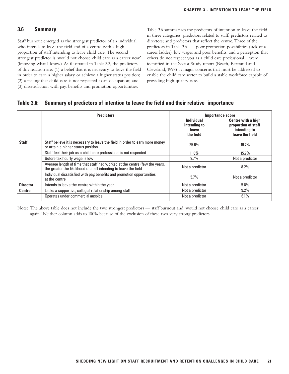#### **3.6 Summary**

Staff burnout emerged as the strongest predictor of an individual who intends to leave the field and of a centre with a high proportion of staff intending to leave child care. The second strongest predictor is 'would not choose child care as a career now' (knowing what I know). As illustrated in Table 3.3, the predictors of this reaction are: (1) a belief that it is necessary to leave the field in order to earn a higher salary or achieve a higher status position; (2) a feeling that child care is not respected as an occupation; and (3) dissatisfaction with pay, benefits and promotion opportunities.

Table 3.6 summarizes the predictors of intention to leave the field in three categories: predictors related to staff; predictors related to directors; and predictors that reflect the centre. Three of the predictors in Table 3.6 — poor promotion possibilities (lack of a career ladder), low wages and poor benefits, and a perception that others do not respect you as a child care professional – were identified in the Sector Study report (Beach, Bertrand and Cleveland, 1998) as major concerns that must be addressed to enable the child care sector to build a stable workforce capable of providing high quality care.

#### **Table 3.6: Summary of predictors of intention to leave the field and their relative importance**

|                 | <b>Predictors</b>                                                                                                                              | <b>Importance score</b>                                 |                                                                              |
|-----------------|------------------------------------------------------------------------------------------------------------------------------------------------|---------------------------------------------------------|------------------------------------------------------------------------------|
|                 |                                                                                                                                                | <b>Individual</b><br>intending to<br>leave<br>the field | Centre with a high<br>proportion of staff<br>intending to<br>leave the field |
| <b>Staff</b>    | Staff believe it is necessary to leave the field in order to earn more money<br>or attain a higher status position                             | 25.6%                                                   | $19.7\%$                                                                     |
|                 | Staff feel their job as a child care professional is not respected                                                                             | $11.8\%$                                                | $15.7\%$                                                                     |
|                 | Before tax hourly wage is low                                                                                                                  | 9.7%                                                    | Not a predictor                                                              |
|                 | Average length of time that staff had worked at the centre (few the years,<br>the greater the likelihood of staff intending to leave the field | Not a predictor                                         | $8.2\%$                                                                      |
|                 | Individual dissatisfied with pay, benefits and promotion opportunities<br>at the centre                                                        | 5.7%                                                    | Not a predictor                                                              |
| <b>Director</b> | Intends to leave the centre within the year                                                                                                    | Not a predictor                                         | 5.8%                                                                         |
| <b>Centre</b>   | Lacks a supportive, collegial relationship among staff                                                                                         | Not a predictor                                         | 9.2%                                                                         |
|                 | Operates under commercial auspice                                                                                                              | Not a predictor                                         | 6.1%                                                                         |

Note: The above table does not include the two strongest predictors — staff burnout and 'would not choose child care as a career again.' Neither column adds to 100% because of the exclusion of these two very strong predictors.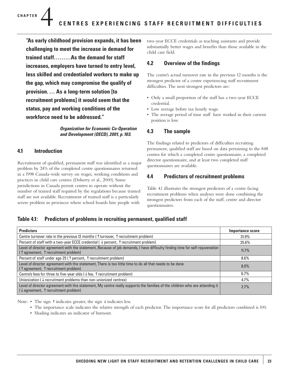**"As early childhood provision expands, it has been challenging to meet the increase in demand for trained staff………As the demand for staff increases, employers have turned to entry level, less skilled and credentialed workers to make up the gap, which may compromise the qualify of provision. … As a long-term solution [to recruitment problems] it would seem that the status, pay and working conditions of the workforce need to be addressed."**

#### *Organization for Economic Co-Operation and Development (OECD), 2001, p. 103.*

# **4.1 Introduction**

Recruitment of qualified, permanent staff was identified as a major problem by 24% of the completed centre questionnaires returned in a 1998 Canada-wide survey on wages, working conditions and practices in child care centres (Doherty et al., 2000). Some jurisdictions in Canada permit centres to operate without the number of trained staff required by the regulations because trained staff are not available. Recruitment of trained staff is a particularly severe problem in provinces where school boards hire people with

two-year ECCE credentials as teaching assistants and provide substantially better wages and benefits than those available in the child care field.

# **4.2 Overview of the findings**

The centre's actual turnover rate in the previous 12 months is the strongest predictor of a centre experiencing staff recruitment difficulties. The next strongest predictors are:

- Only a small proportion of the staff has a two-year ECCE credential.
- Low average before tax hourly wage.
- The average period of time staff have worked in their current position is low.

# **4.3 The sample**

The findings related to predictors of difficulties recruiting permanent, qualified staff are based on data pertaining to the 848 centres for which a completed centre questionnaire, a completed director questionnaire, and at least two completed staff questionnaires are available.

# **4.4 Predictors of recruitment problems**

Table 4.1 illustrates the strongest predictors of a centre facing recruitment problems when analyses were done combining the strongest predictors from each of the staff, centre and director questionnaires.

# **Table 4.1: Predictors of problems in recruiting permanent, qualified staff**

| <b>Predictors</b>                                                                                                                                                                       | Importance score |
|-----------------------------------------------------------------------------------------------------------------------------------------------------------------------------------------|------------------|
| Centre turnover rate in the previous 12 months ( $\uparrow$ turnover, $\uparrow$ recruitment problem)                                                                                   | 31.9%            |
| Percent of staff with a two-year ECCE credential ( $\downarrow$ percent, $\uparrow$ recruitment problem)                                                                                | 25.6%            |
| Level of director agreement with the statement, Because of job demands, I have difficulty finding time for self-rejuvenation<br>$(\uparrow$ agreement, $\uparrow$ recruitment problem)  | 11.7%            |
| Percent of staff under age 25 ( $\uparrow$ percent, $\uparrow$ recruitment problem)                                                                                                     | $8.6\%$          |
| Level of director agreement with the statement, There is too little time to do all that needs to be done<br>(↑ agreement, ↑ recruitment problem)                                        | $8.0\%$          |
| Centre's fees for three to five-year olds ( $\downarrow$ fee, $\uparrow$ recruitment problem)                                                                                           | 6.7%             |
| Unionization ( $\downarrow$ recruitment problems than non-unionized centres)                                                                                                            | $4.7\%$          |
| Level of director agreement with the statement, My centre really supports the families of the children who are attending it<br>$(\downarrow$ agreement, $\uparrow$ recruitment problem) | 2.7%             |

Note: • The sign ↑ indicates greater, the sign ↓ indicates less.

- The importance scale indicates the relative strength of each predictor. The importance score for all predictors combined is 100.
- Shading indicates an indicator of burnout.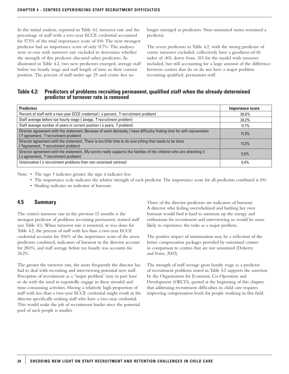In the initial analysis, reported in Table 4.1, turnover rate and the percentage of staff with a two-year ECCE credential accounted for 57.5% of the total importance score of 100. The next strongest predictor had an importance score of only 11.7%. The analyses were re-run with turnover rate excluded to determine whether the strength of this predictor obscured other predictors. As illustrated in Table 4.2, two new predictors emerged, average staff before tax hourly wage and staff length of time in their current position. The percent of staff under age 25 and centre fees no

longer emerged as predictors. Non-unionized status remained a predictor.

The seven predictors in Table 4.2, with the strong predictor of centre turnover excluded, collectively have a goodness-of-fit index of .401, down from .513 for the model with turnover included, but still accounting for a large amount of the difference between centres that do or do not have a major problem recruiting qualified, permanent staff.

# **Table 4.2: Predictors of problems recruiting permanent, qualified staff when the already-determined predictor of turnover rate is removed**

| <b>Predictors</b>                                                                                                                                                              | Importance score |
|--------------------------------------------------------------------------------------------------------------------------------------------------------------------------------|------------------|
| Percent of staff with a two-year ECCE credential ( $\downarrow$ percent, $\uparrow$ recruitment problem)                                                                       | 30.6%            |
| Staff average before tax hourly wage ( $\downarrow$ wage, $\uparrow$ recruitment problem)                                                                                      | 24.2%            |
| Staff average number of years in current position ( $\downarrow$ years, $\uparrow$ problem)                                                                                    | 11.7%            |
| Director agreement with the statement, Because of work demands, I have difficulty finding time for self-rejuvenation<br>$(\uparrow$ agreement, $\uparrow$ recruitment problem) | 11.3%            |
| Director agreement with the statement, There is too little time to do everything that needs to be done<br>(Tagreement, T recruitment problem)                                  | 11.2%            |
| Director agreement with the statement, My centre really supports the families of the children who are attending it<br>$(\downarrow$ agreement, $\uparrow$ recruitment problem) | 5.5%             |
| Unionization ( $\downarrow$ recruitment problems than non-unionized centres)                                                                                                   | 5.4%             |

Note: • The sign ↑ indicates greater, the sign ↓ indicates less.

- The importance scale indicates the relative strength of each predictor. The importance score for all predictors combined is 100.
- Shading indicates an indicator of burnout.

# **4.5 Summary**

The centre's turnover rate in the previous 12 months is the strongest predictor of problems recruiting permanent, trained staff (see Table 4.1). When turnover rate is removed, as was done for Table 4.2, the percent of staff with less than a two-year ECCE credential accounts for 30.6% of the importance score of the seven predictors combined, indicators of burnout in the director account for 28.0%, and staff average before tax hourly was accounts for 24.2%.

The greater the turnover rate, the more frequently the director has had to deal with recruiting and interviewing potential new staff. Perception of recruitment as a "major problem" may in part have to do with the need to repeatedly engage in these stressful and time-consuming activities. Having a relatively high proportion of staff with less than a two-year ECCE credential might result in the director specifically seeking staff who have a two-year credential. This would make the job of recruitment harder since the potential pool of such people is smaller.

Three of the director predictors are indicators of burnout. A director who feeling overwhelmed and battling her own burnout would find it hard to summon up the energy and enthusiasm for recruitment and interviewing so would be more likely to experience the tasks as a major problem.

The positive impact of unionization may be a reflection of the better compensation packages provided by unionized centres in comparison to centres that are not unionized (Doherty and Forer, 2002).

The strength of staff average gross hourly wage as a predictor of recruitment problems noted in Table 4.2 supports the assertion by the Organization for Economic Co-Operation and Development (OECD), quoted at the beginning of this chapter, that addressing recruitment difficulties in child care requires improving compensation levels for people working in this field.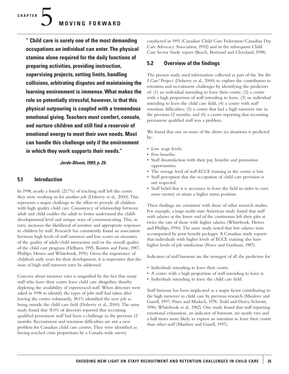**" Child care is surely one of the most demanding occupations an individual can enter. The physical stamina alone required for the daily functions of preparing activities, providing instruction, supervising projects, setting limits, handling collisions, arbitrating disputes and maintaining the learning environment is immense. What makes the role so potentially stressful, however, is that this physical outpouring is coupled with a tremendous emotional giving. Teachers must comfort, console, and nurture children and still find a reservoir of emotional energy to meet their own needs. Most can handle this challenge only if the environment in which they work supports their needs."**

#### *Jorde-Bloom, 1989, p. 26.*

#### **5.1 Introduction**

In 1998, nearly a fourth (21.7%) of teaching staff left the centre they were working in for another job (Doherty et al., 2000). This represents a major challenge to the effort to provide all children with high quality child care. Consistency of relationship between adult and child enables the adult to better understand the child's developmental level and unique ways of communicating. This, in turn, increases the likelihood of sensitive and appropriate responses to children by staff. Research has consistently found an association between high levels of staff turnover and low scores on measures of the quality of adult/child interaction and/or the overall quality of the child care program (Helburn, 1995; Kontos and Fiene, 1987; Phillips, Howes and Whitebook, 1991). Given the importance of children's early years for their development, it is imperative that the issue of high staff turnover rates be addressed.

Concern about turnover rates is magnified by the fact that many staff who leave their centre leave child care altogether, thereby depleting the availability of experienced staff. When directors were asked in 1998 to identify the types of jobs staff had taken after leaving the centre voluntarily, 38.1% identified the new job as being outside the child care field (Doherty et al., 2000). The same study found that 51.0% of directors reported that recruiting qualified permanent staff had been a challenge in the previous 12 months. Recruitment and retention difficulties are not a new problem for Canadian child care centres. They were identified as having reached crisis proportions by a Canada-wide survey

conducted in 1991 (Canadian Child Care Federation/Canadian Day Care Advocacy Association, 1992) and in the subsequent Child Care Sector Study report (Beach, Bertrand and Cleveland, 1998).

#### **5.2 Overview of the findings**

The present study used information collected as part of the *You Bet I Care!* Project (Doherty et al., 2000) to explore the contributors to retention and recruitment challenges by identifying the predictors of: (1) an individual intending to leave their centre; (2) a centre with a high proportion of staff intending to leave; (3) an individual intending to leave the child care field; (4) a centre with staff retention difficulties; (5) a centre that had a high turnover rate in the previous 12 months; and (6) a centre reporting that recruiting permanent qualified staff was a problem.

We found that one or more of the above six situations is predicted by:

- Low wage levels.
- Few benefits.
- Staff dissatisfaction with their pay, benefits and promotion opportunities.
- The average level of staff ECCE training in the centre is low.
- Staff perception that the occupation of child care provision is not respected.
- Staff belief that it is necessary to leave the field in order to earn more money or attain a higher status position.

These findings are consistent with those of other research studies. For example, a large multi-state American study found that staff with salaries at the lower end of the continuum left their jobs at twice the rate of those with higher salaries (Whitebook, Howes and Phillips, 1990). The same study noted that low salaries were accompanied by poor benefit packages. A Canadian study reports that individuals with higher levels of ECCE training also have higher levels of job satisfaction (Pence and Goelman, 1987).

Indicators of staff burnout are the strongest of all the predictors for:

- Individuals intending to leave their centre.
- A centre with a high proportion of staff intending to leave it.
- Individuals intending to leave the child care field.

Staff burnout has been implicated as a major factor contributing to the high turnover in child care by previous research (Manlove and Guzell, 1997; Pines and Maslach, 1978; Todd and Deery-Schmitt, 1996; Whitebook et al., 1982). One study found that staff reporting emotional exhaustion, an indicator of burnout, are nearly two and a half times more likely to express an intention to leave their centre than other staff (Manlove and Guzell, 1997).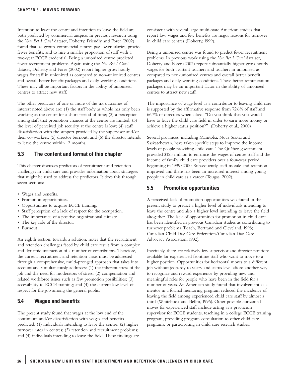Intention to leave the centre and intention to leave the field are both predicted by commercial auspice. In previous research using the *Your Bet I Care!* dataset, Doherty, Friendly and Forer (2002) found that, as group, commercial centres pay lower salaries, provide fewer benefits, and to hire a smaller proportion of staff with a two-year ECCE credential. Being a unionized centre predicted fewer recruitment problems. Again using the *You Bet I Care!* dataset, Doherty and Forer (2002) report higher gross hourly wages for staff in unionized as compared to non-unionized centres and overall better benefit packages and daily working conditions. These may all be important factors in the ability of unionized centres to attract new staff.

The other predictors of one or more of the six outcomes of interest noted above are: (1) the staff body as whole has only been working at the centre for a short period of time; (2) a perception among staff that promotion chances at the centre are limited; (3) the level of perceived job security at the centre is low; (4) staff dissatisfaction with the support provided by the supervisor and/or their co-workers; (5) director burnout; and (6) the director intends to leave the centre within 12 months.

### **5.3 The content and format of this chapter**

This chapter discusses predictors of recruitment and retention challenges in child care and provides information about strategies that might be used to address the predictors. It does this through seven sections:

- Wages and benefits.
- Promotion opportunities.
- Opportunities to acquire ECCE training.
- Staff perception of a lack of respect for the occupation.
- The importance of a positive organizational climate.
- The key role of the director.
- Burnout

An eighth section, towards a solution, notes that the recruitment and retention challenges faced by child care result from a complex and dynamic interaction of a number of contributors. Therefore, the current recruitment and retention crisis must be addressed through a comprehensive, multi-pronged approach that takes into account and simultaneously addresses: (1) the inherent stress of the job and the need for moderators of stress; (2) compensation and related workforce issues such as few promotion possibilities; (3) accessibility to ECCE training; and (4) the current low level of respect for the job among the general public.

### **5.4 Wages and benefits**

The present study found that wages at the low end of the continuum and/or dissatisfaction with wages and benefits predicted: (1) individuals intending to leave the centre; (2) higher turnover rates in centres; (3) retention and recruitment problems; and (4) individuals intending to leave the field. These findings are consistent with several large multi-state American studies that report low wages and few benefits are major reasons for turnover in child care centres (Doherty, 1999).

Being a unionized centre was found to predict fewer recruitment problems. In previous work using the *You Bet I Care!* data set, Doherty and Forer (2002) report substantially higher gross hourly wages for both assistant teachers and teachers in unionized as compared to non-unionized centres and overall better benefit packages and daily working conditions. These better remuneration packages may be an important factor in the ability of unionized centres to attract new staff.

The importance of wage level as a contributor to leaving child care is supported by the affirmative response from 72.6% of staff and 66.7% of directors when asked, "Do you think that you would have to leave the child care field in order to earn more money or achieve a higher status position?" (Doherty et al., 2000).

Several provinces, including Manitoba, Nova Scotia and Saskatchewan, have taken specific steps to improve the income levels of people providing child care. The Québec government provided \$125 million to enhance the wages of centre staff and the income of family child care providers over a four-year period beginning in 1999/2000. Subsequently, staff morale and retention improved and there has been an increased interest among young people in child care as a career (Tougas, 2002).

#### **5.5 Promotion opportunities**

A perceived lack of promotion opportunities was found in the present study to predict a higher level of individuals intending to leave the centre and also a higher level intending to leave the field altogether. The lack of opportunities for promotion in child care has been identified in previous Canadian studies as contributing to turnover problems (Beach, Bertrand and Cleveland, 1998; Canadian Child Day Care Federation/Canadian Day Care Advocacy Association, 1992).

Inevitably, there are relatively few supervisor and director positions available for experienced frontline staff who want to move to a higher position. Opportunities for horizontal moves to a different job without jeopardy to salary and status level afford another way to recognize and reward experience by providing new and meaningful roles for people who have been in the field for a number of years. An American study found that involvement as a mentor in a formal mentoring program reduced the incidence of leaving the field among experienced child care staff by almost a third (Whitebook and Bellm, 1996). Other possible horizontal moves for experienced staff include acting as a practicum supervisor for ECCE students, teaching in a college ECCE training program, providing program consultation to other child care programs, or participating in child care research studies.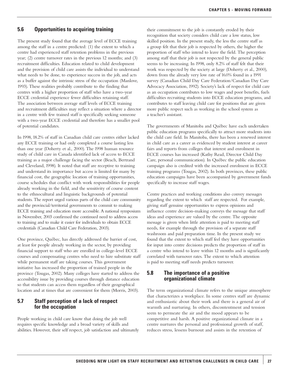#### **5.6 Opportunities to acquiring training**

The present study found that the average level of ECCE training among the staff in a centre predicted: (1) the extent to which a centre had experienced staff retention problems in the previous year; (2) centre turnover rates in the previous 12 months; and (3) recruitment difficulties. Education related to child development and the provision of child care assists the individual to understand what needs to be done, to experience success in the job, and acts as a buffer against the intrinsic stress of the occupation (Manlove, 1993). These realities probably contribute to the finding that centres with a higher proportion of staff who have a two-year ECCE credential experience fewer difficulties retaining staff. The association between average staff levels of ECCE training and recruitment difficulties may reflect a situation where a director in a centre with few trained staff is specifically seeking someone with a two-year ECCE credential and therefore has a smaller pool of potential candidates.

In 1998, 18.2% of staff in Canadian child care centres either lacked any ECCE training or had only completed a course lasting less than one year (Doherty et al., 2000). The 1998 human resource study of child care in Canada identified lack of access to ECCE training as a major challenge facing the sector (Beach, Bertrand and Cleveland, 1998). It noted that staff are receptive to training and understand its importance but access is limited for many by financial cost, the geographic location of training opportunities, course schedules that conflict with work responsibilities for people already working in the field, and the sensitivity of course content to the ethnocultural and linguistic backgrounds of potential students. The report urged various parts of the child care community and the provincial/territorial governments to commit to making ECCE training and education more accessible. A national symposium in November, 2003 confirmed the continued need to address access to training and to make it easier for individuals to obtain ECCE credentials (Canadian Child Care Federation, 2003).

One province, Québec, has directly addressed the barrier of cost, at least for people already working in the sector, by providing financial support to staff who are enrolled in college-level ECCE courses and compensating centres who need to hire substitute staff while permanent staff are taking courses. This government initiative has increased the proportion of trained people in the province (Tougas, 2002). Many colleges have started to address the accessibility issue by providing courses through distance education so that students can access them regardless of their geographical location and at times that are convenient for them (Morris, 2003).

### **5.7 Staff perception of a lack of respect for the occupation**

People working in child care know that doing the job well requires specific knowledge and a broad variety of skills and abilities. However, their self respect, job satisfaction and ultimately

their commitment to the job is constantly eroded by their recognition that society considers child care a low status, low skilled position. In the present study, the less the centre staff as a group felt that their job is respected by others, the higher the proportion of staff who intend to leave the field. The perception among staff that their job is not respected by the general public seems to be increasing. In 1998, only 8.2% of staff felt that their work was respected by the society at large (Doherty et al., 2000), down from the already very low rate of 16.0% found in a 1991 survey (Canadian Child Day Care Federation/Canadian Day Care Advocacy Association, 1992). Society's lack of respect for child care as an occupation contributes to low wages and poor benefits, fuels difficulties recruiting students into ECCE education programs, and contributes to staff leaving child care for positions that are given more public respect such as working in the school system as a teacher's assistant.

The governments of Manitoba and Québec have each undertaken public education programs specifically to attract more students into the child care field. In Manitoba, there has been a renewed interest in child care as a career as evidenced by student interest at career fairs and reports from colleges that interest and enrolment in ECCE courses has increased (Kathy Read, Director Child Day Care, personal communication). In Québec the public education campaign also is credited with the increased enrolment in ECCE training programs (Tougas, 2002). In both provinces, these public education campaigns have been accompanied by government funds specifically to increase staff wages.

Centre practices and working conditions also convey messages regarding the extent to which staff are respected. For example, giving staff genuine opportunities to express opinions and influence centre decision-making conveys the message that staff ideas and experience are valued by the centre. The opposite message is given when little attention is paid to meeting staff needs, for example through the provision of a separate staff washroom and paid preparation time. In the present study we found that the extent to which staff feel they have opportunities for input into centre decisions predicts the proportion of staff in a centre who intend to leave within 12 months and is significantly correlated with turnover rates. The extent to which attention is paid to meeting staff needs predicts turnover.

#### **5.8 The importance of a positive organizational climate**

The term organizational climate refers to the unique atmosphere that characterizes a workplace. In some centres staff are dynamic and enthusiastic about their work and there is a general air of warmth and nurturing. In others, discontentment and tension seem to permeate the air and the mood appears to be competitive and harsh. A positive organizational climate in a centre nurtures the personal and professional growth of staff, reduces stress, lessens burnout and assists in the retention of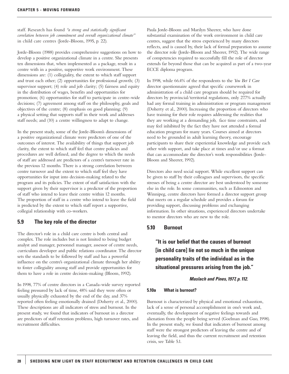staff. Research has found *"a strong and statistically significant correlation between job commitment and overall organizational climate"* in child care centres (Jorde-Bloom, 1995, p. 22).

Jorde-Bloom (1988) provides comprehensive suggestions on how to develop a positive organizational climate in a centre. She presents ten dimensions that, when implemented as a package, result in a centre with in a positive, supportive work environment. These dimensions are: (1) collegiality, the extent to which staff support and trust each other; (2) opportunities for professional growth; (3) supervisor support; (4) role and job clarity; (5) fairness and equity in the distribution of wages, benefits and opportunities for promotion; (6) opportunities for staff to participate in centre-wide decisions; (7) agreement among staff on the philosophy, goals and objectives of the centre; (8) emphasis on good planning; (9) a physical setting that supports staff in their work and addresses staff needs; and (10) a centre willingness to adapt to change.

In the present study, some of the Jorde-Bloom's dimensions of a positive organizational climate were predictors of one of the outcomes of interest. The availability of things that support job clarity, the extent to which staff feel that centre policies and procedures are well defined, and the degree to which the needs of staff are addressed are predictors of a centre's turnover rate in the previous 12 months. There is a strong correlation between centre turnover and the extent to which staff feel they have opportunities for input into decision-making related to the program and its policies. The extent of staff satisfaction with the support given by their supervisor is a predictor of the proportion of staff who intend to leave their centre within 12 months. The proportion of staff in a centre who intend to leave the field is predicted by the extent to which staff report a supportive, collegial relationship with co-workers.

# **5.9 The key role of the director**

The director's role in a child care centre is both central and complex. The role includes but is not limited to being budget analyst and manager, personnel manager, assessor of centre needs, curriculum developer and public relations coordinator. The director sets the standards to be followed by staff and has a powerful influence on the centre's organizational climate through her ability to foster collegiality among staff and provide opportunities for them to have a role in centre decision-making (Bloom, 1992).

In 1998, 77% of centre directors in a Canada-wide survey reported feeling pressured by lack of time, 48% said they were often or usually physically exhausted by the end of the day, and 37% reported often feeling emotionally drained (Doherty et al., 2000). These descriptions are all indicators of stress and burnout. In the present study, we found that indicators of burnout in a director are predictors of staff retention problems, high turnover rates, and recruitment difficulties.

Paula Jorde-Bloom and Marilyn Sheerer, who have done substantial examination of the work environment in child care centres, suggest that the stress experienced by many directors reflects, and is caused by, their lack of formal preparation to assume the director role (Jorde-Bloom and Sheerer, 1992). The wide range of competencies required to successfully fill the role of director extends far beyond those that can be acquired as part of a two-year ECCE diploma program.

In 1998, while 66.4% of the respondents to the *You Bet I Care* director questionnaire agreed that specific coursework in administration of a child care program should be required for directors by provincial/territorial regulations, only 27.7% actually had any formal training in administration or program management (Doherty et al., 2000). Increasing the proportion of directors who have training for their role requires addressing the realities that they are working at a demanding job, face time constraints, and may feel inhibited by the fact they have not attended a formal education program for many years. Courses aimed at directors need to be grounded in adult learning theory, encourage participants to share their experiential knowledge and provide each other with support, and take place at times and/or use a format that can accommodate the director's work responsibilities (Jorde-Bloom and Sheerer, 1992).

Directors also need social support. While excellent support can be given to staff by their colleagues and supervisors, the specific stresses of being a centre director are best understood by someone else in the role. In some communities, such as Edmonton and Winnipeg, centre directors have formed a director support group that meets on a regular schedule and provides a forum for providing support, discussing problems and exchanging information. In other situations, experienced directors undertake to mentor directors who are new to the role.

#### **5.10 Burnout**

# **"It is our belief that the causes of burnout [in child care] lie not so much in the unique personality traits of the individual as in the situational pressures arising from the job."**

#### *Maslach and Pines, 1977, p. 112.*

#### **5.10a What is burnout?**

Burnout is characterized by physical and emotional exhaustion, lack of a sense of personal accomplishment in one's work and, eventually, the development of negative feelings towards and alienation from the people being served (Goelman and Guo, 1998). In the present study, we found that indicators of burnout among staff were the strongest predictors of leaving the centre and of leaving the field, and thus the current recruitment and retention crisis, see Table 5.1.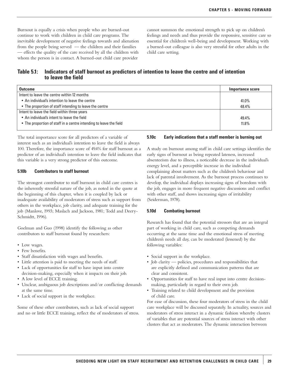Burnout is equally a crisis when people who are burned-out continue to work with children in child care programs. The inevitable development of negative feelings towards and alienation from the people being served — the children and their families — effects the quality of the care received by all the children with whom the person is in contact. A burned-out child care provider

cannot summon the emotional strength to pick up on children's feelings and needs and thus provide the responsive, sensitive care so essential for children's well-being and development. Working with a burned-out colleague is also very stressful for other adults in the child care setting.

# **Table 5.1: Indicators of staff burnout as predictors of intention to leave the centre and of intention to leave the field**

| <b>Outcome</b>                                                     | Importance score |
|--------------------------------------------------------------------|------------------|
| Intent to leave the centre within 12 months                        |                  |
| • An individual's intention to leave the centre                    | 41.0%            |
| • The proportion of staff intending to leave the centre            | 48.4%            |
| Intent to leave the field within three years                       |                  |
| • An individual's intent to leave the field                        | 49.4%            |
| • The proportion of staff in a centre intending to leave the field | $11.8\%$         |
|                                                                    |                  |

The total importance score for all predictors of a variable of interest such as an individual's intention to leave the field is always 100. Therefore, the importance score of 49.4% for staff burnout as a predictor of an individual's intention to leave the field indicates that this variable is a very strong predictor of this outcome.

#### **5.10b Contributors to staff burnout**

The strongest contributor to staff burnout in child care centres is the inherently stressful nature of the job, as noted in the quote at the beginning of this chapter, when it is coupled by lack or inadequate availability of moderators of stress such as support from others in the workplace, job clarity, and adequate training for the job (Manlove, 1993; Maslach and Jackson, 1981; Todd and Deery-Schmidtt, 1996).

Goelman and Guo (1998) identify the following as other contributors to staff burnout found by researchers:

- Low wages.
- Few benefits.
- Staff dissatisfaction with wages and benefits.
- Little attention is paid to meeting the needs of staff.
- Lack of opportunities for staff to have input into centre decision-making, especially when it impacts on their job.
- A low level of ECCE training.
- Unclear, ambiguous job descriptions and/or conflicting demands at the same time.
- Lack of social support in the workplace.

Some of these other contributors, such as lack of social support and no or little ECCE training, reflect the of moderators of stress.

#### **5.10c Early indications that a staff member is burning out**

A study on burnout among staff in child care settings identifies the early signs of burnout as being repeated lateness, increased absenteeism due to illness, a noticeable decrease in the individual's energy level, and a perceptible increase in the individual complaining about matters such as the children's behaviour and lack of parental involvement. As the burnout process continues to develop, the individual displays increasing signs of boredom with the job, engages in more frequent negative discussions and conflict with other staff, and shows increasing signs of irritability (Seiderman, 1978).

#### **5.10d Combating burnout**

Research has found that the potential stressors that are an integral part of working in child care, such as competing demands occurring at the same time and the emotional stress of meeting children's needs all day, can be moderated (lessened) by the following variables:

- Social support in the workplace.
- Job clarity policies, procedures and responsibilities that are explicitly defined and communication patterns that are clear and consistent.
- Opportunities for staff to have real input into centre decisionmaking, particularly in regard to their own job.
- Training related to child development and the provision of child care.

For ease of discussion, these four moderators of stress in the child care workplace will be discussed separately. In actuality, sources and moderators of stress interact in a dynamic fashion whereby clusters of variables that are potential sources of stress interact with other clusters that act as moderators. The dynamic interaction between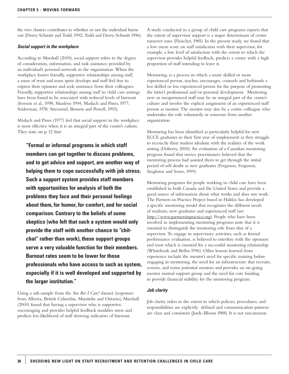the two clusters contributes to whether or not the individual burns out (Deery-Schmitt and Todd; 1992; Todd and Deery-Schmitt 1996).

#### *Social support in the workplace*

According to Marshall (2000), social support refers to the degree of consideration, information, and task assistance provided by an individual's personal network in the organization. When the workplace fosters friendly, supportive relationships among staff, a sense of trust and team spirit develops and staff feel free to express their opinions and seek assistance from their colleagues. Friendly, supportive relationships among staff in child care settings have been found to be associated with reduced levels of burnout (Iverson et al., 1998; Manlove 1994; Maslach and Pines, 1977; Seiderman, 1978; Stremmel, Benson and Powell, 1993).

Maslach and Pines (1977) feel that social support in the workplace is most effective when it is an integral part of the centre's culture. They state on p. 12 that:

**"Formal or informal programs in which staff members can get together to discuss problems, and to get advice and support, are another way of helping them to cope successfully with job stress. Such a support system provides staff members with opportunities for analysis of both the problems they face and their personal feelings about them, for humor, for comfort, and for social comparison. Contrary to the beliefs of some skeptics (who felt that such a system would only provide the staff with another chance to "chitchat" rather than work), these support groups serve a very valuable function for their members. Burnout rates seem to be lower for those professionals who have access to such as system, especially if it is well developed and supported by the larger institution."**

Using a sub-sample from the *You Bet I Care!* dataset (responses from Alberta, British Columbia, Manitoba and Ontario), Marshall (2000) found that having a supervisor who is supportive, encouraging and provides helpful feedback modifies stress and predicts less likelihood of staff showing indicators of burnout.

A study conducted in a group of child care programs reports that the extent of supervisor support is a major determinant of centre turnover rates (Fleischer, 1985). In the present study, we found that a low mean score on staff satisfaction with their supervisor, for example, a low level of satisfaction with the extent to which the supervisor provides helpful feedback, predicts a centre with a high proportion of staff intending to leave it.

Mentoring, is a process in which a more skilled or more experienced person, teaches, encourages, counsels and befriends a less skilled or less experienced person for the purpose of promoting the latter's professional and/or personal development. Mentoring new or inexperienced staff may be an integral part of the centre's culture and involve the explicit assignment of an experienced staff person as mentor. The mentor may also be a centre colleague who undertakes the role voluntarily or someone from another organization.

Mentoring has been identified as particularly helpful for new ECCE graduates in their first year of employment as they struggle to reconcile their student idealism with the realities of the work setting (Doherty, 2000). An evaluation of a Canadian mentoring program found that novice practitioners believed that the mentoring process had assisted them to get through the initial period of self-doubt as new graduates (Ferguson, Ferguson, Singleton and Soave, 1999).

Mentoring programs for people working in child care have been established in both Canada and the United States and provide a good source of information about what works and does not work. The Partners in Practice Project based in Halifax has developed a specific mentoring model that recognizes the different needs of students, new graduates and experienced staff (see http://www.partnersinpractice.org). People who have been involved in implementing mentoring programs note that it is essential to distinguish the mentoring role from that of a supervisor. To engage in supervisory activities, such as formal performance evaluation, is believed to interfere with the openness and trust which is essential for a successful mentoring relationship (Whitebook and Bellm 1996). Other lessons learned from experience include the mentor's need for specific training before engaging in mentoring, the need for an infrastructure that recruits, screens, and trains potential mentors and provides an on-going mentor mutual support group and the need for core funding to provide financial stability for the mentoring program.

#### *Job clarity*

Job clarity refers to the extent to which policies, procedures, and responsibilities are explicitly defined and communication patterns are clear and consistent (Jorde-Bloom 1988). It is not uncommon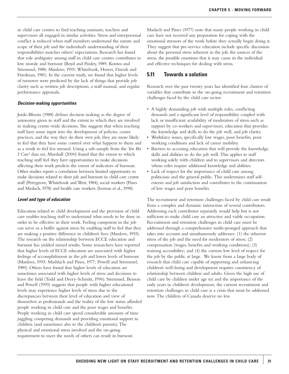in child care centres to find teaching assistants, teachers and supervisors all engaged in similar activities. Stress and interpersonal conflict is reduced when staff members understand the nature and scope of their job and the individual's understanding of their responsibilities matches others' expectations. Research has found that role ambiguity among staff in child care centres contributes to low morale and burnout (Boyd and Paisley, 1989; Kontos and Stremmel, 1988; Manlove, 1993; Whitebook, Howes, Darrah and Friedman, 1981). In the current study, we found that higher levels of turnover were predicted by the lack of things that provide job clarity such as written job descriptions, a staff manual, and regular performance appraisals.

#### *Decision-making opportunities*

Jorde-Bloom (1988) defines decision making as the degree of autonomy given to staff and the extent to which they are involved in making centre-wide decisions. She suggests that when teaching staff have some input into the development of policies, centre practices, and the way they do their own job, they are more likely to feel that they have some control over what happens to them and as a result to feel less stressed. Using a sub-sample from the *You Bet I Care!* data set, Marshall (2000) found that the extent to which teaching staff feel they havr opportunities to make decisions affecting their work predicts the extent of indicators of burnout. Other studies report a correlation between limited opportunity to make decisions related to their job and burnout in child care centre staff (Pettygrove, Whitebook and Weir, 1984), social workers (Pines and Maslach, 1978) and health care workers (Iverson et al., 1998).

#### *Level and type of education*

Education related to child development and the provision of child care enables teaching staff to understand what needs to be done in order to be effective in their work. Feeling competent in the job can serve as a buffer against stress by enabling staff to feel that they are making a positive difference in children's lives (Manlove, 1993). The research on the relationship between ECCE education and burnout has yielded mixed results. Some researchers have reported that higher levels of ECCE education are associated with higher feelings of accomplishment in the job and lower levels of burnout (Manlove, 1993; Mashlach and Pines, 1977; Powell and Stremmel, 1989). Others have found that higher levels of education are sometimes associated with higher levels of stress and decisions to leave the field (Todd and Deery-Schmitt, 1996). Stremmel, Benson and Powell (1993) suggests that people with higher educational levels may experience higher levels of stress due to the discrepancies between their level of education and view of themselves as professionals and the reality of the low status afforded people working in child care and the poor wages and benefits. People working in child care spend considerable amounts of time juggling competing demands and providing emotional support to children (and sometimes also to the children's parents). The physical and emotional stress involved and the on-going requirement to meet the needs of others can result in burnout.

Maslach and Pines (1977) note that many people working in child care have not received any preparation for coping with the emotional stressors of the work before they actually begin doing it. They suggest that pre-service education include specific discussion about the personal stress inherent in the job, the sources of the stress, the possible emotions that it may cause in the individual and effective techniques for dealing with stress.

#### **5.11 Towards a solution**

Research over the past twenty years has identified four clusters of variables that contribute to the on-going recruitment and retention challenges faced by the child care sector:

- A highly demanding job with multiple roles, conflicting demands and a significant level of responsibility coupled with lack or insufficient availability of moderators of stress such as support by co-workers and supervisors, education that provides the knowledge and skills to do the job well, and job clarity.
- Workforce issues, specifically low wages, poor benefits, poor working conditions and lack of career mobility.
- Barriers to accessing education that will provide the knowledge, skills and abilities to do the job well. This applies to staff working solely with children and to supervisors and directors whose roles require additional knowledge and abilities.
- Lack of respect for the importance of child care among politicians and the general public. This undermines staff selfesteem and job satisfaction and contributes to the continuation of low wages and poor benefits.

The recruitment and retention challenges faced by child care result from a complex and dynamic interaction of several contributors. Addressing each contributor separately would help but is not sufficient to make child care an attractive and viable occupation. Recruitment and retention challenges in child care must be addressed through a comprehensive multi-pronged approach that takes into account and simultaneously addresses: (1) the inherent stress of the job and the need for moderators of stress; (2) compensation (wages, benefits and working conditions); (3) training accessibility; and (4) the current low level of respect for the job by the public at large. We know from a large body of research that child care capable of supporting and enhancing children's well-being and development requires consistency of relationship between children and adults. Given the high use of child care by children under age six and the importance of the early years in children's development, the current recruitment and retention challenges in child care is a crisis that must be addressed now. The children of Canada deserve no less.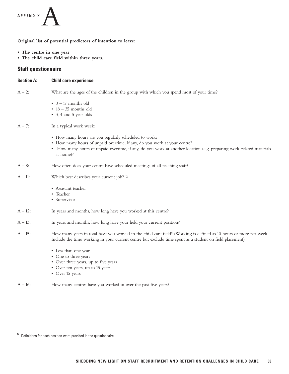

**Original list of potential predictors of intention to leave:**

- **The centre in one year**
- **The child care field within three years.**

#### **Staff questionnaire**

| <b>Section A:</b> | <b>Child care experience</b>                                                                                                                                                                                                                                          |
|-------------------|-----------------------------------------------------------------------------------------------------------------------------------------------------------------------------------------------------------------------------------------------------------------------|
| $A - 2$ :         | What are the ages of the children in the group with which you spend most of your time?                                                                                                                                                                                |
|                   | $\bullet$ 0 - 17 months old<br>$\cdot$ 18 - 35 months old<br>• 3, 4 and 5 year olds                                                                                                                                                                                   |
| $A - 7$ :         | In a typical work week:                                                                                                                                                                                                                                               |
|                   | • How many hours are you regularly scheduled to work?<br>• How many hours of unpaid overtime, if any, do you work at your centre?<br>• How many hours of unpaid overtime, if any, do you work at another location (e.g. preparing work-related materials<br>at home)? |
| $A - 8$ :         | How often does your centre have scheduled meetings of all teaching staff?                                                                                                                                                                                             |
| $A - 11$ :        | Which best describes your current job? 12                                                                                                                                                                                                                             |
|                   | • Assistant teacher<br>• Teacher<br>• Supervisor                                                                                                                                                                                                                      |
| $A - 12$ :        | In years and months, how long have you worked at this centre?                                                                                                                                                                                                         |
| $A - 13$ :        | In years and months, how long have your held your current position?                                                                                                                                                                                                   |
| $A - 15$ :        | How many years in total have you worked in the child care field? (Working is defined as 10 hours or more per week.<br>Include the time working in your current centre but exclude time spent as a student on field placement).                                        |
|                   | • Less than one year<br>• One to three years<br>• Over three years, up to five years<br>• Over ten years, up to 15 years<br>• Over 15 years                                                                                                                           |

A – 16: How many centres have you worked in over the past five years?

 $\overline{12}$  Definitions for each position were provided in the questionnaire.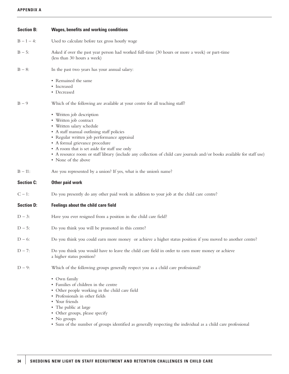| <b>Section B:</b> | <b>Wages, benefits and working conditions</b>                                                                                                                                                                                                                                                                                                                                                                     |
|-------------------|-------------------------------------------------------------------------------------------------------------------------------------------------------------------------------------------------------------------------------------------------------------------------------------------------------------------------------------------------------------------------------------------------------------------|
| $B - 1 - 4$ :     | Used to calculate before tax gross hourly wage                                                                                                                                                                                                                                                                                                                                                                    |
| $B - 5$ :         | Asked if over the past year person had worked full-time (30 hours or more a week) or part-time<br>(less than 30 hours a week)                                                                                                                                                                                                                                                                                     |
| $B - 8$ :         | In the past two years has your annual salary:                                                                                                                                                                                                                                                                                                                                                                     |
|                   | • Remained the same<br>• Increased<br>• Decreased                                                                                                                                                                                                                                                                                                                                                                 |
| $B - 9$           | Which of the following are available at your centre for all teaching staff?                                                                                                                                                                                                                                                                                                                                       |
|                   | • Written job description<br>• Written job contract<br>• Written salary schedule<br>• A staff manual outlining staff policies<br>· Regular written job performance appraisal<br>• A formal grievance procedure<br>• A room that is set aside for staff use only<br>• A resource room or staff library (include any collection of child care journals and/or books available for staff use)<br>• None of the above |
| $B - 11$ :        | Are you represented by a union? If yes, what is the union's name?                                                                                                                                                                                                                                                                                                                                                 |
| <b>Section C:</b> | Other paid work                                                                                                                                                                                                                                                                                                                                                                                                   |
| $C - 1$ :         | Do you presently do any other paid work in addition to your job at the child care centre?                                                                                                                                                                                                                                                                                                                         |
| <b>Section D:</b> | <b>Feelings about the child care field</b>                                                                                                                                                                                                                                                                                                                                                                        |
| $D - 3$ :         | Have you ever resigned from a position in the child care field?                                                                                                                                                                                                                                                                                                                                                   |
| $D - 5:$          | Do you think you will be promoted in this centre?                                                                                                                                                                                                                                                                                                                                                                 |
| $D - 6$ :         | Do you think you could earn more money or achieve a higher status position if you moved to another centre?                                                                                                                                                                                                                                                                                                        |
| $D - 7:$          | Do you think you would have to leave the child care field in order to earn more money or achieve<br>a higher status position?                                                                                                                                                                                                                                                                                     |
| $D - 9:$          | Which of the following groups generally respect you as a child care professional?                                                                                                                                                                                                                                                                                                                                 |
|                   | • Own family<br>• Families of children in the centre<br>• Other people working in the child care field<br>• Professionals in other fields<br>• Your friends<br>• The public at large<br>• Other groups, please specify<br>• No groups<br>• Sum of the number of groups identified as generally respecting the individual as a child care professional                                                             |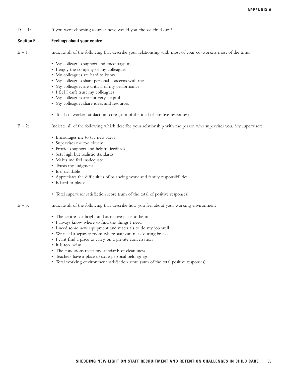D – 11: If you were choosing a career now, would you choose child care?

#### **Section E: Feelings about your centre**

- $E 1$ : Indicate all of the following that describe your relationship with most of your co-workers most of the time.
	- My colleagues support and encourage me
	- I enjoy the company of my colleagues
	- My colleagues are hard to know
	- My colleagues share personal concerns with me
	- My colleagues are critical of my performance
	- I feel I can't trust my colleagues
	- My colleagues are not very helpful
	- My colleagues share ideas and resources
	- Total co-worker satisfaction score (sum of the total of positive responses)

 $E - 2$ : Indicate all of the following which describe your relationship with the person who supervises you. My supervisor:

- Encourages me to try new ideas
- Supervises me too closely
- Provides support and helpful feedback
- Sets high but realistic standards
- Makes me feel inadequate
- Trusts my judgment
- Is unavailable
- Appreciates the difficulties of balancing work and family responsibilities
- Is hard to please
- Total supervisor satisfaction score (sum of the total of positive responses)
- $E 3$ : Indicate all of the following that describe how you feel about your working environment
	- The centre is a bright and attractive place to be in
	- I always know where to find the things I need
	- I need some new equipment and materials to do my job well
	- We need a separate room where staff can relax during breaks
	- I can't find a place to carry on a private conversation
	- It is too noisy
	- The conditions meet my standards of cleanliness
	- Teachers have a place to store personal belongings
	- Total working environment satisfaction score (sum of the total positive responses)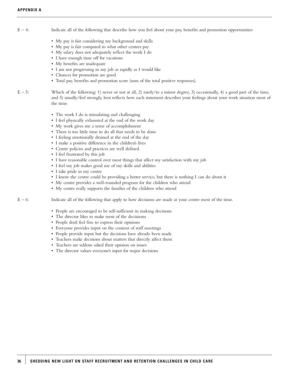- $E 4$ : Indicate all of the following that describe how you feel about your pay, benefits and promotion opportunities
	- My pay is fair considering my background and skills
	- My pay is fair compared to what other centres pay
	- My salary does not adequately reflect the work I do
	- I have enough time off for vacations
	- My benefits are inadequate
	- I am not progressing in my job as rapidly as I would like
	- Chances for promotion are good
	- Total pay, benefits and promotion score (sum of the total posiitve responses).
- $E 5$ : Which of the following: 1) never or not at all, 2) rarely/to a minor degree, 3) occasionally, 4) a good part of the time, and 5) usually/feel strongly, best reflects how each statement describes your feelings about your work situation most of the time.
	- The work I do is stimulating and challenging
	- I feel physically exhausted at the end of the work day
	- My work gives me a sense of accomplishment
	- There is too little time to do all that needs to be done
	- I feeling emotionally drained at the end of the day
	- I make a positive difference in the children's lives
	- Centre policies and practices are well defined
	- I feel frustrated by this job
	- I have reasonable control over most things that affect my satisfaction with my job
	- I feel my job makes good use of my skills and abilities
	- I take pride in my centre
	- I know the centre could be providing a better service, but there is nothing I can do about it
	- My centre provides a well-rounded program for the children who attend
	- My centre really supports the families of the children who attend

E – 6: Indicate all of the following that apply to how decisions are made at your centre most of the time.

- People are encouraged to be self-sufficient in making decisions
- The director likes to make most of the decisisons
- People don't feel free to express their opinions
- Everyone provides input on the content of staff meetings
- People provide input but the decisions have already been made
- Teachers make decisions about matters that directly affect them
- Teachers are seldom asked their opinion on issues
- The director values everyone's input for major decisions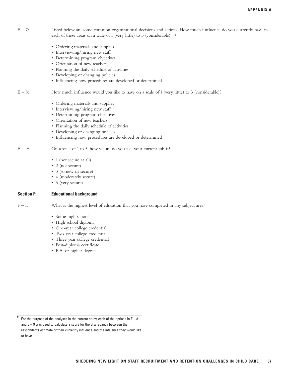- $E 7$ : Listed below are some common organizational decisions and actions. How much iinfluence do you currently have in each of these areas on a scale of 1 (very little) to 3 (considerable)? <sup>13</sup>
	- Ordering materials and supplies
	- Interviewing/hiring new staff
	- Determining program objectives
	- Orientation of new teachers
	- Planning the daily schedule of activities
	- Developing or changing policies
	- Influencing how procedures are developed or determined
- $E 8$ : How much influence would you like to have on a scale of 1 (very little) to 3 (considerable)?
	- Ordering materials and supplies
	- Interviewing/hiring new staff
	- Determining program objectives
	- Orientation of new teachers
	- Planning the daily schedule of activities
	- Developing or changing policies
	- Influencing how procedures are developed or determined
- $E 9$ : On a scale of 1 to 5, how secure do you feel your current job is?
	- 1 (not secure at all)
	- 2 (not secure)
	- 3 (somewhat secure)
	- 4 (moderately secure)
	- 5 (very secure)

#### **Section F: Educational background**

F – 1: What is the highest level of education that you have completed in any subject area?

- Some high school
- High school diploma
- One-year college credential
- Two-year college credential
- Three year college credential
- Post-diploma certificate
- B.A. or higher degree

 $\frac{13}{13}$  For the purpose of the analyses in the current study, each of the options in E - 8 and E – 9 was used to calculate a score for the discrepancy between the respondents estimate of their currently influence and the influence they would like to have.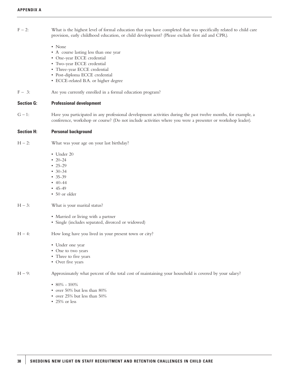$F - 2$ : What is the highest level of formal education that you have completed that was specifically related to child care provision, early childhood education, or child development? (Please exclude first aid and CPR).

- None
- A course lasting less than one year
- One-year ECCE credential
- Two-year ECCE credential
- Three-year ECCE credential
- Post-diploma ECCE credential
- ECCE-related B.A. or higher degree
- F 3: Are you currently enrolled in a formal education program?

#### **Section G: Professional development**

 $G - 1$ : Have you participated in any professional development activities during the past twelve months, for example, a conference, workshop or course? (Do not include activities where you were a presenter or workshop leader).

#### **Section H: Personal background**

- $H 2$ : What was your age on your last birthday?
	- Under 20
	- $\cdot$  20-24
	- $25-29$
	- $30 34$
	- 35-39
	- $40-44$
	- 45-49
	- 50 or older

#### $H - 3$ : What is your marital status?

- Married or living with a partner
- Single (includes separated, divorced or widowed)
- H 4: How long have you lived in your present town or city?
	- Under one year
	- One to two years
	- Three to five years
	- Over five years
- H 9: Approximately what percent of the total cost of maintaining your household is covered by your salary?

#### •  $80\% - 100\%$

- over 50% but less than 80%
- over 25% but less than 50%
- 25% or less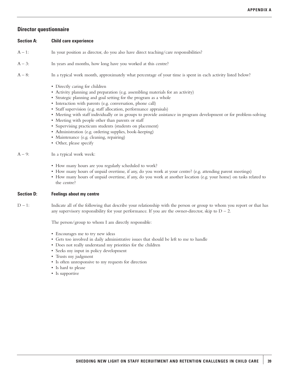#### **Director questionnaire**

#### **Section A: Child care experience**

- $A 1$ : In your position as director, do you also have direct teaching/care responsibilities?
- $A 3$ : In years and months, how long have you worked at this centre?
- A 8: In a typical work month, approximately what percentage of your time is spent in each activity listed below?
	- Directly caring for children
	- Activity planning and preparation (e.g. assembling materials for an activity)
	- Strategic planning and goal setting for the program as a whole
	- Interaction with parents (e.g. conversation, phone call)
	- Staff supervision (e.g. staff allocation, performance appraisals)
	- Meeting with staff individually or in groups to provide assistance in program development or for problem-solving
	- Meeting with people other than parents or staff
	- Supervising practicum students (students on placement)
	- Administration (e.g. ordering supplies, book-keeping)
	- Maintenance (e.g. cleaning, repairing)
	- Other, please specify

#### $A - 9$ : In a typical work week:

- How many hours are you regularly scheduled to work?
- How many hours of unpaid overtime, if any, do you work at your centre? (e.g. attending parent meetings)
- How many hours of unpaid overtime, if any, do you work at another location (e.g. your home) on tasks related to the centre?

#### **Section D: Feelings about my centre**

 $D-1$ : Indicate all of the following that describe your relationship with the person or group to whom you report or that has any supervisory responsibility for your performance. If you are the owner-director, skip to  $D - 2$ .

The person/group to whom I am directly responsible:

- Encourages me to try new ideas
- Gets too involved in daily administrative issues that should be left to me to handle
- Does not really understand my priorities for the children
- Seeks my input in policy development
- Trusts my judgment
- Is often unresponsive to my requests for direction
- Is hard to please
- Is supportive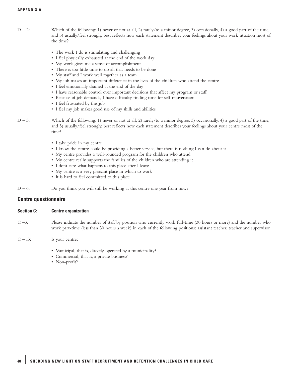- $D 2$ : Which of the following: 1) never or not at all, 2) rarely/to a minor degree, 3) occasionally, 4) a good part of the time, and 5) usually/feel strongly, best reflects how each statement describes your feelings about your work situation most of the time?
	- The work I do is stimulating and challenging
	- I feel physically exhausted at the end of the work day
	- My work gives me a sense of accomplishment
	- There is too little time to do all that needs to be done
	- My staff and I work well together as a team
	- My job makes an important difference in the lives of the children who attend the centre
	- I feel emotionally drained at the end of the day
	- I have reasonable control over important decisions that affect my program or staff
	- Because of job demands, I have difficulty finding time for self-rejuvenation
	- I feel frustrated by this job
	- I feel my job makes good use of my skills and abilities
- $D 3$ : Which of the following: 1) never or not at all, 2) rarely/to a minor degree, 3) occasionally, 4) a good part of the time, and 5) usually/feel strongly, best reflects how each statement describes your feelings about your centre most of the time?
	- I take pride in my centre
	- I know the centre could be providing a better service, but there is nothing I can do about it
	- My centre provides a well-rounded program for the children who attend
	- My centre really supports the families of the children who are attending it
	- I don't care what happens to this place after I leave
	- My centre is a very pleasant place in which to work
	- It is hard to feel committed to this place
- $D 6$ : Do you think you will still be working at this centre one year from now?

#### **Centre questionnaire**

#### **Section C: Centre organization**

- C –3: Please indicate the number of staff by position who currently work full-time (30 hours or more) and the number who work part-time (less than 30 hours a week) in each of the following positions: assistant teacher, teacher and supervisor.
- $C 13$ : Is your centre:
	- Municipal, that is, directly operated by a municipality?
	- Commercial, that is, a private business?
	- Non-profit?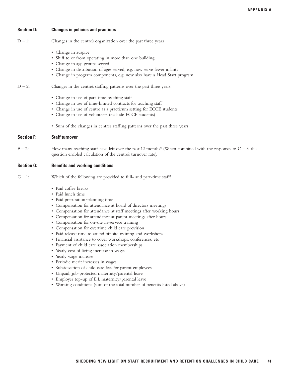#### **Section D: Changes in policies and practices**

- $D 1$ : Changes in the centre's organization over the past three years
	- Change in auspice
	- Shift to or from operating in more than one building
	- Change in age groups served
	- Change in distribution of ages served, e.g. now serve fewer infants
	- Change in program components, e.g. now also have a Head Start program

 $D - 2$ : Changes in the centre's staffing patterns over the past three years

- Change in use of part-time teaching staff
- Change in use of time-limited contracts for teaching staff
- Change in use of centre as a practicum setting for ECCE students
- Change in use of volunteers (exclude ECCE students)
- Sum of the changes in centre's staffing patterns over the past three years

#### **Section F: Staff turnover**

 $F - 2$ : How many teaching staff have left over the past 12 months? (When combined with the responses to  $C - 3$ , this question enabled calculation of the centre's turnover rate).

#### **Section G: Benefits and working conditions**

- $G 1$ : Which of the following are provided to full- and part-time staff?
	- Paid coffee breaks
	- Paid lunch time
	- Paid preparation/planning time
	- Compensation for attendance at board of directors meetings
	- Compensation for attendance at staff meetings after working hours
	- Compensation for attendance at parent meetings after hours
	- Compensation for on-site in-service training
	- Compensation for overtime child care provision
	- Paid release time to attend off-site training and workshops
	- Financial assistance to cover workshops, conferences, etc
	- Payment of child care association memberships
	- Yearly cost of living increase in wages
	- Yearly wage increase
	- Periodic merit increases in wages
	- Subsidization of child care fees for parent employees
	- Unpaid, job-protected maternity/parental leave
	- Employer top-up of E.I. maternity/parental leave
	- Working conditions (sum of the total number of benefits listed above)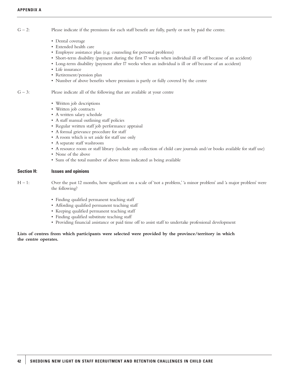- $G 2$ : Please indicate if the premiums for each staff benefit are fully, partly or not by paid the centre.
	- Dental coverage
	- Extended health care
	- Employee assistance plan (e.g. counseling for personal problems)
	- Short-term disability (payment during the first 17 weeks when individual ill or off because of an accident)
	- Long-term disability (payment after 17 weeks when an individual is ill or off because of an accident)
	- Life insurance
	- Retirement/pension plan
	- Number of above benefits where premium is partly or fully covered by the centre
- $G 3$ : Please indicate all of the following that are available at your centre
	- Written job descriptions
	- Written job contracts
	- A written salary schedule
	- A staff manual outlining staff policies
	- Regular written staff job performance appraisal
	- A formal grievance procedure for staff
	- Aroom which is set aside for staff use only
	- A separate staff washroom
	- A resource room or staff library (include any collection of child care journals and/or books available for staff use)
	- None of the above
	- Sum of the total number of above items indicated as being available

#### **Section H: Issues and opinions**

- H 1: Over the past 12 months, how significant on a scale of 'not a problem,' 'a minor problem' and 'a major problem' were the following?
	- Finding qualified permanent teaching staff
	- Affording qualified permanent teaching staff
	- Keeping qualified permanent teaching staff
	- Finding qualified substitute teaching staff
	- Providing financial assistance or paid time off to assist staff to undertake professional development

#### **Lists of centres from which participants were selected were provided by the province/territory in which the centre operates.**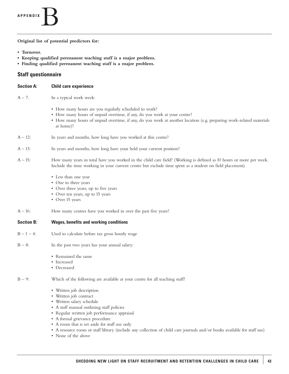### **APPENDIX**B

**Original list of potential predictors for:**

- **Turnover.**
- **Keeping qualified permanent teaching staff is a major problem.**
- **Finding qualified permanent teaching staff is a major problem.**

#### **Staff questionnaire**

| <b>Section A:</b> | <b>Child care experience</b>                                                                                                                                                                                                                                                                                                                                                                                      |
|-------------------|-------------------------------------------------------------------------------------------------------------------------------------------------------------------------------------------------------------------------------------------------------------------------------------------------------------------------------------------------------------------------------------------------------------------|
| $A - 7:$          | In a typical work week:                                                                                                                                                                                                                                                                                                                                                                                           |
|                   | • How many hours are you regularly scheduled to work?<br>• How many hours of unpaid overtime, if any, do you work at your centre?<br>• How many hours of unpaid overtime, if any, do you work at another location (e.g. preparing work-related materials<br>at home)?                                                                                                                                             |
| $A - 12$ :        | In years and months, how long have you worked at this centre?                                                                                                                                                                                                                                                                                                                                                     |
| $A - 13$ :        | In years and months, how long have your held your current position?                                                                                                                                                                                                                                                                                                                                               |
| $A - 15$ :        | How many years in total have you worked in the child care field? (Working is defined as 10 hours or more per week.<br>Include the time working in your current centre but exclude time spent as a student on field placement).                                                                                                                                                                                    |
|                   | • Less than one year<br>• One to three years<br>• Over three years, up to five years<br>• Over ten years, up to 15 years<br>• Over 15 years                                                                                                                                                                                                                                                                       |
| $A - 16$ :        | How many centres have you worked in over the past five years?                                                                                                                                                                                                                                                                                                                                                     |
| <b>Section B:</b> | <b>Wages, benefits and working conditions</b>                                                                                                                                                                                                                                                                                                                                                                     |
| $B - 1 - 4$ :     | Used to calculate before tax gross hourly wage                                                                                                                                                                                                                                                                                                                                                                    |
| $B - 8$ :         | In the past two years has your annual salary:                                                                                                                                                                                                                                                                                                                                                                     |
|                   | • Remained the same<br>• Increased<br>• Decreased                                                                                                                                                                                                                                                                                                                                                                 |
| $B - 9:$          | Which of the following are available at your centre for all teaching staff?                                                                                                                                                                                                                                                                                                                                       |
|                   | • Written job description<br>• Written job contract<br>• Written salary schedule<br>• A staff manual outlining staff policies<br>· Regular written job performance appraisal<br>• A formal grievance procedure<br>• A room that is set aside for staff use only<br>• A resource room or staff library (include any collection of child care journals and/or books available for staff use)<br>• None of the above |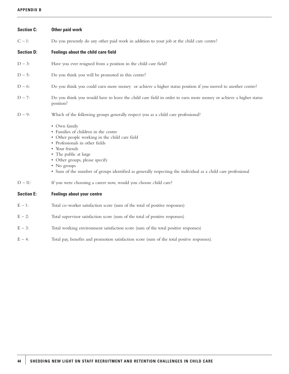#### **APPENDIX B**

| <b>Section C:</b> | Other paid work                                                                                                                                                                                                                                                                                                                                       |
|-------------------|-------------------------------------------------------------------------------------------------------------------------------------------------------------------------------------------------------------------------------------------------------------------------------------------------------------------------------------------------------|
| $C - 1$ :         | Do you presently do any other paid work in addition to your job at the child care centre?                                                                                                                                                                                                                                                             |
| <b>Section D:</b> | Feelings about the child care field                                                                                                                                                                                                                                                                                                                   |
| $D - 3$ :         | Have you ever resigned from a position in the child care field?                                                                                                                                                                                                                                                                                       |
| $D - 5:$          | Do you think you will be promoted in this centre?                                                                                                                                                                                                                                                                                                     |
| $D - 6$ :         | Do you think you could earn more money or achieve a higher status position if you moved to another centre?                                                                                                                                                                                                                                            |
| $D - 7:$          | Do you think you would have to leave the child care field in order to earn more money or achieve a higher status<br>position?                                                                                                                                                                                                                         |
| $D - 9:$          | Which of the following groups generally respect you as a child care professional?                                                                                                                                                                                                                                                                     |
|                   | • Own family<br>• Families of children in the centre<br>• Other people working in the child care field<br>• Professionals in other fields<br>• Your friends<br>• The public at large<br>• Other groups, please specify<br>• No groups<br>• Sum of the number of groups identified as generally respecting the individual as a child care professional |
| $D - 11$ :        | If you were choosing a career now, would you choose child care?                                                                                                                                                                                                                                                                                       |
| <b>Section E:</b> | <b>Feelings about your centre</b>                                                                                                                                                                                                                                                                                                                     |
| $E - 1$ :         | Total co-worker satisfaction score (sum of the total of positive responses)                                                                                                                                                                                                                                                                           |
| $E - 2$ :         | Total supervisor satisfaction score (sum of the total of positive responses)                                                                                                                                                                                                                                                                          |
| $E - 3$ :         | Total working environment satisfaction score (sum of the total positive responses)                                                                                                                                                                                                                                                                    |
| $E - 4$ :         | Total pay, benefits and promotion satisfaction score (sum of the total positve responses).                                                                                                                                                                                                                                                            |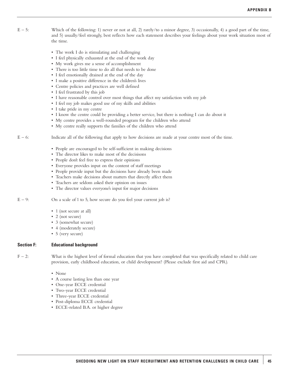- $E 5$ : Which of the following: 1) never or not at all, 2) rarely/to a minor degree, 3) occasionally, 4) a good part of the time, and 5) usually/feel strongly, best reflects how each statement describes your feelings about your work situation most of the time.
	- The work I do is stimulating and challenging
	- I feel physically exhausted at the end of the work day
	- My work gives me a sense of accomplishment
	- There is too little time to do all that needs to be done
	- I feel emotionally drained at the end of the day
	- I make a positive difference in the children's lives
	- Centre policies and practices are well defined
	- I feel frustrated by this job
	- I have reasonable control over most things that affect my satisfaction with my job
	- I feel my job makes good use of my skills and abilities
	- I take pride in my centre
	- I know the centre could be providing a better service, but there is nothing I can do about it
	- My centre provides a well-rounded program for the children who attend
	- My centre really supports the families of the children who attend
- $E 6$ : Indicate all of the following that apply to how decisions are made at your centre most of the time.
	- People are encouraged to be self-sufficient in making decisions
	- The director likes to make most of the decisisons
	- People don't feel free to express their opinions
	- Everyone provides input on the content of staff meetings
	- People provide input but the decisions have already been made
	- Teachers make decisions about matters that directly affect them
	- Teachers are seldom asked their opinion on issues
	- The director values everyone's input for major decisions
- $E 9$ : On a scale of 1 to 5, how secure do you feel your current job is?
	- 1 (not secure at all)
	- 2 (not secure)
	- 3 (somewhat secure)
	- 4 (moderately secure)
	- 5 (very secure)

#### **Section F: Educational background**

 $F - 2$ : What is the highest level of formal education that you have completed that was specifically related to child care provision, early childhood education, or child development? (Please exclude first aid and CPR).

- None
- A course lasting less than one year
- One-year ECCE credential
- Two-year ECCE credential
- Three-year ECCE credential
- Post-diploma ECCE credential
- ECCE-related B.A. or higher degree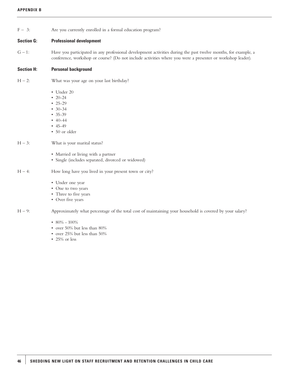#### **APPENDIX B**

| $F - 3:$ |  |  |  |  |  | Are you currently enrolled in a formal education program? |  |
|----------|--|--|--|--|--|-----------------------------------------------------------|--|
|----------|--|--|--|--|--|-----------------------------------------------------------|--|

#### **Section G: Professional development**

G – 1: Have you participated in any professional development activities during the past twelve months, for example, a conference, workshop or course? (Do not include activities where you were a presenter or workshop leader).

#### **Section H: Personal background**

- $H 2$ : What was your age on your last birthday?
	- Under 20
	- 20-24
	- 25-29
	- $30 34$
	- 35-39
	- $40-44$
	- 45-49
	- 50 or older

#### $H - 3$ : What is your marital status?

- Married or living with a partner
- Single (includes separated, divorced or widowed)
- H 4: How long have you lived in your present town or city?
	- Under one year
	- One to two years
	- Three to five years
	- Over five years
- H 9: Approximately what percentage of the total cost of maintaining your household is covered by your salary?

#### •  $80\% - 100\%$

- over 50% but less than 80%
- over 25% but less than 50%
- 25% or less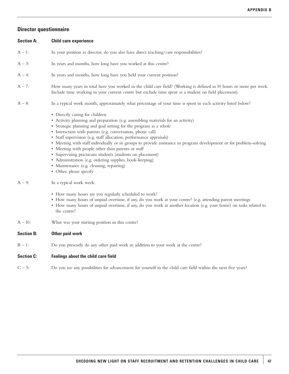### **Director questionnaire**

| <b>Section A:</b> | <b>Child care experience</b>                                                                                                                                                                                                                                                                                                                                                                                                                                                                                                                                                                                                                                                                                                   |
|-------------------|--------------------------------------------------------------------------------------------------------------------------------------------------------------------------------------------------------------------------------------------------------------------------------------------------------------------------------------------------------------------------------------------------------------------------------------------------------------------------------------------------------------------------------------------------------------------------------------------------------------------------------------------------------------------------------------------------------------------------------|
| $A - 1$ :         | In your position as director, do you also have direct teaching/care responsibilities?                                                                                                                                                                                                                                                                                                                                                                                                                                                                                                                                                                                                                                          |
| $A - 3$ :         | In years and months, how long have you worked at this centre?                                                                                                                                                                                                                                                                                                                                                                                                                                                                                                                                                                                                                                                                  |
| $A - 4$ :         | In years and months, how long have you held your current position?                                                                                                                                                                                                                                                                                                                                                                                                                                                                                                                                                                                                                                                             |
| $A - 7:$          | How many years in total have you worked in the child care field? (Working is defined as 10 hours or more per week.<br>Include time working in your current centre but exclude time spent as a student on field placement).                                                                                                                                                                                                                                                                                                                                                                                                                                                                                                     |
| $A - 8$ :         | In a typical work month, approximately what percentage of your time is spent in each activity listed below?                                                                                                                                                                                                                                                                                                                                                                                                                                                                                                                                                                                                                    |
| $A - 9$ :         | • Directly caring for children<br>• Activity planning and preparation (e.g. assembling materials for an activity)<br>• Strategic planning and goal setting for the program as a whole<br>· Interaction with parents (e.g. conversation, phone call)<br>· Staff supervision (e.g. staff allocation, performance appraisals)<br>• Meeting with staff individually or in groups to provide assistance in program development or for problem-solving<br>• Meeting with people other than parents or staff<br>· Supervising practicum students (students on placement)<br>• Administration (e.g. ordering supplies, book-keeping)<br>· Maintenance (e.g. cleaning, repairing)<br>• Other, please specify<br>In a typical work week: |
|                   | • How many hours are you regularly scheduled to work?<br>• How many hours of unpaid overtime, if any, do you work at your centre? (e.g. attending parent meetings<br>• How many hours of unpaid overtime, if any, do you work at another location (e.g. your home) on tasks related to<br>the centre?                                                                                                                                                                                                                                                                                                                                                                                                                          |
| $A - 10$ :        | What was your starting position in this centre?                                                                                                                                                                                                                                                                                                                                                                                                                                                                                                                                                                                                                                                                                |
| <b>Section B:</b> | Other paid work                                                                                                                                                                                                                                                                                                                                                                                                                                                                                                                                                                                                                                                                                                                |
| $B - 1$ :         | Do you presently do any other paid work in addition to your work at the centre?                                                                                                                                                                                                                                                                                                                                                                                                                                                                                                                                                                                                                                                |
| <b>Section C:</b> | <b>Feelings about the child care field</b>                                                                                                                                                                                                                                                                                                                                                                                                                                                                                                                                                                                                                                                                                     |
| $C - 5$ :         | Do you see any possibilities for advancement for yourself in the child care field within the next five years?                                                                                                                                                                                                                                                                                                                                                                                                                                                                                                                                                                                                                  |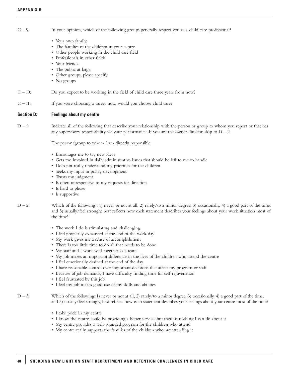$C - 9$ : In your opinion, which of the following groups generally respect you as a child care professional?

- Your own family.
- The families of the children in your centre
- Other people working in the child care field
- Professionals in other fields
- Your friends
- The public at large
- Other groups, please specify
- No groups

 $C - 10$ : Do you expect to be working in the field of child care three years from now?

C – 11: If you were choosing a career now, would you choose child care?

#### **Section D: Feelings about my centre**

 $D-1$ : Indicate all of the following that describe your relationship with the person or group to whom you report or that has any supervisory responsibility for your performance. If you are the owner-director, skip to  $D - 2$ .

The person/group to whom I am directly responsible:

- Encourages me to try new ideas
- Gets too involved in daily administrative issues that should be left to me to handle
- Does not really understand my priorities for the children
- Seeks my input in policy development
- Trusts my judgment
- Is often unresponsive to my requests for direction
- Is hard to please
- Is supportive

 $D - 2$ : Which of the following : 1) never or not at all, 2) rarely/to a minor degree, 3) occasionally, 4) a good part of the time, and 5) usually/feel strongly, best reflects how each statement describes your feelings about your work situation most of the time?

- The work I do is stimulating and challenging
- I feel physically exhausted at the end of the work day
- My work gives me a sense of accomplishment
- There is too little time to do all that needs to be done
- My staff and I work well together as a team
- My job makes an important difference in the lives of the children who attend the centre
- I feel emotionally drained at the end of the day
- I have reasonable control over important decisions that affect my program or staff
- Because of job demands, I have difficulty finding time for self-rejuvenation
- I feel frustrated by this job
- I feel my job makes good use of my skills and abilities
- $D 3$ : Which of the following: 1) never or not at all, 2) rarely/to a minor degree, 3) occasionally, 4) a good part of the time, and 5) usually/feel strongly, best reflects how each statement describes your feelings about your centre most of the time?
	- I take pride in my centre
	- I know the centre could be providing a better service, but there is nothing I can do about it
	- My centre provides a well-rounded program for the children who attend
	- My centre really supports the families of the children who are attending it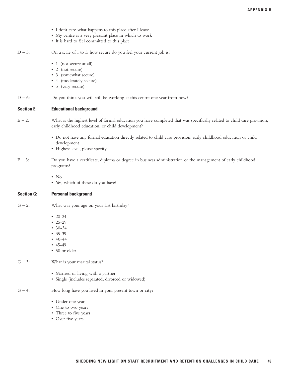- I don't care what happens to this place after I leave
- My centre is a very pleasant place in which to work
- It is hard to feel committed to this place
- $D 5$ : On a scale of 1 to 5, how secure do you feel your current job is?
	- 1 (not secure at all)
	- 2 (not secure)
	- 3 (somewhat secure)
	- 4 (moderately secure)
	- 5 (very secure)
- $D 6$ : Do you think you will still be working at this centre one year from now?

#### **Section E: Educational background**

- $E 2$ : What is the highest level of formal education you have completed that was specifically related to child care provision, early childhood education, or child development?
	- Do not have any formal education directly related to child care provision, early childhood education or child development
	- Highest level, please specify
- E 3: Do you have a certificate, diploma or degree in business administration or the management of early childhood programs?
	- No
	- Yes, which of these do you have?

#### **Section G: Personal background**

- $G 2$ : What was your age on your last birthday?
	- 20-24
	- $25 29$
	- 30-34
	- $35-39$
	- 40-44
	- 45-49
	- 50 or older

#### $G - 3$ : What is your marital status?

- Married or living with a partner
- Single (includes separated, divorced or widowed)
- $G 4$ : How long have you lived in your present town or city?
	- Under one year
	- One to two years
	- Three to five years
	- Over five years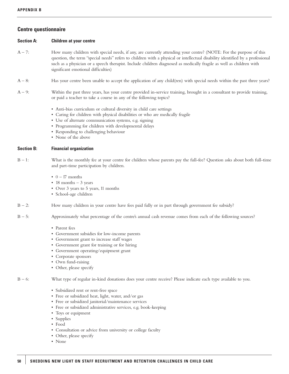#### **Centre questionnaire**

#### **Section A: Children at your centre**

- A 7: How many children with special needs, if any, are currently attending your centre? (NOTE: For the purpose of this question, the term "special needs" refers to children with a physical or intellectual disability identified by a professional such as a physician or a speech therapist. Include children diagnosed as medically fragile as well as children with significant emotional difficulties)
- A 8: Has your centre been unable to accept the application of any child(ren) with special needs within the past three years?
- $A 9$ : Within the past three years, has your centre provided in-service training, brought in a consultant to provide training, or paid a teacher to take a course in any of the following topics?
	- Anti-bias curriculum or cultural diversity in child care settings
	- Caring for children with physical disabilities or who are medically fragile
	- Use of alternate communication systems, e.g. signing
	- Programming for children with developmental delays
	- Responding to challenging behaviour
	- None of the above

#### **Section B: Financial organization**

 $B - 1$ : What is the monthly fee at your centre for children whose parents pay the full-fee? Question asks about both full-time and part-time participation by children.

- $0 17$  months
- 18 months  $-3$  years
- Over 3 years to 5 years, 11 months
- School-age children
- $B 2$ : How many children in your centre have fees paid fully or in part through government fee subsidy?
- $B 5$ : Approximately what percentage of the centre's annual cash revenue comes from each of the following sources?
	- Parent fees
	- Government subsidies for low-income parents
	- Government grant to increase staff wages
	- Government grant for training or for hiring
	- Government operating/equipment grant
	- Corporate sponsors
	- Own fund-raising
	- Other, please specify

B – 6: What type of regular in-kind donations does your centre receive? Please indicate each type available to you.

- Subsidized rent or rent-free space
- Free or subsidized heat, light, water, and/or gas
- Free or subsidized janitorial/maintenance services
- Free or subsidized administrative services, e.g. book-keeping
- Toys or equipment
- Supplies
- Food
- Consultation or advice from university or college faculty
- Other, please specify
- None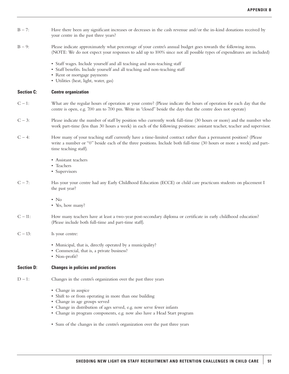- $B 7$ : Have there been any significant increases or decreases in the cash revenue and/or the in-kind donations received by your centre in the past three years?
- B 9: Please indicate approximately what percentage of your centre's annual budget goes towards the following items. (NOTE: We do not expect your responses to add up to 100% since not all possible types of expenditures are included)
	- Staff wages. Include yourself and all teaching and non-teaching staff
	- Staff benefits. Include yourself and all teaching and non-teaching staff
	- Rent or mortgage payments
	- Utilities (heat, light, water, gas)

#### **Section C: Centre organization**

- $C-1$ : What are the regular hours of operation at your centre? (Please indicate the hours of operation for each day that the centre is open, e.g. 7.00 am to 7.00 pm. Write in "closed" beside the days that the centre does not operate)
- $C 3$ : Please indicate the number of staff by position who currently work full-time (30 hours or more) and the number who work part-time (less than 30 hours a week) in each of the following positions: assistant teacher, teacher and supervisor.
- C 4: How many of your teaching staff currently have a time-limited contract rather than a permanent position? (Please write a number or "0" beside each of the three positions. Include both full-time (30 hours or more a week) and parttime teaching staff).
	- Assistant teachers
	- Teachers
	- Supervisors
- C 7: Has your your centre had any Early Childhood Education (ECCE) or child care practicum students on placement I the past year?
	- No
	- Yes, how many?
- C 11: How many teachers have at least a two-year post-secondary diploma or certificate in early childhood education? (Please include both full-time and part-time staff).
- $C 13$ : Is your centre:
	- Municipal, that is, directly operated by a municipality?
	- Commercial, that is, a private business?
	- Non-profit?

#### **Section D: Changes in policies and practices**

- $D 1$ : Changes in the centre's organization over the past three years
	- Change in auspice
	- Shift to or from operating in more than one building
	- Change in age groups served
	- Change in distribution of ages served, e.g. now serve fewer infants
	- Change in program components, e.g. now also have a Head Start program
	- Sum of the changes in the centre's organization over the past three years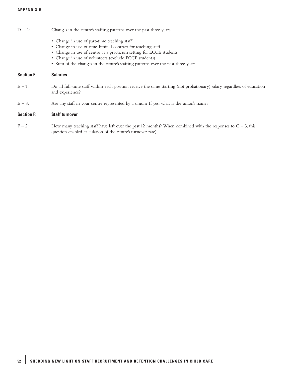#### $D - 2$ : Changes in the centre's staffing patterns over the past three years

- Change in use of part-time teaching staff
- Change in use of time-limited contract for teaching staff
- Change in use of centre as a practicum setting for ECCE students
- Change in use of volunteers (exclude ECCE students)
- Sum of the changes in the centre's staffing patterns over the past three years

#### **Section E: Salaries**

- E 1: Do all full-time staff within each position receive the same starting (not probationary) salary regardless of education and experience?
- $E 8$ : Are any staff in your centre represented by a union? If yes, what is the union's name?

#### **Section F: Staff turnover**

 $F - 2$ : How many teaching staff have left over the past 12 months? When combined with the responses to  $C - 3$ , this question enabled calculation of the centre's turnover rate).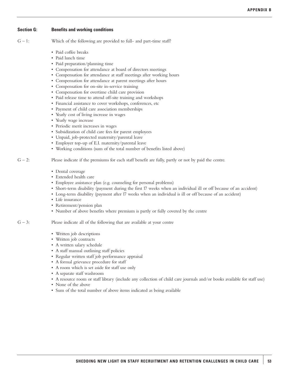#### **Section G: Benefits and working conditions**

- Paid coffee breaks
- Paid lunch time
- Paid preparation/planning time
- Compensation for attendance at board of directors meetings
- Compensation for attendance at staff meetings after working hours
- Compensation for attendance at parent meetings after hours
- Compensation for on-site in-service training
- Compensation for overtime child care provision
- Paid release time to attend off-site training and workshops
- Financial assistance to cover workshops, conferences, etc
- Payment of child care association memberships
- Yearly cost of living increase in wages
- Yearly wage increase
- Periodic merit increases in wages
- Subsidization of child care fees for parent employees
- Unpaid, job-protected maternity/parental leave
- Employer top-up of E.I. maternity/parental leave
- Working conditions (sum of the total number of benefits listed above)
- $G 2$ : Please indicate if the premiums for each staff benefit are fully, partly or not by paid the centre.
	- Dental coverage
	- Extended health care
	- Employee assistance plan (e.g. counseling for personal problems)
	- Short-term disability (payment during the first 17 weeks when an individual ill or off because of an accident)
	- Long-term disability (payment after 17 weeks when an individual is ill or off because of an accident)
	- Life insurance
	- Retirement/pension plan
	- Number of above benefits where premium is partly or fully covered by the centre
- $G 3$ : Please indicate all of the following that are available at your centre
	- Written job descriptions
	- Written job contracts
	- A written salary schedule
	- A staff manual outlining staff policies
	- Regular written staff job performance appraisal
	- A formal grievance procedure for staff
	- Aroom which is set aside for staff use only
	- A separate staff washroom
	- A resource room or staff library (include any collection of child care journals and/or books available for staff use)
	- None of the above
	- Sum of the total number of above items indicated as being available

 $G - 1$ : Which of the following are provided to full- and part-time staff?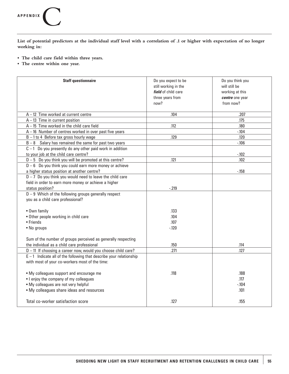## **APPENDIX**C

**List of potential predictors at the individual staff level with a correlation of .1 or higher with expectation of no longer working in:**

- **The child care field within three years.**
- **The centre within one year.**

| <b>Staff questionnaire</b>                                                                                                                                              | Do you expect to be<br>still working in the<br>field of child care<br>three years from<br>now? | Do you think you<br>will still be<br>working at this<br>centre one year<br>from now? |
|-------------------------------------------------------------------------------------------------------------------------------------------------------------------------|------------------------------------------------------------------------------------------------|--------------------------------------------------------------------------------------|
| $A - 12$ Time worked at current centre                                                                                                                                  | .104                                                                                           | .207                                                                                 |
| $A - 13$ Time in current position                                                                                                                                       |                                                                                                | .175                                                                                 |
| $A - 15$ Time worked in the child care field                                                                                                                            | .112                                                                                           | .180                                                                                 |
| $A-16$ Number of centres worked in over past five years                                                                                                                 |                                                                                                | $-.104$                                                                              |
| $B - 1$ to 4 Before tax gross hourly wage                                                                                                                               | .129                                                                                           | .120                                                                                 |
| $B - 8$ Salary has remained the same for past two years                                                                                                                 |                                                                                                | $-.106$                                                                              |
| $C - 1$ Do you presently do any other paid work in addition                                                                                                             |                                                                                                |                                                                                      |
| to your job at the child care centre?                                                                                                                                   |                                                                                                | $-.102$                                                                              |
| $D - 5$ Do you think you will be promoted at this centre?                                                                                                               | .121                                                                                           | .102                                                                                 |
| $D - 6$ Do you think you could earn more money or achieve                                                                                                               |                                                                                                |                                                                                      |
| a higher status position at another centre?                                                                                                                             |                                                                                                | $-.158$                                                                              |
| $D - 7$ Do you think you would need to leave the child care                                                                                                             |                                                                                                |                                                                                      |
| field in order to earn more money or achieve a higher                                                                                                                   |                                                                                                |                                                                                      |
| status position?                                                                                                                                                        | $-219$                                                                                         |                                                                                      |
| $D - 9$ Which of the following groups generally respect<br>you as a child care professional?                                                                            |                                                                                                |                                                                                      |
|                                                                                                                                                                         |                                                                                                |                                                                                      |
| • Own family                                                                                                                                                            | .133                                                                                           |                                                                                      |
| • Other people working in child care                                                                                                                                    | .104                                                                                           |                                                                                      |
| $\bullet$ Friends                                                                                                                                                       | .107                                                                                           |                                                                                      |
| • No groups                                                                                                                                                             | $-120$                                                                                         |                                                                                      |
| Sum of the number of groups perceived as generally respecting                                                                                                           |                                                                                                |                                                                                      |
| the individual as a child care professional                                                                                                                             | .150                                                                                           | .114                                                                                 |
| $D-11$ If choosing a career now, would you choose child care?                                                                                                           | .271                                                                                           | .127                                                                                 |
| $E - 1$ Indicate all of the following that describe your relationship<br>with most of your co-workers most of the time:                                                 |                                                                                                |                                                                                      |
| . My colleagues support and encourage me<br>• I enjoy the company of my colleagues<br>• My colleagues are not very helpful<br>. My colleagues share ideas and resources | .118                                                                                           | .188<br>.117<br>$-104$<br>.101                                                       |
| Total co-worker satisfaction score                                                                                                                                      | .127                                                                                           | .155                                                                                 |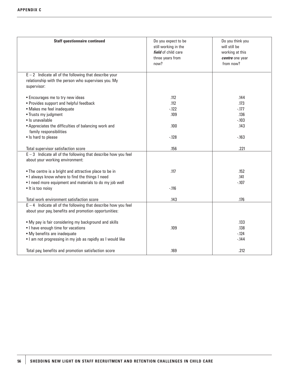| <b>Staff questionnaire continued</b>                                                                                                                                                                                                                            | Do you expect to be<br>still working in the<br>field of child care<br>three years from<br>now? | Do you think you<br>will still be<br>working at this<br>centre one year<br>from now? |
|-----------------------------------------------------------------------------------------------------------------------------------------------------------------------------------------------------------------------------------------------------------------|------------------------------------------------------------------------------------------------|--------------------------------------------------------------------------------------|
| $E - 2$ Indicate all of the following that describe your<br>relationship with the person who supervises you. My<br>supervisor:                                                                                                                                  |                                                                                                |                                                                                      |
| • Encourages me to try new ideas<br>• Provides support and helpful feedback<br>· Makes me feel inadequate<br>• Trusts my judgment<br>· Is unavailable<br>• Appreciates the difficulties of balancing work and<br>family responsibilities<br>• Is hard to please | .112<br>.112<br>$-122$<br>.109<br>.100<br>$-.128$                                              | .144<br>.173<br>$-177$<br>.136<br>$-.103$<br>.143<br>$-.163$                         |
| Total supervisor satisfaction score<br>$E-3$ Indicate all of the following that describe how you feel                                                                                                                                                           | .156                                                                                           | .221                                                                                 |
| about your working environment:<br>• The centre is a bright and attractive place to be in<br>. I always know where to find the things I need<br>. I need more equipment and materials to do my job well<br>· It is too noisy                                    | .117<br>$-116$                                                                                 | .152<br>.141<br>$-.107$                                                              |
| Total work environment satisfaction score<br>$E - 4$ Indicate all of the following that describe how you feel<br>about your pay, benefits and promotion opportunities:                                                                                          | .143                                                                                           | .176                                                                                 |
| . My pay is fair considering my background and skills<br>• I have enough time for vacations<br>• My benefits are inadequate<br>. I am not progressing in my job as rapidly as I would like                                                                      | .109                                                                                           | .133<br>.138<br>$-124$<br>$-144$                                                     |
| Total pay, benefits and promotion satisfaction score                                                                                                                                                                                                            | .169                                                                                           | .212                                                                                 |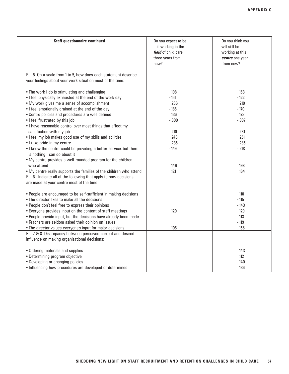| <b>Staff questionnaire continued</b>                                | Do you expect to be<br>still working in the<br>field of child care | Do you think you<br>will still be<br>working at this |
|---------------------------------------------------------------------|--------------------------------------------------------------------|------------------------------------------------------|
|                                                                     | three years from                                                   | centre one year                                      |
|                                                                     | now?                                                               | from now?                                            |
|                                                                     |                                                                    |                                                      |
| $E - 5$ On a scale from 1 to 5, how does each statement describe    |                                                                    |                                                      |
| your feelings about your work situation most of the time:           |                                                                    |                                                      |
|                                                                     |                                                                    |                                                      |
| • The work I do is stimulating and challenging                      | .198                                                               | .153                                                 |
| . I feel physically exhausted at the end of the work day            | $-151$                                                             | $-122$                                               |
| • My work gives me a sense of accomplishment                        | .266                                                               | .210                                                 |
| . I feel emotionally drained at the end of the day                  | $-.185$                                                            | $-.170$                                              |
| • Centre policies and procedures are well defined                   | .136                                                               | .173                                                 |
| . I feel frustrated by this job                                     | $-.300$                                                            | $-.307$                                              |
| • I have reasonable control over most things that affect my         |                                                                    |                                                      |
| satisfaction with my job                                            | .210                                                               | .231                                                 |
| . I feel my job makes good use of my skills and abilities           | .246                                                               | .251                                                 |
| · I take pride in my centre                                         | .235                                                               | .285                                                 |
| . I know the centre could be providing a better service, but there  | $-.149$                                                            | $-218$                                               |
| is nothing I can do about it                                        |                                                                    |                                                      |
| . My centre provides a well-rounded program for the children        |                                                                    |                                                      |
| who attend                                                          | .146                                                               | .198                                                 |
| . My centre really supports the families of the children who attend | .121                                                               | .164                                                 |
| $E - 6$ Indicate all of the following that apply to how decisions   |                                                                    |                                                      |
| are made at your centre most of the time:                           |                                                                    |                                                      |
|                                                                     |                                                                    |                                                      |
| • People are encouraged to be self-sufficient in making decisions   |                                                                    | .110                                                 |
| . The director likes to make all the decisions                      |                                                                    | $-.115$                                              |
| . People don't feel free to express their opinions                  |                                                                    | $-143$                                               |
| • Everyone provides input on the content of staff meetings          | .120                                                               | .129                                                 |
| . People provide input, but the decisions have already been made    |                                                                    | $-.113$                                              |
| • Teachers are seldom asked their opinion on issues                 |                                                                    | $-.119$                                              |
| . The director values everyone's input for major decisions          | .105                                                               | .156                                                 |
| $E - 7$ & 8 Discrepancy between perceived current and desired       |                                                                    |                                                      |
| influence on making organizational decisions:                       |                                                                    |                                                      |
|                                                                     |                                                                    |                                                      |
| • Ordering materials and supplies                                   |                                                                    | .143                                                 |
| • Determining program objective                                     |                                                                    | .112                                                 |
| • Developing or changing policies                                   |                                                                    | .140                                                 |
| • Influencing how procedures are developed or determined            |                                                                    | .136                                                 |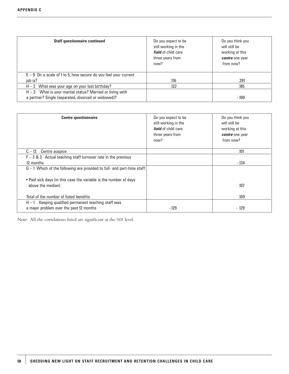| <b>Staff questionnaire continued</b>                                                                               | Do you expect to be<br>still working in the<br>field of child care<br>three years from<br>now? | Do you think you<br>will still be<br>working at this<br>centre one year<br>from now? |
|--------------------------------------------------------------------------------------------------------------------|------------------------------------------------------------------------------------------------|--------------------------------------------------------------------------------------|
| $E-9$ On a scale of 1 to 5, how secure do you feel your current                                                    |                                                                                                |                                                                                      |
| iob is?                                                                                                            | .116                                                                                           | .291                                                                                 |
| $H - 2$ What was your age on your last birthday?                                                                   | .122                                                                                           | .185                                                                                 |
| $H - 3$ What is your marital status? Married or living with<br>a partner? Single (separated, divorced or widowed)? |                                                                                                | $-100$                                                                               |

| <b>Centre questionnaire</b>                                                                       | Do you expect to be<br>still working in the<br><i>field</i> of child care<br>three years from<br>now? | Do you think you<br>will still be<br>working at this<br>centre one year<br>from now? |
|---------------------------------------------------------------------------------------------------|-------------------------------------------------------------------------------------------------------|--------------------------------------------------------------------------------------|
| Centre auspice<br>$C-13$                                                                          |                                                                                                       | .101                                                                                 |
| $F - 2$ & 3 Actual teaching staff turnover rate in the previous<br>12 months                      |                                                                                                       | $-134$                                                                               |
| $G - 1$ Which of the following are provided to full- and part-time staff:                         |                                                                                                       |                                                                                      |
| • Paid sick days (in this case the variable is the number of days<br>above the median)            |                                                                                                       | .107                                                                                 |
| Total of the number of listed benefits                                                            |                                                                                                       | .109                                                                                 |
| $H - 1$ Keeping qualified permanent teaching staff was<br>a major problem over the past 12 months | $-129$                                                                                                | $-.129$                                                                              |

Note: All the correlations listed are significant at the 0.01 level.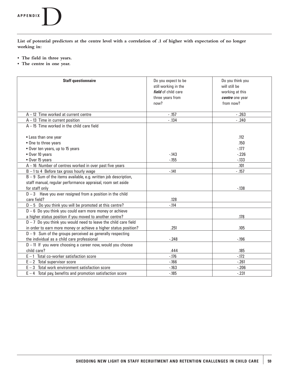# **APPENDIX**D

**List of potential predictors at the centre level with a correlation of .1 of higher with expectation of no longer working in:** 

- **The field in three years.**
- **The centre in one year.**

| <b>Staff questionnaire</b>                                        | Do you expect to be  | Do you think you |
|-------------------------------------------------------------------|----------------------|------------------|
|                                                                   | still working in the | will still be    |
|                                                                   | field of child care  | working at this  |
|                                                                   | three years from     | centre one year  |
|                                                                   | now?                 | from now?        |
|                                                                   |                      |                  |
| $A - 12$ Time worked at current centre                            | $-.157$              | $-.263$          |
| $A - 13$ Time in current position                                 | $-.134$              | $-.240$          |
| $A - 15$ Time worked in the child care field                      |                      |                  |
|                                                                   |                      |                  |
| • Less than one year                                              |                      | .112             |
| • One to three years                                              |                      | .150             |
| • Over ten years, up to 15 years                                  |                      | $-177$           |
| • Over 10 years                                                   | $-143$               | $-226$           |
| • Over 15 years                                                   | $-155$               | $-133$           |
| $A - 16$ Number of centres worked in over past five years         |                      | .101             |
| $B - 1$ to 4 Before tax gross hourly wage                         | $-141$               | $-.157$          |
| $B - 9$ Sum of the items available, e.g. written job description, |                      |                  |
| staff manual, regular performance appraisal, room set aside       |                      |                  |
| for staff only                                                    |                      | $-138$           |
| $D-3$ Have you ever resigned from a position in the child         |                      |                  |
| care field?                                                       | .128                 |                  |
| $D - 5$ Do you think you will be promoted at this centre?         | $-.114$              |                  |
| $D - 6$ Do you think you could earn more money or achieve         |                      |                  |
| a higher status position if you moved to another centre?          |                      | .178             |
| $D - 7$ Do you think you would need to leave the child care field |                      |                  |
| in order to earn more money or achieve a higher status position?  | .251                 | .105             |
| $D - 9$ Sum of the groups perceived as generally respecting       |                      |                  |
| the individual as a child care professional                       | $-.248$              | $-196$           |
| $D - 11$ If you were choosing a career now, would you choose      |                      |                  |
| child care?                                                       | .444                 | .185             |
| $E - 1$ Total co-worker satisfaction score                        | $-.176$              | $-172$           |
| $E - 2$ Total supervisor score                                    | $-166$               | $-.261$          |
| $E-3$ Total work environment satisfaction score                   | $-163$               | $-.206$          |
| $E - 4$ Total pay, benefits and promotion satisfaction score      | $-185$               | $-.231$          |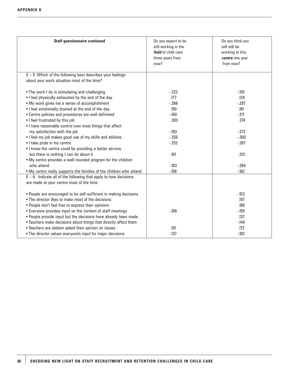| <b>Staff questionnaire continued</b>                                                                       | Do you expect to be<br>still working in the<br>field of child care<br>three years from<br>now? | Do you think you<br>will still be<br>working at this<br>centre one year<br>from now? |
|------------------------------------------------------------------------------------------------------------|------------------------------------------------------------------------------------------------|--------------------------------------------------------------------------------------|
| $E - 5$ Which of the following best describes your feelings<br>about your work situation most of the time? |                                                                                                |                                                                                      |
|                                                                                                            |                                                                                                |                                                                                      |
| • The work I do is stimulating and challenging                                                             | $-222$                                                                                         | $-155$                                                                               |
| . I feel physically exhausted by the end of the day                                                        | .177                                                                                           | .134                                                                                 |
| • My work gives me a sense of accomplishment                                                               | $-266$                                                                                         | $-297$                                                                               |
| . I feel emotionally drained at the end of the day                                                         | .159                                                                                           | .181                                                                                 |
| • Centre policies and procedures are well definined                                                        | $-160$                                                                                         | $-211$                                                                               |
| • I feel frustrated by this job                                                                            | .303                                                                                           | .374                                                                                 |
| • I have reasonable control over most things that affect                                                   |                                                                                                |                                                                                      |
| my satisfaction with the job                                                                               | $-.193$                                                                                        | $-.272$                                                                              |
| . I feel my job makes good use of my skills and abilities                                                  | $-0.256$                                                                                       | $-.300$                                                                              |
| • I take pride in my centre                                                                                | $-252$                                                                                         | $-.307$                                                                              |
| • I know the centre could be providing a better service,                                                   |                                                                                                |                                                                                      |
| but there is nothing I can do about it                                                                     | .161                                                                                           | .312                                                                                 |
| • My centre provides a well-rounded program for the children                                               |                                                                                                |                                                                                      |
| who attend                                                                                                 | $-183$                                                                                         | $-264$                                                                               |
| . My centre really supports the families of the children who attend                                        | $-158$                                                                                         | $-182$                                                                               |
| $E-6$ Indicate all of the following that apply to how decisions                                            |                                                                                                |                                                                                      |
| are made at your centre most of the time:                                                                  |                                                                                                |                                                                                      |
|                                                                                                            |                                                                                                |                                                                                      |
| • People are encouraged to be self-sufficient in making decisions                                          |                                                                                                | $-153$                                                                               |
| . The director likes to make most of the decisions                                                         |                                                                                                | .197                                                                                 |
| . People don't feel free to express their opinions                                                         |                                                                                                | .189                                                                                 |
| • Everyone provides input on the content of staff meetings                                                 | $-.106$                                                                                        | $-159$                                                                               |
| • People provide input but the decisions have already been made                                            |                                                                                                | .137                                                                                 |
| • Teachers make decisions about things that directly affect them                                           |                                                                                                | $-.140$                                                                              |
| • Teachers are seldom asked their opinion on issues                                                        | .101                                                                                           | .172                                                                                 |
| . The director values everyone's input for major decisions                                                 | $-137$                                                                                         | $-182$                                                                               |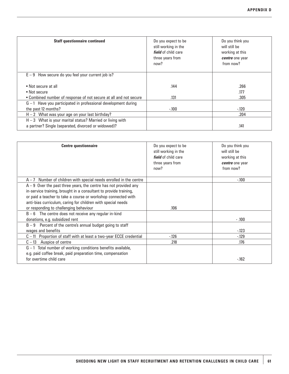| <b>Staff questionnaire continued</b>                              | Do you expect to be<br>still working in the<br><i>field</i> of child care<br>three years from<br>now? | Do you think you<br>will still be<br>working at this<br>centre one year<br>from now? |
|-------------------------------------------------------------------|-------------------------------------------------------------------------------------------------------|--------------------------------------------------------------------------------------|
| $E - 9$ How secure do you feel your current job is?               |                                                                                                       |                                                                                      |
| • Not secure at all                                               | .144                                                                                                  | .266                                                                                 |
| • Not secure                                                      |                                                                                                       | .177                                                                                 |
| • Combined number of response of not secure at all and not secure | .131                                                                                                  | .305                                                                                 |
| $G-1$ Have you participated in professional development during    |                                                                                                       |                                                                                      |
| the past 12 months?                                               | $-100$                                                                                                | $-120$                                                                               |
| $H - 2$ What was your age on your last birthday?                  |                                                                                                       | .204                                                                                 |
| $H - 3$ What is your marital status? Married or living with       |                                                                                                       |                                                                                      |
| a partner? Single (separated, divorced or widowed)?               |                                                                                                       | .141                                                                                 |

| <b>Centre questionnaire</b>                                                                                                                                                                                                                                              | Do you expect to be<br>still working in the<br>field of child care<br>three years from<br>now? | Do you think you<br>will still be<br>working at this<br>centre one year<br>from now? |
|--------------------------------------------------------------------------------------------------------------------------------------------------------------------------------------------------------------------------------------------------------------------------|------------------------------------------------------------------------------------------------|--------------------------------------------------------------------------------------|
| $A - 7$ Number of children with special needs enrolled in the centre                                                                                                                                                                                                     |                                                                                                | $-100$                                                                               |
| $A - 9$ Over the past three years, the centre has not provided any<br>in-service training, brought in a consultant to provide training,<br>or paid a teacher to take a course or workshop connected with<br>anti-bias curriculum, caring for children with special needs |                                                                                                |                                                                                      |
| or responding to challenging behaviour                                                                                                                                                                                                                                   | .106                                                                                           |                                                                                      |
| $B - 6$ The centre does not receive any regular in-kind<br>donations, e.g. subsidized rent                                                                                                                                                                               |                                                                                                | $-0.100$                                                                             |
| $B - 9$ Percent of the centre's annual budget going to staff<br>wages and benefits                                                                                                                                                                                       |                                                                                                | $-123$                                                                               |
| $C-11$ Proportion of staff with at least a two-year ECCE credential                                                                                                                                                                                                      | $-126$                                                                                         | $-129$                                                                               |
| $C - 13$ Auspice of centre                                                                                                                                                                                                                                               | .218                                                                                           | .176                                                                                 |
| $G-1$ Total number of working conditions benefits available,<br>e.g. paid coffee break, paid preparation time, compensation<br>for overtime child care                                                                                                                   |                                                                                                | $-162$                                                                               |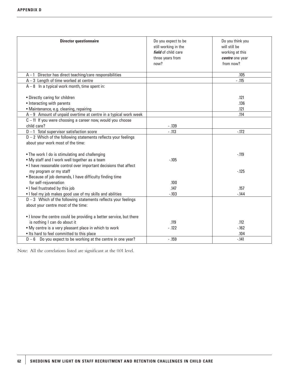| <b>Director questionnaire</b>                                      | Do you expect to be  | Do you think you |
|--------------------------------------------------------------------|----------------------|------------------|
|                                                                    | still working in the | will still be    |
|                                                                    | field of child care  | working at this  |
|                                                                    | three years from     | centre one year  |
|                                                                    | now?                 | from now?        |
|                                                                    |                      |                  |
| $A-1$ Director has direct teaching/care responsibilities           |                      | .105             |
| $A - 3$ Length of time worked at centre                            |                      | $-.115$          |
| $A - 8$ In a typical work month, time spent in:                    |                      |                  |
|                                                                    |                      |                  |
| • Directly caring for children                                     |                      | .121             |
| • Interacting with parents                                         |                      | .136             |
| · Maintenance, e.g. cleaning, repairing                            |                      | .121             |
| $A - 9$ Amount of unpaid overtime at centre in a typical work week |                      | .114             |
| $C - 11$ If you were choosing a career now, would you choose       |                      |                  |
| child care?                                                        | $-.139$              |                  |
| $D-1$ Total supervisor satisfaction score                          | $-.113$              | $-172$           |
| $D - 2$ Which of the following statements reflects your feelings   |                      |                  |
| about your work most of the time:                                  |                      |                  |
|                                                                    |                      |                  |
| • The work I do is stimulating and challenging                     |                      | $-0.119$         |
| . My staff and I work well together as a team                      | $-.105$              |                  |
| • I have reasonable control over important decisions that affect   |                      |                  |
| my program or my staff                                             |                      | $-125$           |
| • Because of job demands, I have difficulty finding time           |                      |                  |
| for self-rejuvenation                                              | .100                 |                  |
| . I feel frustrated by this job                                    | .147                 | .157             |
| . I feel my job makes good use of my skills and abilities          | $-.103$              | $-144$           |
| $D-3$ Which of the following statements reflects your feelings     |                      |                  |
| about your centre most of the time:                                |                      |                  |
|                                                                    |                      |                  |
| . I know the centre could be providing a better service, but there |                      |                  |
| is nothing I can do about it                                       | .119                 | .112             |
| . My centre is a very pleasant place in which to work              | $-.122$              | $-162$           |
| . Its hard to feel committed to this place                         |                      | .104             |
| $D-6$ Do you expect to be working at the centre in one year?       | $-.159$              | $-141$           |

Note: All the correlations listed are significant at the 0.01 level.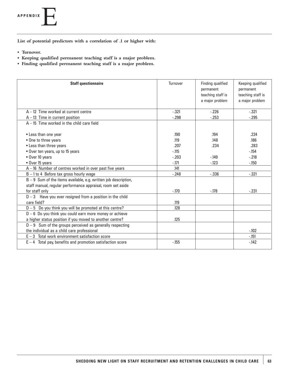

**List of potential predictors with a correlation of .1 or higher with:** 

- **Turnover.**
- **Keeping qualified permanent teaching staff is a major problem.**
- **Finding qualified permanent teaching staff is a major problem.**

| <b>Staff questionnaire</b>                                                                                                       | Turnover | Finding qualified<br>permanent<br>teaching staff is<br>a major problem | Keeping qualified<br>permanent<br>teaching staff is<br>a major problem |
|----------------------------------------------------------------------------------------------------------------------------------|----------|------------------------------------------------------------------------|------------------------------------------------------------------------|
| $A - 12$ Time worked at current centre                                                                                           | $-.321$  | $-226$                                                                 | $-.321$                                                                |
| $A - 13$ Time in current position                                                                                                | $-0.298$ | $-253$                                                                 | $-295$                                                                 |
| $A - 15$ Time worked in the child care field                                                                                     |          |                                                                        |                                                                        |
|                                                                                                                                  |          |                                                                        |                                                                        |
| • Less than one year                                                                                                             | .190     | .194                                                                   | .224                                                                   |
| • One to three years                                                                                                             | .119     | .148                                                                   | .186                                                                   |
| • Less than three years                                                                                                          | .207     | .234                                                                   | .283                                                                   |
| • Over ten years, up to 15 years                                                                                                 | $-0.115$ |                                                                        | $-154$                                                                 |
| • Over 10 years                                                                                                                  | $-.203$  | $-149$                                                                 | $-.218$                                                                |
| • Over 15 years                                                                                                                  | $-171$   | $-123$                                                                 | $-150$                                                                 |
| $A - 16$ Number of centres worked in over past five years                                                                        | .141     |                                                                        |                                                                        |
| $B - 1$ to 4 Before tax gross hourly wage                                                                                        | $-.248$  | $-0.336$                                                               | $-.321$                                                                |
| $B - 9$ Sum of the items available, e.g. written job description,<br>staff manual, regular performance appraisal, room set aside |          |                                                                        |                                                                        |
| for staff only                                                                                                                   | $-170$   | $-178$                                                                 | $-.231$                                                                |
| $D-3$ Have you ever resigned from a position in the child                                                                        |          |                                                                        |                                                                        |
| care field?                                                                                                                      | .119     |                                                                        |                                                                        |
| $D - 5$ Do you think you will be promoted at this centre?                                                                        | .128     |                                                                        |                                                                        |
| $D - 6$ Do you think you could earn more money or achieve                                                                        |          |                                                                        |                                                                        |
| a higher status position if you moved to another centre?                                                                         | .125     |                                                                        |                                                                        |
| $D - 9$ Sum of the groups perceived as generally respecting                                                                      |          |                                                                        |                                                                        |
| the individual as a child care professional                                                                                      |          |                                                                        | $-102$                                                                 |
| $E - 3$ Total work environment satisfaction score                                                                                |          |                                                                        | $-151$                                                                 |
| $E - 4$ Total pay, benefits and promotion satisfaction score                                                                     | $-0.155$ |                                                                        | $-142$                                                                 |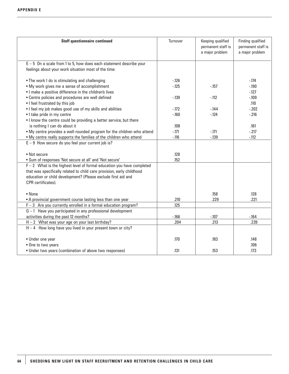| <b>Staff questionnaire continued</b>                                                                                          | Turnover | Keeping qualified<br>permanent staff is<br>a major problem | Finding qualified<br>permanent staff is<br>a major problem |
|-------------------------------------------------------------------------------------------------------------------------------|----------|------------------------------------------------------------|------------------------------------------------------------|
| $E - 5$ On a scale from 1 to 5, how does each statement describe your<br>feelings about your work situation most of the time: |          |                                                            |                                                            |
| • The work I do is stimulating and challenging                                                                                | $-126$   |                                                            | $-174$                                                     |
| • My work gives me a sense of accomplishment                                                                                  | $-125$   | $-157$                                                     | $-.190$                                                    |
| . I make a positive difference in the children's lives                                                                        |          |                                                            | $-127$                                                     |
| • Centre policies and procedures are well defined                                                                             | $-139$   | $-112$                                                     | $-109$                                                     |
| • I feel frustrated by this job                                                                                               |          |                                                            | .110                                                       |
| . I feel my job makes good use of my skills and abilities                                                                     | $-172$   | $-144$                                                     | $-.202$                                                    |
| · I take pride in my centre                                                                                                   | $-160$   | $-124$                                                     | $-.216$                                                    |
| • I know the centre could be providing a better service, but there                                                            |          |                                                            |                                                            |
| is nothing I can do about it                                                                                                  | .108     |                                                            | .161                                                       |
| . My centre provides a well-rounded program for the children who attend                                                       | $-.171$  | $-.171$                                                    | $-217$                                                     |
| . My centre really supports the families of the children who attend                                                           | $-.116$  | $-139$                                                     | $-.112$                                                    |
| $E - 9$ How secure do you feel your current job is?                                                                           |          |                                                            |                                                            |
|                                                                                                                               |          |                                                            |                                                            |
| • Not secure                                                                                                                  | .128     |                                                            |                                                            |
| . Sum of responses 'Not secure at all' and 'Not secure'                                                                       | .152     |                                                            |                                                            |
| $F - 2$ What is the highest level of formal education you have completed                                                      |          |                                                            |                                                            |
| that was specifically related to child care provision, early childhood                                                        |          |                                                            |                                                            |
| education or child development? (Please exclude first aid and                                                                 |          |                                                            |                                                            |
| CPR certificates).                                                                                                            |          |                                                            |                                                            |
|                                                                                                                               |          |                                                            |                                                            |
| • None                                                                                                                        |          | .158                                                       | .128                                                       |
| • A provincial government course lasting less than one year                                                                   | .210     | .229                                                       | .221                                                       |
| $F-3$ Are you currently enrolled in a formal education program?                                                               | .125     |                                                            |                                                            |
| $G-1$ Have you participated in any professional development                                                                   |          |                                                            |                                                            |
| activities during the past 12 months?                                                                                         | $-166$   | $-.107$                                                    | $-164$                                                     |
| $H - 2$ What was your age on your last birthday?                                                                              | .204     | .213                                                       | .239                                                       |
| $H - 4$ How long have you lived in your present town or city?                                                                 |          |                                                            |                                                            |
| • Under one year                                                                                                              | .170     | .183                                                       | .148                                                       |
| • One to two years                                                                                                            |          |                                                            | .106                                                       |
| • Under two years (combination of above two responses)                                                                        | .131     | .153                                                       | .173                                                       |
|                                                                                                                               |          |                                                            |                                                            |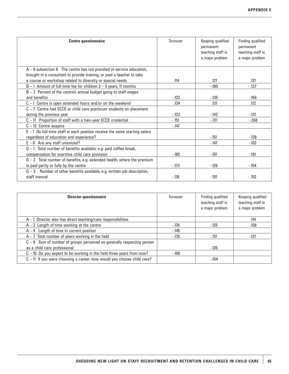| <b>Centre questionnaire</b>                                                | Turnover | Keeping qualified<br>permanent<br>teaching staff is<br>a major problem | Finding qualified<br>permanent<br>teaching staff is<br>a major problem |
|----------------------------------------------------------------------------|----------|------------------------------------------------------------------------|------------------------------------------------------------------------|
| $A - 9$ subsection 6 The centre has not provided in-service education,     |          |                                                                        |                                                                        |
| brought in a consultant to provide training, or paid a teacher to take     |          |                                                                        |                                                                        |
| a course or workshop related to diversity or special needs                 | .114     | .121                                                                   | .121                                                                   |
| $B - 1$ Amount of full-time fee for children $3 - 5$ years, 11 months      |          | $-180$                                                                 | $-137$                                                                 |
| $B - 2$ Percent of the centre's annual budget going to staff wages         |          |                                                                        |                                                                        |
| and benefits                                                               | $-122$   | $-135$                                                                 | $-166$                                                                 |
| $C-1$ Centre is open extended hours and/or on the weekend                  | .134     | .131                                                                   | .112                                                                   |
| $C - 7$ Centre had ECCE or child care practicum students on placement      |          |                                                                        |                                                                        |
| during the previous year                                                   | $-123$   | $-142$                                                                 | $-131$                                                                 |
| $C-11$ Proportion of staff with a two-year ECCE credential                 | $- .151$ | $-.311$                                                                | $-.268$                                                                |
| $C-13$ Centre auspice                                                      | $-147$   |                                                                        |                                                                        |
| $E-1$ Do full-time staff in each position receive the same starting salary |          |                                                                        |                                                                        |
| regardless of education and experience?                                    |          | $-151$                                                                 | $-138$                                                                 |
| $E - 8$ Are any staff unionized?                                           |          | $-147$                                                                 | $-102$                                                                 |
| $G-1$ Total number of benefits available, e.g. paid coffee break,          |          |                                                                        |                                                                        |
| compensation for overtime child care provision                             | $-185$   | $-151$                                                                 | $-191$                                                                 |
| $G - 2$ Total number of benefits, e.g. extended health, where the premium  |          |                                                                        |                                                                        |
| is paid partly or fully by the centre                                      | $-173$   | $-126$                                                                 | $-154$                                                                 |
| $G - 3$ Number of other benefits available, e.g. written job description,  |          |                                                                        |                                                                        |
| staff manual                                                               | $-118$   | $-.101$                                                                | $-.152$                                                                |

| <b>Director questionnaire</b>                                            | Turnover | Finding qualified<br>teaching staff is<br>a major problem | Keeping qualified<br>teaching staff is<br>a major problem |
|--------------------------------------------------------------------------|----------|-----------------------------------------------------------|-----------------------------------------------------------|
| $A-1$ Director also has direct teaching/care responsibilities            |          |                                                           | .114                                                      |
| $A - 3$ Length of time working at the centre                             | $-176$   | $-125$                                                    | $-158$                                                    |
| $A - 4$ Length of time in current position                               | $-145$   |                                                           |                                                           |
| $A - 7$ Total number of years working in the field                       | $-135$   | $-112$                                                    | $-121$                                                    |
| $C - 9$ Sum of number of groups perceived as generally respecting person |          |                                                           |                                                           |
| as a child care professional                                             |          | $-126$                                                    |                                                           |
| $C - 10$ Do you expect to be working in the field three years from now?  | $-100$   |                                                           |                                                           |
| $C - 11$ If you were choosing a career now, would you choose child care? |          | $-104$                                                    |                                                           |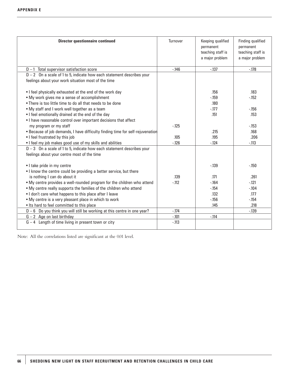| <b>Director questionnaire continued</b>                                                                               | Turnover | Keeping qualified<br>permanent<br>teaching staff is<br>a major problem | Finding qualified<br>permanent<br>teaching staff is<br>a major problem |
|-----------------------------------------------------------------------------------------------------------------------|----------|------------------------------------------------------------------------|------------------------------------------------------------------------|
| $D-1$ Total supervisor satisfaction score                                                                             | $-146$   | $-137$                                                                 | $-178$                                                                 |
| $D - 2$ On a scale of 1 to 5, indicate how each statement describes your                                              |          |                                                                        |                                                                        |
| feelings about your work situation most of the time                                                                   |          |                                                                        |                                                                        |
| . I feel physically exhausted at the end of the work day                                                              |          | .156                                                                   | .183                                                                   |
| • My work gives me a sense of accomplishment                                                                          |          | $-159$                                                                 | $-152$                                                                 |
| • There is too little time to do all that needs to be done                                                            |          | .180                                                                   |                                                                        |
| . My staff and I work well together as a team                                                                         |          | $-177$                                                                 | $-156$                                                                 |
| . I feel emotionally drained at the end of the day                                                                    |          | .151                                                                   | .153                                                                   |
| • I have reasonable control over important decisions that affect                                                      |          |                                                                        |                                                                        |
| my program or my staff                                                                                                | $-125$   |                                                                        | $-153$                                                                 |
| . Because of job demands, I have difficulty finding time for self-rejuvenation                                        |          | .215                                                                   | .168                                                                   |
| • I feel frustrated by this job                                                                                       | .105     | .195                                                                   | .206                                                                   |
| . I feel my job makes good use of my skills and abilities                                                             | $-126$   | $-124$                                                                 | $-.113$                                                                |
| $D-3$ On a scale of 1 to 5, indicate how each statement describes your<br>feelings about your centre most of the time |          |                                                                        |                                                                        |
| • I take pride in my centre                                                                                           |          | $-139$                                                                 | $-150$                                                                 |
| . I know the centre could be providing a better service, but there                                                    |          |                                                                        |                                                                        |
| is nothing I can do about it                                                                                          | .139     | .171                                                                   | .261                                                                   |
| . My centre provides a well-rounded program for the children who attend                                               | $-112$   | $-164$                                                                 | $-121$                                                                 |
| . My centre really supports the families of the children who attend                                                   |          | $-154$                                                                 | $-.104$                                                                |
| . I don't care what happens to this place after I leave                                                               |          | .132                                                                   | .177                                                                   |
| • My centre is a very pleasant place in which to work                                                                 |          | $-156$                                                                 | $-154$                                                                 |
| . Its hard to feel committed to this place                                                                            |          | .145                                                                   | .218                                                                   |
| $D-6$ Do you think you will still be working at this centre in one year?                                              | $-.174$  |                                                                        | $-139$                                                                 |
| $G - 2$ Age on last birthday                                                                                          | $-.101$  | $-.114$                                                                |                                                                        |
| $G - 4$ Length of time living in present town or city                                                                 | $-113$   |                                                                        |                                                                        |

Note: All the correlations listed are significant at the 0.01 level.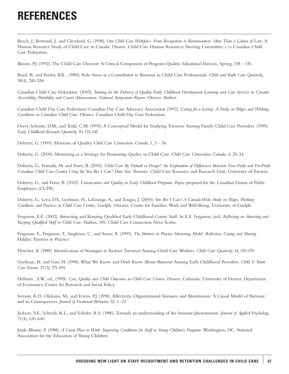### **REFERENCES**

Beach, J., Bertrand, J., and Cleveland, G. (1998). *Our Child Care Workforce: From Recognition to Remuneration: More Than a Labour of Love.* A Human Resource Study of Child Care in Canada. Ottawa: Child Care Human Resources Steering Committee, c/o Canadian Child Care Federation.

Bloom, P.J. (1992). The Child Care Director: A Critical Component of Program Quality. *Educational Horizons,* Spring, 138 – 145.

Boyd, B., and Paisley, B.K.. (1989). Role Stress as a Contributor to Burnout in Child Care Professionals. *Child and Youth Care Quarterly*, 18(4), 243-258.

Canadian Child Care Federation. (2003). *Training for the Delivery of Quality Early Childhood Development Learning and Care Services in Canada: Accessibility, Portability and Career Advancement. National Symposium Report.* Ottawa: Author.

Canadian Child Day Care Federation/Canadian Day Care Advocacy Association (1992). *Caring for a Living: A Study on Wages and Working Conditions in Canadian Child Care.* Ottawa: Canadian Child Day Care Federation.

Deery-Schmitt, D.M., and Todd, C.M. (1995). A Conceptual Model for Studying Turnover Among Family Child Care Providers. (1995). *Early Childhood Research Quarterly,* 10, 121-143.

Doherty, G. (1999). Elements of Quality. *Child Care Connections Canada,* 1, 5 – 56.

Doherty, G. (2000). Mentoring as a Strategy for Promoting Quality in Child Care. *Child Care Connections Canada,* 4, 25-34.

Doherty, G., Friendly, M. and Forer, B. (2002). *Child Care By Default or Design? An Exploration of Differences Between Non-Profit and For-Profit Canadian Child Care Centres Using the You Bet I Care! Data Sets.* Toronto: Child Care Resource and Research Unit, University of Toronto.

Doherty, G., and Forer, B. (2002). *Unionization and Quality in Early Childhood Programs.* Paper prepared for the Canadian Union of Public Employees (CUPE).

Doherty, G., Lero, D.S., Goelman, H., LaGrange, A., and Tougas, J. (2000). *You Bet I Care! A Canada-Wide Study on Wages, Working Condition, and Practices in Child Care Centres*. Guelph, Ontario: Centre for Families, Work and Well-Being, University of Guelph.

Ferguson, E.E. (2002). Attracting and Keeping Qualified Early Childhood Centre Staff. In E.E. Ferguson, (ed.). *Reflecting on Attracting and Keeping Qualified Staff in Child Care.* Halifax, NS: Child Care Connection Nova Scotia.

Ferguson, E., Ferguson, T., Singleton, C., and Soave, A. (1999). *The Partners in Practice Mentoring Model: Reflection, Caring and Sharing.* Halifax: Partners in Practice.

Fleischer, B. (1985). Identification of Strategies to Reduce Turnover Among Child Care Workers. *Child Care Quarterly,* 14, 130-139.

Goelman, H. and Guo, H. (1998). What We Know and Don't Know About Burnout Among Early Childhood Providers. *Child & Youth Care Forum,* 27(3), 175-199.

Helburn , S.W., ed., (1995). *Cost, Quality and Child Outcomes in Child Care Centers.* Denver, Colorado: University of Denver, Department of Economics, Center for Research and Social Policy.

Iverson, R.D., Olekains, M., and Erwin, P.J. (1998). Affectivity, Organizational Stressors, and Absenteeism: A Causal Model of Burnout and its Consequences. *Journal of Vocational Behavior,* 52, 1.-23.

Jackson, S.E., Schwab, R.L., and Schuler, R.S. (1986). Towards an understanding of the burnout phenomenon. *Journal of Applied Psychology,* 71(4), 630-640.

Jorde-Bloom, P. (1988). *A Great Place to Work: Improving Conditions for Staff in Young Children's Programs.* Washington, DC. National Association for the Education of Young Children.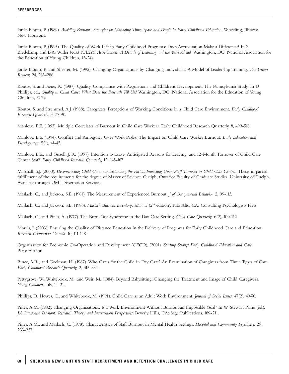Jorde-Bloom, P. (1989). *Avoiding Burnout: Strategies for Managing Time, Space and People in Early Childhood Education.* Wheeling, Illinois: New Horizons.

Jorde-Bloom, P. (1995). The Quality of Work Life in Early Childhood Programs: Does Accreditation Make a Difference? In S. Bredekamp and B.A. Willer (eds.) *NAEYC Accreditation: A Decade of Learning and the Years Ahead.* Washington, DC: National Association for the Education of Young Children, 13-24).

Jorde-Bloom, P., and Sheerer, M. (1992). Changing Organizations by Changing Individuals: A Model of Leadership Training. *The Urban Review,* 24, 263-286.

Kontos, S. and Fiene, R. (1987). Quality, Compliance with Regulations and Children's Development: The Pennsylvania Study. In D. Phillips, ed., *Quality in Child Care: What Does the Research Tell Us?* Washington, DC: National Association for the Education of Young Children, 57-79.

Kontos, S. and Stremmel, A.J. (1988). Caregivers' Perceptions of Working Conditions in a Child Care Environment. *Early Childhood Research Quarterly,* 3, 77-90.

Manlove, E.E. (1993). Multiple Correlates of Burnout in Child Care Workers. Early Childhood Research Quarterly. 8, 499-518.

Manlove, E.E. (1994). Conflict and Ambiguity Over Work Roles: The Impact on Child Care Worker Burnout. *Early Education and Development,* 5(1), 41-45.

Manlove, E.E., and Guzell, J. R. (1997). Intention to Leave, Anticipated Reasons for Leaving, and 12-Month Turnover of Child Care Center Staff. *Early Childhood Research Quarterly,* 12, 145-167.

Marshall, S.J. (2000). *Deconstructing Child Care: Understanding the Factors Impacting Upon Staff Turnover in Child Care Centres.* Thesis in partial fulfillment of the requirements for the degree of Master of Science. Guelph, Ontario: Faculty of Graduate Studies, University of Guelph. Available through UMI Dissertation Services.

Maslach, C., and Jackson, S.E. (1981). The Measurement of Experienced Burnout. *J of Occupational Behavior.* 2, 99-113.

Maslach, C., and Jackson, S.E. (1986). *Maslach Burnout Inventory: Manual* (2<sup>nd</sup> edition). Palo Alto, CA: Consulting Psychologists Press.

Maslach, C., and Pines, A. (1977). The Burn-Out Syndrome in the Day Care Setting. *Child Care Quarterly,* 6(2), 100-112.

Morris, J. (2003). Ensuring the Quality of Distance Education in the Delivery of Programs for Early Childhood Care and Education. *Research Connection Canada.* 10, 111-148.

Organization for Economic Co-Operation and Development (OECD). (2001). *Starting Strong: Early Childhood Education and Care.* Paris: Author.

Pence, A.R., and Goelman, H. (1987). Who Cares for the Child in Day Care? An Examination of Caregivers from Three Types of Care. *Early Childhood Research Quarterly,* 2, 315-334.

Pettygrove, W., Whitebook, M., and Weir, M. (1984). Beyond Babysitting: Changing the Treatment and Image of Child Caregivers. *Young Children,* July, 14-21.

Phillips, D., Howes, C., and Whitebook, M. (1991). Child Care as an Adult Work Environment. *Journal of Social Issues,* 47(2), 49-70.

Pines, A.M. (1982). Changing Organizations: Is a Work Environment Without Burnout an Impossible Goal? In W. Stewart Paine (ed.), *Job Stress and Burnout: Research, Theory and Invertention Perspectives.* Beverly Hills, CA: Sage Publications, 189-211.

Pines, A.M., and Maslach, C. (1978). Characteristics of Staff Burnout in Mental Health Settings. *Hospital and Community Psychiatry,* 29, 233-237.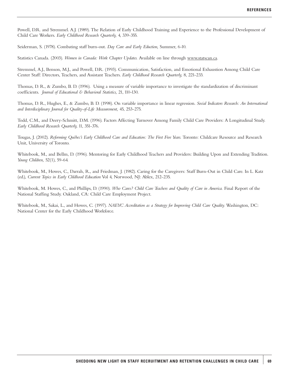Powell, D.R. and Stremmel. A.J. (1989). The Relation of Early Childhood Training and Experience to the Professional Development of Child Care Workers. *Early Childhood Research Quarterly,* 4, 339-355.

Seiderman, S. (1978). Combating staff burn-out. *Day Care and Early Eduction,* Summer, 6-10.

Statistics Canada. (2003). *Women in Canada: Work Chapter Updates.* Available on line through www.statscan.ca.

Stremmel, A.J., Benson, M.J., and Powell, D.R. (1993). Communication, Satisfaction, and Emotional Exhaustion Among Child Care Center Staff: Directors, Teachers, and Assistant Teachers. *Early Childhood Research Quarterly,* 8, 221-233.

Thomas, D. R., & Zumbo, B. D. (1996). Using a measure of variable importance to investigate the standardization of discriminant coefficients. *Journal of Educational & Behavioral Statistics,* 21, 110-130.

Thomas, D. R., Hughes, E., & Zumbo, B. D. (1998). On variable importance in linear regression. *Social Indicators Research: An International and Interdisciplinary Journal for Quality-of-Life Measurement,* 45, 253-275.

Todd, C.M., and Deery-Schmitt, D.M. (1996). Factors Affecting Turnover Among Family Child Care Providers: A Longitudinal Study. *Early Childhood Research Quarterly,* 11, 351-376.

Tougas, J. (2002). *Reforming Québec's Early Childhood Care and Education: The First Five Years.* Toronto: Childcare Resource and Research Unit, University of Toronto.

Whitebook, M., and Bellm, D. (1996). Mentoring for Early Childhood Teachers and Providers: Building Upon and Extending Tradition. *Young Children,* 52(1), 59-64.

Whitebook, M., Howes, C., Darrah, R., and Friedman, J. (1982). Caring for the Caregivers: Staff Burn-Out in Child Care. In L. Katz (ed.), *Current Topics in Early Chldhood Education* Vol 4, Norwood, NJ: Ablex, 212-235.

Whitebook, M. Howes, C., and Phillips, D. (1990). *Who Cares? Child Care Teachers and Quality of Care in America.* Final Report of the National Staffing Study. Oakland, CA: Child Care Employment Project.

Whitebook, M., Sakai, L., and Howes, C. (1997). *NAEYC Accreditation as a Strategy for Improving Child Care Quality.* Washington, DC: National Center for the Early Childhood Workforce.